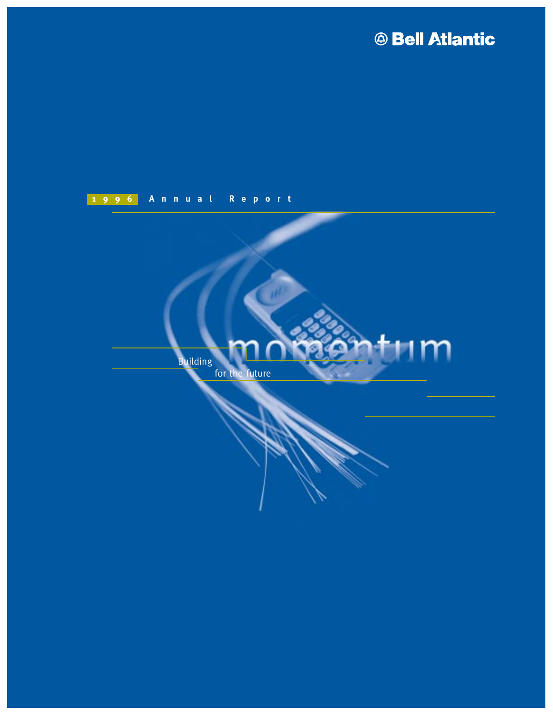# **ABell Atlantic**

## **1996 Annual Report**

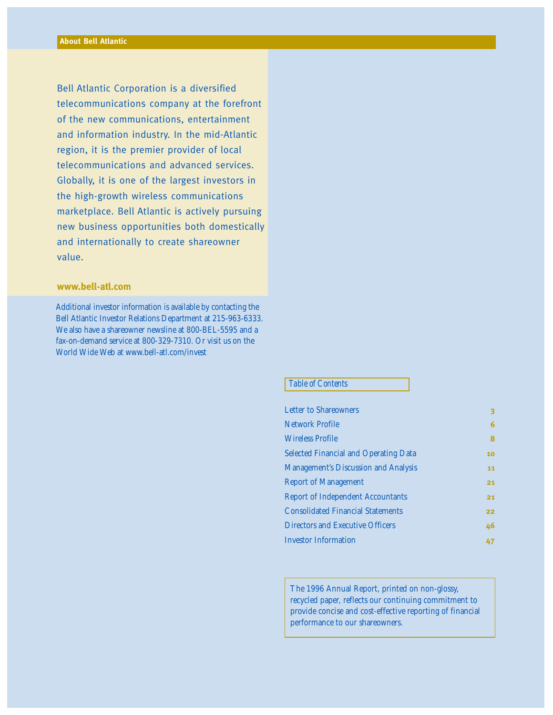Bell Atlantic Corporation is a diversified telecommunications company at the forefront of the new communications, entertainment and information industry. In the mid-Atlantic region, it is the premier provider of local telecommunications and advanced services. Globally, it is one of the largest investors in the high-growth wireless communications marketplace. Bell Atlantic is actively pursuing new business opportunities both domestically and internationally to create shareowner value.

#### **www.bell-atl.com**

Additional investor information is available by contacting the Bell Atlantic Investor Relations Department at 215-963-6333. We also have a shareowner newsline at 800-BEL-5595 and a fax-on-demand service at 800-329-7310. Or visit us on the World Wide Web at www.bell-atl.com/invest

#### *Table of Contents*

| з  |
|----|
| 6  |
| 8  |
| 10 |
| 11 |
| 21 |
| 21 |
| 22 |
| 46 |
| 47 |
|    |

The 1996 Annual Report, printed on non-glossy, recycled paper, reflects our continuing commitment to provide concise and cost-effective reporting of financial performance to our shareowners.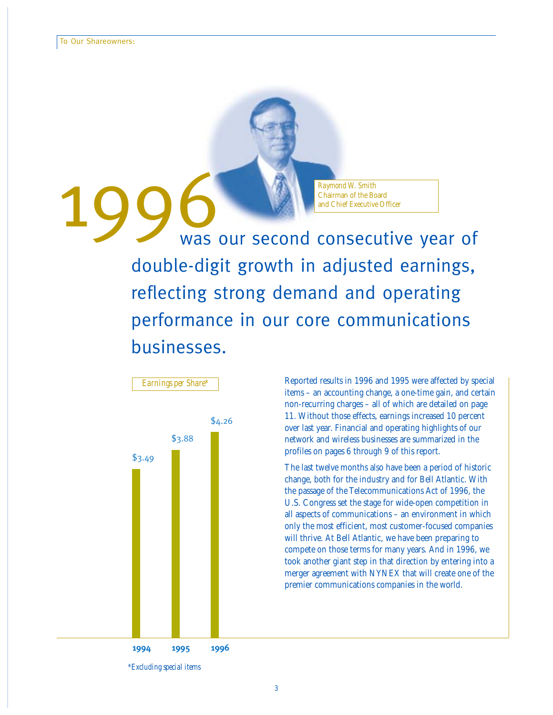Raymond W. Smith<br>Chairman of the Board<br>Was our second consecutive year of double-digit growth in adjusted earnings, reflecting strong demand and operating performance in our core communications businesses.

*Raymond W. Smith*

Chairman of the Board



*Earnings per Share\**

Reported results in 1996 and 1995 were affected by special items – an accounting change, a one-time gain, and certain non-recurring charges – all of which are detailed on page 11. Without those effects, earnings increased 10 percent over last year. Financial and operating highlights of our network and wireless businesses are summarized in the profiles on pages 6 through 9 of this report.

The last twelve months also have been a period of historic change, both for the industry and for Bell Atlantic. With the passage of the Telecommunications Act of 1996, the U.S. Congress set the stage for wide-open competition in all aspects of communications – an environment in which only the most efficient, most customer-focused companies will thrive. At Bell Atlantic, we have been preparing to compete on those terms for many years. And in 1996, we took another giant step in that direction by entering into a merger agreement with NYNEX that will create one of the premier communications companies in the world.

*<sup>\*</sup>Excluding special items*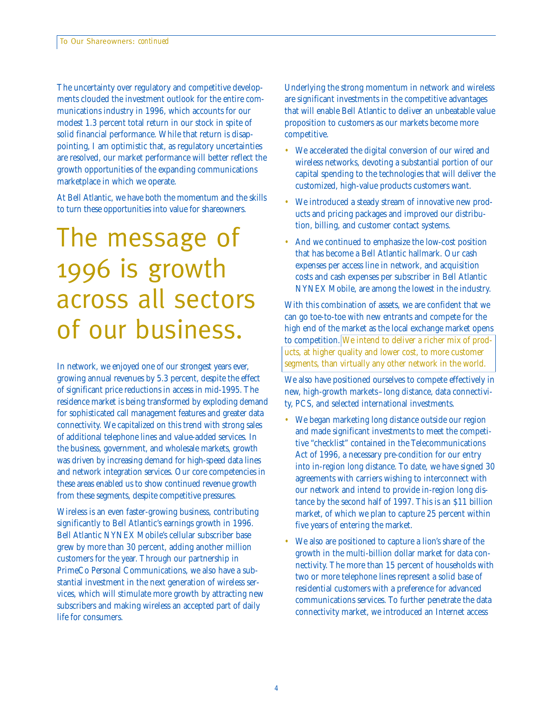The uncertainty over regulatory and competitive developments clouded the investment outlook for the entire communications industry in 1996, which accounts for our modest 1.3 percent total return in our stock in spite of solid financial performance. While that return is disappointing, I am optimistic that, as regulatory uncertainties are resolved, our market performance will better reflect the growth opportunities of the expanding communications marketplace in which we operate.

At Bell Atlantic, we have both the momentum and the skills to turn these opportunities into value for shareowners.

# The message of 1996 is growth across all sectors of our business.

In network, we enjoyed one of our strongest years ever, growing annual revenues by 5.3 percent, despite the effect of significant price reductions in access in mid-1995. The residence market is being transformed by exploding demand for sophisticated call management features and greater data connectivity. We capitalized on this trend with strong sales of additional telephone lines and value-added services. In the business, government, and wholesale markets, growth was driven by increasing demand for high-speed data lines and network integration services. Our core competencies in these areas enabled us to show continued revenue growth from these segments, despite competitive pressures.

Wireless is an even faster-growing business, contributing significantly to Bell Atlantic's earnings growth in 1996. Bell Atlantic NYNEX Mobile's cellular subscriber base grew by more than 30 percent, adding another million customers for the year. Through our partnership in PrimeCo Personal Communications, we also have a substantial investment in the next generation of wireless services, which will stimulate more growth by attracting new subscribers and making wireless an accepted part of daily life for consumers.

Underlying the strong momentum in network and wireless are significant investments in the competitive advantages that will enable Bell Atlantic to deliver an unbeatable value proposition to customers as our markets become more competitive.

- We accelerated the digital conversion of our wired and wireless networks, devoting a substantial portion of our capital spending to the technologies that will deliver the customized, high-value products customers want.
- We introduced a steady stream of innovative new products and pricing packages and improved our distribution, billing, and customer contact systems.
- And we continued to emphasize the low-cost position that has become a Bell Atlantic hallmark. Our cash expenses per access line in network, and acquisition costs and cash expenses per subscriber in Bell Atlantic NYNEX Mobile, are among the lowest in the industry.

With this combination of assets, we are confident that we can go toe-to-toe with new entrants and compete for the high end of the market as the local exchange market opens to competition. We intend to deliver a richer mix of products, at higher quality and lower cost, to more customer segments, than virtually any other network in the world.

We also have positioned ourselves to compete effectively in new, high-growth markets–long distance, data connectivity, PCS, and selected international investments.

- We began marketing long distance outside our region and made significant investments to meet the competitive "checklist" contained in the Telecommunications Act of 1996, a necessary pre-condition for our entry into in-region long distance. To date, we have signed 30 agreements with carriers wishing to interconnect with our network and intend to provide in-region long distance by the second half of 1997. This is an \$11 billion market, of which we plan to capture 25 percent within five years of entering the market.
- We also are positioned to capture a lion's share of the growth in the multi-billion dollar market for data connectivity. The more than 15 percent of households with two or more telephone lines represent a solid base of residential customers with a preference for advanced communications services. To further penetrate the data connectivity market, we introduced an Internet access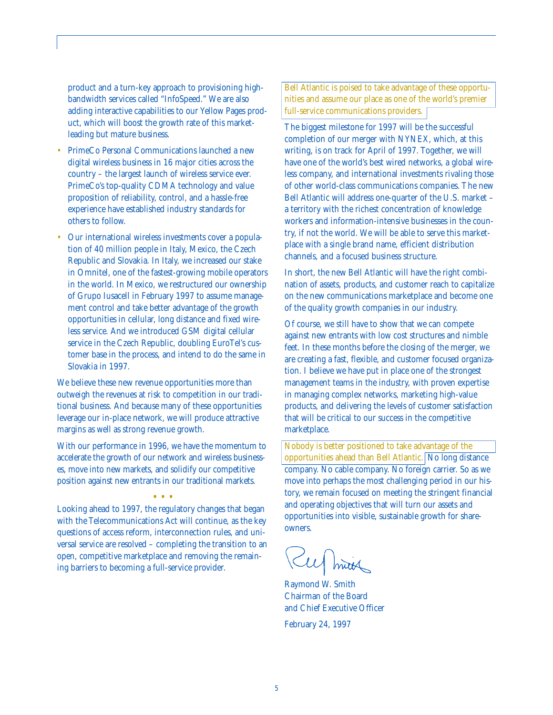product and a turn-key approach to provisioning highbandwidth services called "InfoSpeed." We are also adding interactive capabilities to our Yellow Pages product, which will boost the growth rate of this marketleading but mature business.

- PrimeCo Personal Communications launched a new digital wireless business in 16 major cities across the country – the largest launch of wireless service ever. PrimeCo's top-quality CDMA technology and value proposition of reliability, control, and a hassle-free experience have established industry standards for others to follow.
- Our international wireless investments cover a population of 40 million people in Italy, Mexico, the Czech Republic and Slovakia. In Italy, we increased our stake in Omnitel, one of the fastest-growing mobile operators in the world. In Mexico, we restructured our ownership of Grupo Iusacell in February 1997 to assume management control and take better advantage of the growth opportunities in cellular, long distance and fixed wireless service. And we introduced GSM digital cellular service in the Czech Republic, doubling EuroTel's customer base in the process, and intend to do the same in Slovakia in 1997.

We believe these new revenue opportunities more than outweigh the revenues at risk to competition in our traditional business. And because many of these opportunities leverage our in-place network, we will produce attractive margins as well as strong revenue growth.

With our performance in 1996, we have the momentum to accelerate the growth of our network and wireless businesses, move into new markets, and solidify our competitive position against new entrants in our traditional markets.

••• Looking ahead to 1997, the regulatory changes that began with the Telecommunications Act will continue, as the key questions of access reform, interconnection rules, and universal service are resolved – completing the transition to an open, competitive marketplace and removing the remaining barriers to becoming a full-service provider.

Bell Atlantic is poised to take advantage of these opportunities and assume our place as one of the world's premier full-service communications providers.

The biggest milestone for 1997 will be the successful completion of our merger with NYNEX, which, at this writing, is on track for April of 1997. Together, we will have one of the world's best wired networks, a global wireless company, and international investments rivaling those of other world-class communications companies. The new Bell Atlantic will address one-quarter of the U.S. market – a territory with the richest concentration of knowledge workers and information-intensive businesses in the country, if not the world. We will be able to serve this marketplace with a single brand name, efficient distribution channels, and a focused business structure.

In short, the new Bell Atlantic will have the right combination of assets, products, and customer reach to capitalize on the new communications marketplace and become one of the quality growth companies in our industry.

Of course, we still have to show that we can compete against new entrants with low cost structures and nimble feet. In these months before the closing of the merger, we are creating a fast, flexible, and customer focused organization. I believe we have put in place one of the strongest management teams in the industry, with proven expertise in managing complex networks, marketing high-value products, and delivering the levels of customer satisfaction that will be critical to our success in the competitive marketplace.

Nobody is better positioned to take advantage of the opportunities ahead than Bell Atlantic.  $\boxed{\text{No}}$  long distance company. No cable company. No foreign carrier. So as we move into perhaps the most challenging period in our history, we remain focused on meeting the stringent financial and operating objectives that will turn our assets and opportunities into visible, sustainable growth for shareowners.

Sul min

Raymond W. Smith Chairman of the Board and Chief Executive Officer February 24, 1997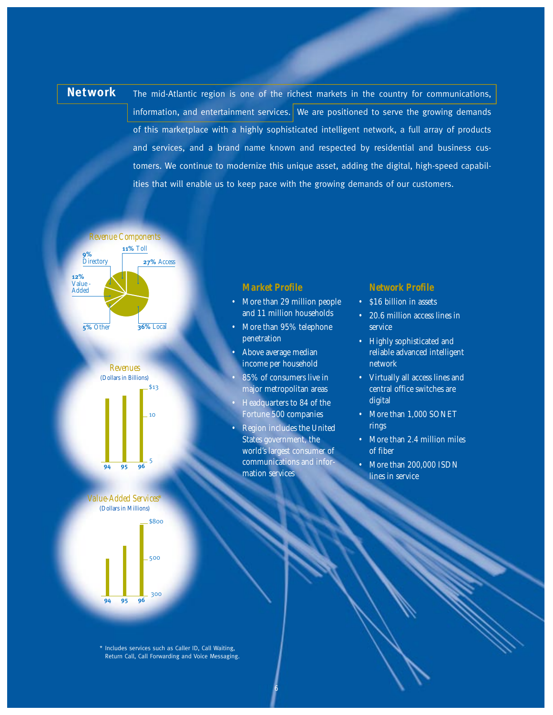**Network** The mid-Atlantic region is one of the richest markets in the country for communications, information, and entertainment services. We are positioned to serve the growing demands of this marketplace with a highly sophisticated intelligent network, a full array of products and services, and a brand name known and respected by residential and business customers. We continue to modernize this unique asset, adding the digital, high-speed capabilities that will enable us to keep pace with the growing demands of our customers.







#### *Market Profile*

- More than 29 million people and 11 million households
- More than 95% telephone penetration
- Above average median income per household
- 85% of consumers live in major metropolitan areas
- Headquarters to 84 of the Fortune 500 companies
- Region includes the United States government, the world's largest consumer of communications and information services

6

#### *Network Profile*

- \$16 billion in assets
- 20.6 million access lines in service
- Highly sophisticated and reliable advanced intelligent network
- Virtually all access lines and central office switches are digital
- More than 1,000 SONET rings
- More than 2.4 million miles of fiber
- More than 200,000 ISDN lines in service

\* Includes services such as Caller ID, Call Waiting, Return Call, Call Forwarding and Voice Messaging.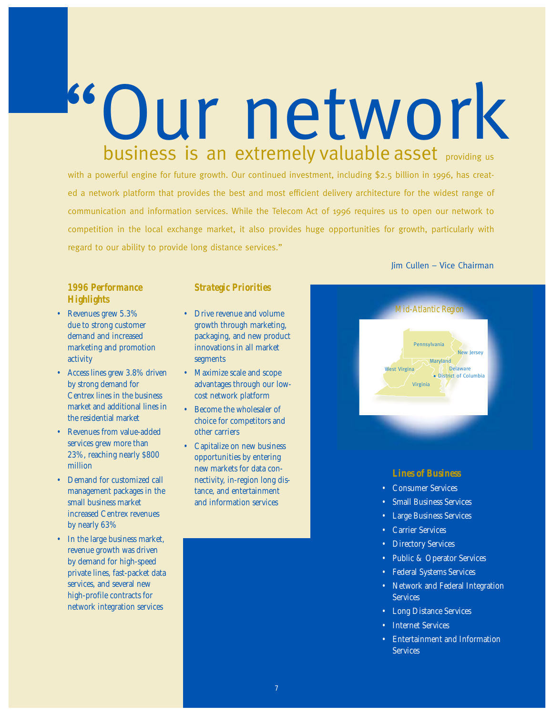with a powerful engine for future growth. Our continued investment, including \$2.5 billion in 1996, has created a network platform that provides the best and most efficient delivery architecture for the widest range of communication and information services. While the Telecom Act of 1996 requires us to open our network to competition in the local exchange market, it also provides huge opportunities for growth, particularly with regard to our ability to provide long distance services."

Our network

business is an extremely valuable asset providing us

#### *1996 Performance Highlights*

- Revenues grew 5.3% due to strong customer demand and increased marketing and promotion activity
- Access lines grew 3.8% driven by strong demand for Centrex lines in the business market and additional lines in the residential market
- Revenues from value-added services grew more than 23%, reaching nearly \$800 million
- Demand for customized call management packages in the small business market increased Centrex revenues by nearly 63%
- In the large business market, revenue growth was driven by demand for high-speed private lines, fast-packet data services, and several new high-profile contracts for network integration services

#### *Strategic Priorities*

- Drive revenue and volume growth through marketing, packaging, and new product innovations in all market segments
- Maximize scale and scope advantages through our lowcost network platform
- Become the wholesaler of choice for competitors and other carriers
- Capitalize on new business opportunities by entering new markets for data connectivity, in-region long distance, and entertainment and information services

#### Jim Cullen – Vice Chairman



### *Lines of Business*

- Consumer Services
- **Small Business Services**
- Large Business Services
- Carrier Services
- Directory Services
- Public & Operator Services
- Federal Systems Services
- Network and Federal Integration **Services**
- Long Distance Services
- **Internet Services**
- Entertainment and Information **Services**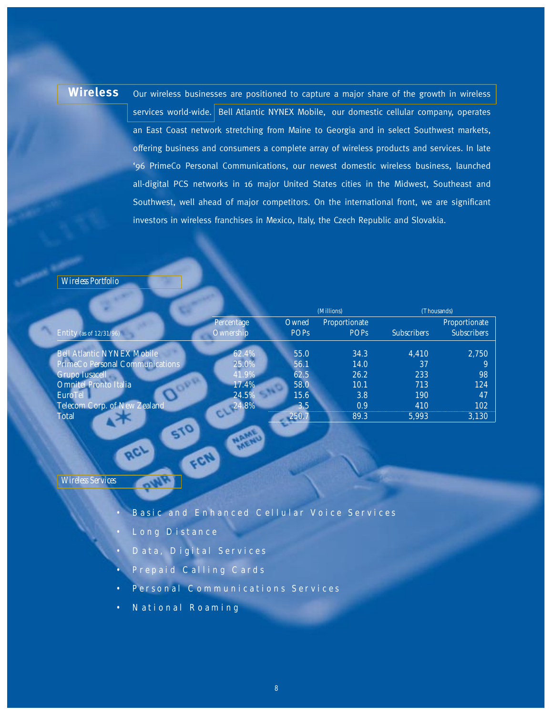Wireless our wireless businesses are positioned to capture a major share of the growth in wireless services world-wide. Bell Atlantic NYNEX Mobile, our domestic cellular company, operates an East Coast network stretching from Maine to Georgia and in select Southwest markets, offering business and consumers a complete array of wireless products and services. In late '96 PrimeCo Personal Communications, our newest domestic wireless business, launched all-digital PCS networks in 16 major United States cities in the Midwest, Southeast and Southwest, well ahead of major competitors. On the international front, we are significant investors in wireless franchises in Mexico, Italy, the Czech Republic and Slovakia.

#### *Wireless Portfolio*

|                                   |                         |                      | (Millions)                   |                    | (Thousands)                         |
|-----------------------------------|-------------------------|----------------------|------------------------------|--------------------|-------------------------------------|
| Entity (as of $12/31/96$ )        | Percentage<br>Ownership | Owned<br><b>POPs</b> | Proportionate<br><b>POPs</b> | <b>Subscribers</b> | Proportionate<br><b>Subscribers</b> |
| <b>Bell Atlantic NYNEX Mobile</b> | 62.4%                   | 55.0                 | 34.3                         | 4,410              | 2,750                               |
| PrimeCo Personal Communications   | 25.0%                   | 56.1                 | 14.0                         | 37                 |                                     |
| <b>Grupo Iusacell</b>             | 41.9%                   | 62.5                 | 26.2                         | 233                | 98                                  |
| Omnitel Pronto Italia             | 17.4%                   | 58.0                 | 10.1                         | 713                | 124                                 |
| EuroTel                           | 24.5%                   | 15.6                 | 3.8                          | <b>190</b>         | 47                                  |
| Telecom Corp. of New Zealand      | 24.8%                   | 3.5                  | 0.9                          | 410                | 102                                 |
| <b>Total</b>                      |                         | 250.7                | 89.3                         | 5,993              | 3,130                               |
| $\sim$                            |                         |                      |                              |                    |                                     |

*Wireless Services*

- Basic and Enhanced Cellular Voice Services
- Long Distance

**ACI** 

• Data, Digital Services

FON

- Prepaid Calling Cards
- Personal Communications Services
- National Roaming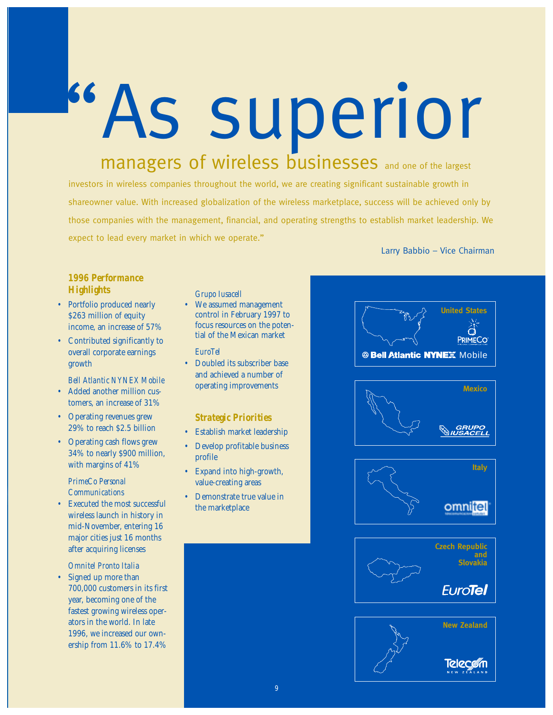"As superior managers of wireless businesses and one of the largest

investors in wireless companies throughout the world, we are creating significant sustainable growth in shareowner value. With increased globalization of the wireless marketplace, success will be achieved only by those companies with the management, financial, and operating strengths to establish market leadership. We expect to lead every market in which we operate."

Larry Babbio – Vice Chairman

#### *1996 Performance Highlights*

- Portfolio produced nearly \$263 million of equity income, an increase of 57%
- Contributed significantly to overall corporate earnings growth

#### *Bell Atlantic NYNEX Mobile*

- Added another million customers, an increase of 31%
- Operating revenues grew 29% to reach \$2.5 billion
- Operating cash flows grew 34% to nearly \$900 million, with margins of 41%

#### *PrimeCo Personal Communications*

• Executed the most successful wireless launch in history in mid-November, entering 16 major cities just 16 months after acquiring licenses

#### *Omnitel Pronto Italia*

• Signed up more than 700,000 customers in its first year, becoming one of the fastest growing wireless operators in the world. In late 1996, we increased our ownership from 11.6% to 17.4%

#### *Grupo Iusacell*

• We assumed management control in February 1997 to focus resources on the potential of the Mexican market

#### *EuroTel*

• Doubled its subscriber base and achieved a number of operating improvements

#### *Strategic Priorities*

- Establish market leadership
- Develop profitable business profile
- Expand into high-growth, value-creating areas
- Demonstrate true value in the marketplace

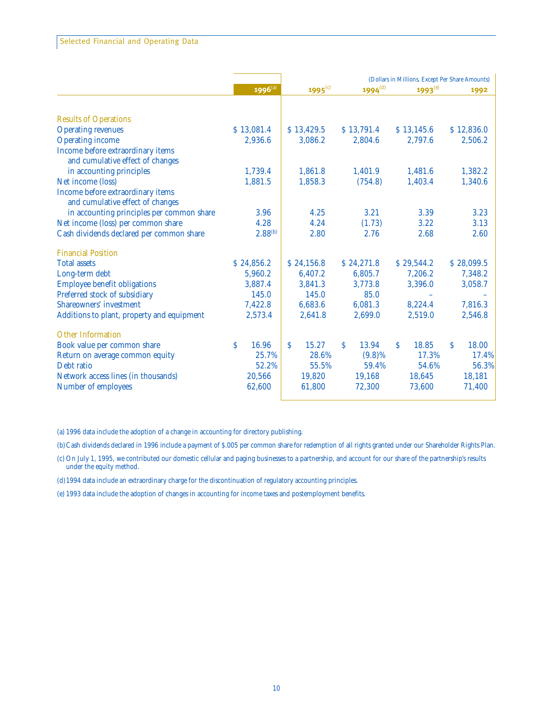|                                            |              |             |                     | (Dollars in Millions, Except Per Share Amounts) |             |  |
|--------------------------------------------|--------------|-------------|---------------------|-------------------------------------------------|-------------|--|
|                                            | $1996^{(a)}$ | 1995 $(c)$  | 1994 <sup>(d)</sup> | $1993^{(e)}$                                    | 1992        |  |
|                                            |              |             |                     |                                                 |             |  |
| <b>Results of Operations</b>               |              |             |                     |                                                 |             |  |
| <b>Operating revenues</b>                  | \$13,081.4   | \$13,429.5  | \$13,791.4          | \$13,145.6                                      | \$12,836.0  |  |
| <b>Operating income</b>                    | 2,936.6      | 3,086.2     | 2,804.6             | 2,797.6                                         | 2,506.2     |  |
| Income before extraordinary items          |              |             |                     |                                                 |             |  |
| and cumulative effect of changes           |              |             |                     |                                                 |             |  |
| in accounting principles                   | 1,739.4      | 1,861.8     | 1,401.9             | 1,481.6                                         | 1,382.2     |  |
| Net income (loss)                          | 1,881.5      | 1,858.3     | (754.8)             | 1,403.4                                         | 1,340.6     |  |
| Income before extraordinary items          |              |             |                     |                                                 |             |  |
| and cumulative effect of changes           |              |             |                     |                                                 |             |  |
| in accounting principles per common share  | 3.96         | 4.25        | 3.21                | 3.39                                            | 3.23        |  |
| Net income (loss) per common share         | 4.28         | 4.24        | (1.73)              | 3.22                                            | 3.13        |  |
| Cash dividends declared per common share   | $2.88^{(b)}$ | 2.80        | 2.76                | 2.68                                            | 2.60        |  |
| <b>Financial Position</b>                  |              |             |                     |                                                 |             |  |
| <b>Total assets</b>                        | \$24,856.2   | \$24,156.8  | \$24,271.8          | \$29,544.2                                      | \$28,099.5  |  |
| Long-term debt                             | 5,960.2      | 6,407.2     | 6,805.7             | 7,206.2                                         | 7,348.2     |  |
| <b>Employee benefit obligations</b>        | 3,887.4      | 3,841.3     | 3,773.8             | 3,396.0                                         | 3,058.7     |  |
| Preferred stock of subsidiary              | 145.0        | 145.0       | 85.0                |                                                 |             |  |
| <b>Shareowners' investment</b>             | 7,422.8      | 6,683.6     | 6,081.3             | 8,224.4                                         | 7,816.3     |  |
| Additions to plant, property and equipment | 2,573.4      | 2,641.8     | 2,699.0             | 2,519.0                                         | 2,546.8     |  |
| <b>Other Information</b>                   |              |             |                     |                                                 |             |  |
| Book value per common share                | Ŝ.<br>16.96  | Š.<br>15.27 | 13.94<br>Š.         | S.<br>18.85                                     | 18.00<br>S. |  |
| Return on average common equity            | 25.7%        | 28.6%       | $(9.8)\%$           | 17.3%                                           | 17.4%       |  |
| Debt ratio                                 | 52.2%        | 55.5%       | 59.4%               | 54.6%                                           | 56.3%       |  |
| Network access lines (in thousands)        | 20,566       | 19,820      | 19,168              | 18,645                                          | 18,181      |  |
| Number of employees                        | 62,600       | 61,800      | 72,300              | 73,600                                          | 71,400      |  |
|                                            |              |             |                     |                                                 |             |  |

(a) 1996 data include the adoption of a change in accounting for directory publishing.

(b)Cash dividends declared in 1996 include a payment of \$.005 per common share for redemption of all rights granted under our Shareholder Rights Plan.

(c) On July 1, 1995, we contributed our domestic cellular and paging businesses to a partnership, and account for our share of the partnership's results under the equity method.

(d)1994 data include an extraordinary charge for the discontinuation of regulatory accounting principles.

(e) 1993 data include the adoption of changes in accounting for income taxes and postemployment benefits.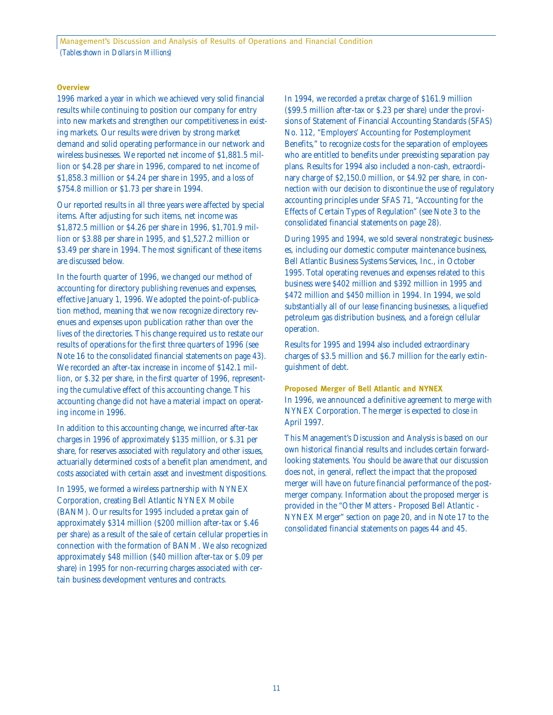Management's Discussion and Analysis of Results of Operations and Financial Condition *(Tables shown in Dollars in Millions)*

#### **Overview**

1996 marked a year in which we achieved very solid financial results while continuing to position our company for entry into new markets and strengthen our competitiveness in existing markets. Our results were driven by strong market demand and solid operating performance in our network and wireless businesses. We reported net income of \$1,881.5 million or \$4.28 per share in 1996, compared to net income of \$1,858.3 million or \$4.24 per share in 1995, and a loss of \$754.8 million or \$1.73 per share in 1994.

Our reported results in all three years were affected by special items. After adjusting for such items, net income was \$1,872.5 million or \$4.26 per share in 1996, \$1,701.9 million or \$3.88 per share in 1995, and \$1,527.2 million or \$3.49 per share in 1994. The most significant of these items are discussed below.

In the fourth quarter of 1996, we changed our method of accounting for directory publishing revenues and expenses, effective January 1, 1996. We adopted the point-of-publication method, meaning that we now recognize directory revenues and expenses upon publication rather than over the lives of the directories. This change required us to restate our results of operations for the first three quarters of 1996 (see Note 16 to the consolidated financial statements on page 43). We recorded an after-tax increase in income of \$142.1 million, or \$.32 per share, in the first quarter of 1996, representing the cumulative effect of this accounting change. This accounting change did not have a material impact on operating income in 1996.

In addition to this accounting change, we incurred after-tax charges in 1996 of approximately \$135 million, or \$.31 per share, for reserves associated with regulatory and other issues, actuarially determined costs of a benefit plan amendment, and costs associated with certain asset and investment dispositions.

In 1995, we formed a wireless partnership with NYNEX Corporation, creating Bell Atlantic NYNEX Mobile (BANM). Our results for 1995 included a pretax gain of approximately \$314 million (\$200 million after-tax or \$.46 per share) as a result of the sale of certain cellular properties in connection with the formation of BANM. We also recognized approximately \$48 million (\$40 million after-tax or \$.09 per share) in 1995 for non-recurring charges associated with certain business development ventures and contracts.

In 1994, we recorded a pretax charge of \$161.9 million (\$99.5 million after-tax or \$.23 per share) under the provisions of Statement of Financial Accounting Standards (SFAS) No. 112, "Employers' Accounting for Postemployment Benefits," to recognize costs for the separation of employees who are entitled to benefits under preexisting separation pay plans. Results for 1994 also included a non-cash, extraordinary charge of \$2,150.0 million, or \$4.92 per share, in connection with our decision to discontinue the use of regulatory accounting principles under SFAS 71, "Accounting for the Effects of Certain Types of Regulation" (see Note 3 to the consolidated financial statements on page 28).

During 1995 and 1994, we sold several nonstrategic businesses, including our domestic computer maintenance business, Bell Atlantic Business Systems Services, Inc., in October 1995. Total operating revenues and expenses related to this business were \$402 million and \$392 million in 1995 and \$472 million and \$450 million in 1994. In 1994, we sold substantially all of our lease financing businesses, a liquefied petroleum gas distribution business, and a foreign cellular operation.

Results for 1995 and 1994 also included extraordinary charges of \$3.5 million and \$6.7 million for the early extinguishment of debt.

#### **Proposed Merger of Bell Atlantic and NYNEX**

In 1996, we announced a definitive agreement to merge with NYNEX Corporation. The merger is expected to close in April 1997.

This Management's Discussion and Analysis is based on our own historical financial results and includes certain forwardlooking statements. You should be aware that our discussion does not, in general, reflect the impact that the proposed merger will have on future financial performance of the postmerger company. Information about the proposed merger is provided in the "Other Matters - Proposed Bell Atlantic - NYNEX Merger" section on page 20, and in Note 17 to the consolidated financial statements on pages 44 and 45.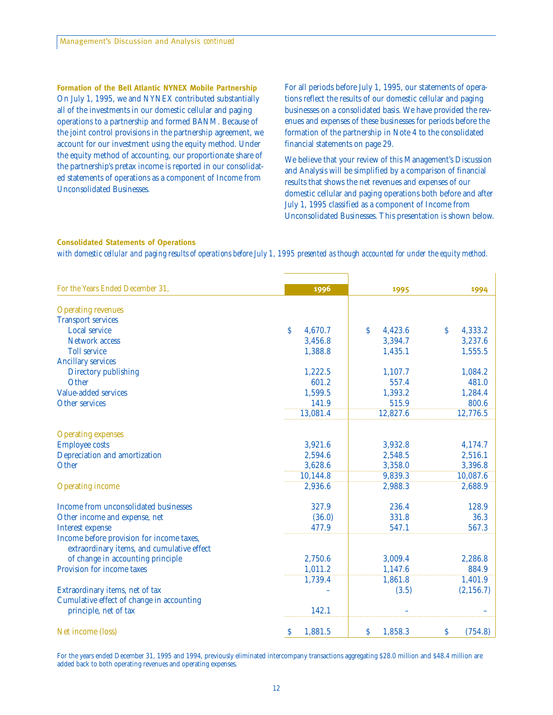**Formation of the Bell Atlantic NYNEX Mobile Partnership** On July 1, 1995, we and NYNEX contributed substantially all of the investments in our domestic cellular and paging operations to a partnership and formed BANM. Because of the joint control provisions in the partnership agreement, we account for our investment using the equity method. Under the equity method of accounting, our proportionate share of the partnership's pretax income is reported in our consolidated statements of operations as a component of Income from Unconsolidated Businesses.

For all periods before July 1, 1995, our statements of operations reflect the results of our domestic cellular and paging businesses on a consolidated basis. We have provided the revenues and expenses of these businesses for periods before the formation of the partnership in Note 4 to the consolidated financial statements on page 29.

We believe that your review of this Management's Discussion and Analysis will be simplified by a comparison of financial results that shows the net revenues and expenses of our domestic cellular and paging operations both before and after July 1, 1995 classified as a component of Income from Unconsolidated Businesses. This presentation is shown below.

#### **Consolidated Statements of Operations**

*with domestic cellular and paging results of operations before July 1, 1995 presented as though accounted for under the equity method.*

| For the Years Ended December 31,           | 1996          | 1995          | 1994          |
|--------------------------------------------|---------------|---------------|---------------|
| <b>Operating revenues</b>                  |               |               |               |
| <b>Transport services</b>                  |               |               |               |
| <b>Local service</b>                       | \$<br>4,670.7 | Ŝ.<br>4,423.6 | 4,333.2<br>S  |
| <b>Network access</b>                      | 3,456.8       | 3,394.7       | 3,237.6       |
| <b>Toll service</b>                        | 1,388.8       | 1,435.1       | 1,555.5       |
| <b>Ancillary services</b>                  |               |               |               |
| Directory publishing                       | 1,222.5       | 1,107.7       | 1,084.2       |
| Other                                      | 601.2         | 557.4         | 481.0         |
| Value-added services                       | 1,599.5       | 1,393.2       | 1,284.4       |
| <b>Other services</b>                      | 141.9         | 515.9         | 800.6         |
|                                            | 13,081.4      | 12,827.6      | 12,776.5      |
|                                            |               |               |               |
| <b>Operating expenses</b>                  |               |               |               |
| <b>Employee costs</b>                      | 3,921.6       | 3,932.8       | 4,174.7       |
| Depreciation and amortization              | 2,594.6       | 2,548.5       | 2,516.1       |
| Other                                      | 3,628.6       | 3,358.0       | 3,396.8       |
|                                            | 10,144.8      | 9,839.3       | 10,087.6      |
| <b>Operating income</b>                    | 2,936.6       | 2,988.3       | 2,688.9       |
|                                            |               |               |               |
| Income from unconsolidated businesses      | 327.9         | 236.4         | 128.9         |
| Other income and expense, net              | (36.0)        | 331.8         | 36.3          |
| <b>Interest expense</b>                    | 477.9         | 547.1         | 567.3         |
| Income before provision for income taxes,  |               |               |               |
| extraordinary items, and cumulative effect |               |               |               |
| of change in accounting principle          | 2,750.6       | 3,009.4       | 2,286.8       |
| Provision for income taxes                 | 1,011.2       | 1,147.6       | 884.9         |
|                                            | 1,739.4       | 1,861.8       | 1,401.9       |
| Extraordinary items, net of tax            |               | (3.5)         | (2, 156.7)    |
| Cumulative effect of change in accounting  |               |               |               |
| principle, net of tax                      | 142.1         |               |               |
| Net income (loss)                          | 1,881.5<br>\$ | \$<br>1,858.3 | \$<br>(754.8) |

For the years ended December 31, 1995 and 1994, previously eliminated intercompany transactions aggregating \$28.0 million and \$48.4 million are added back to both operating revenues and operating expenses.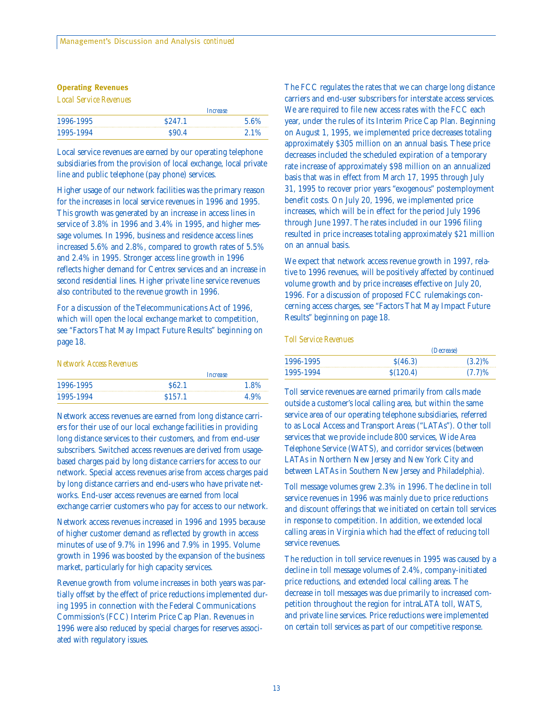#### **Operating Revenues**

*Local Service Revenues*

| 1996-1995 |                   | <i>Increase</i> |
|-----------|-------------------|-----------------|
|           | \$247.1           | 5.6%            |
| 1995-1994 | S <sub>90.4</sub> | 2.1%            |

Local service revenues are earned by our operating telephone subsidiaries from the provision of local exchange, local private line and public telephone (pay phone) services.

Higher usage of our network facilities was the primary reason for the increases in local service revenues in 1996 and 1995. This growth was generated by an increase in access lines in service of 3.8% in 1996 and 3.4% in 1995, and higher message volumes. In 1996, business and residence access lines increased 5.6% and 2.8%, compared to growth rates of 5.5% and 2.4% in 1995. Stronger access line growth in 1996 reflects higher demand for Centrex services and an increase in second residential lines. Higher private line service revenues also contributed to the revenue growth in 1996.

For a discussion of the Telecommunications Act of 1996, which will open the local exchange market to competition, see "Factors That May Impact Future Results" beginning on page 18.

#### *Network Access Revenues*

| 1996-1995 |                    | Increase |
|-----------|--------------------|----------|
|           | S62.1              | 1.8%     |
| 1995-1994 | S <sub>157.1</sub> | 4.9%     |

Network access revenues are earned from long distance carriers for their use of our local exchange facilities in providing long distance services to their customers, and from end-user subscribers. Switched access revenues are derived from usagebased charges paid by long distance carriers for access to our network. Special access revenues arise from access charges paid by long distance carriers and end-users who have private networks. End-user access revenues are earned from local exchange carrier customers who pay for access to our network.

Network access revenues increased in 1996 and 1995 because of higher customer demand as reflected by growth in access minutes of use of 9.7% in 1996 and 7.9% in 1995. Volume growth in 1996 was boosted by the expansion of the business market, particularly for high capacity services.

Revenue growth from volume increases in both years was partially offset by the effect of price reductions implemented during 1995 in connection with the Federal Communications Commission's (FCC) Interim Price Cap Plan. Revenues in 1996 were also reduced by special charges for reserves associated with regulatory issues.

The FCC regulates the rates that we can charge long distance carriers and end-user subscribers for interstate access services. We are required to file new access rates with the FCC each year, under the rules of its Interim Price Cap Plan. Beginning on August 1, 1995, we implemented price decreases totaling approximately \$305 million on an annual basis. These price decreases included the scheduled expiration of a temporary rate increase of approximately \$98 million on an annualized basis that was in effect from March 17, 1995 through July 31, 1995 to recover prior years "exogenous" postemployment benefit costs. On July 20, 1996, we implemented price increases, which will be in effect for the period July 1996 through June 1997. The rates included in our 1996 filing resulted in price increases totaling approximately \$21 million on an annual basis.

We expect that network access revenue growth in 1997, relative to 1996 revenues, will be positively affected by continued volume growth and by price increases effective on July 20, 1996. For a discussion of proposed FCC rulemakings concerning access charges, see "Factors That May Impact Future Results" beginning on page 18.

#### *Toll Service Revenues*

|           |          | <i>(Decrease)</i> |
|-----------|----------|-------------------|
| 1996-1995 | S(46.3)  | $(3.2)\%$         |
| 1995-1994 | S(120.4) | (7.7)%            |

Toll service revenues are earned primarily from calls made outside a customer's local calling area, but within the same service area of our operating telephone subsidiaries, referred to as Local Access and Transport Areas ("LATAs"). Other toll services that we provide include 800 services, Wide Area Telephone Service (WATS), and corridor services (between LATAs in Northern New Jersey and New York City and between LATAs in Southern New Jersey and Philadelphia).

Toll message volumes grew 2.3% in 1996. The decline in toll service revenues in 1996 was mainly due to price reductions and discount offerings that we initiated on certain toll services in response to competition. In addition, we extended local calling areas in Virginia which had the effect of reducing toll service revenues.

The reduction in toll service revenues in 1995 was caused by a decline in toll message volumes of 2.4%, company-initiated price reductions, and extended local calling areas. The decrease in toll messages was due primarily to increased competition throughout the region for intraLATA toll, WATS, and private line services. Price reductions were implemented on certain toll services as part of our competitive response.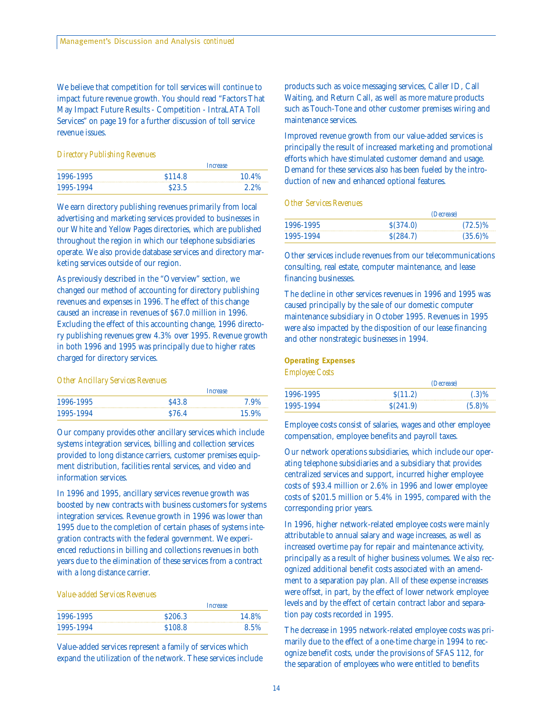We believe that competition for toll services will continue to impact future revenue growth. You should read "Factors That May Impact Future Results - Competition - IntraLATA Toll Services" on page 19 for a further discussion of toll service revenue issues.

#### *Directory Publishing Revenues*

| 1996-1995 |         | <i><u>Increase</u></i> |
|-----------|---------|------------------------|
|           | \$114.8 | 10.4%                  |
| 1995-1994 | \$23.5  | 2.2%                   |

We earn directory publishing revenues primarily from local advertising and marketing services provided to businesses in our White and Yellow Pages directories, which are published throughout the region in which our telephone subsidiaries operate. We also provide database services and directory marketing services outside of our region.

As previously described in the "Overview" section, we changed our method of accounting for directory publishing revenues and expenses in 1996. The effect of this change caused an increase in revenues of \$67.0 million in 1996. Excluding the effect of this accounting change, 1996 directory publishing revenues grew 4.3% over 1995. Revenue growth in both 1996 and 1995 was principally due to higher rates charged for directory services.

#### *Other Ancillary Services Revenues*

| 1996-1995 |                   | Increase |
|-----------|-------------------|----------|
|           | S <sub>43.8</sub> | 7.9%     |
| 1995-1994 | \$76.4            |          |

Our company provides other ancillary services which include systems integration services, billing and collection services provided to long distance carriers, customer premises equipment distribution, facilities rental services, and video and information services.

In 1996 and 1995, ancillary services revenue growth was boosted by new contracts with business customers for systems integration services. Revenue growth in 1996 was lower than 1995 due to the completion of certain phases of systems integration contracts with the federal government. We experienced reductions in billing and collections revenues in both years due to the elimination of these services from a contract with a long distance carrier.

#### *Value-added Services Revenues*

|           |                    | Increase |
|-----------|--------------------|----------|
| 1996-1995 | S <sub>206.3</sub> | 14.8%    |
| 1995-1994 | \$108.8<br>8.5%    |          |

Value-added services represent a family of services which expand the utilization of the network. These services include products such as voice messaging services, Caller ID, Call Waiting, and Return Call, as well as more mature products such as Touch-Tone and other customer premises wiring and maintenance services.

Improved revenue growth from our value-added services is principally the result of increased marketing and promotional efforts which have stimulated customer demand and usage. Demand for these services also has been fueled by the introduction of new and enhanced optional features.

#### *Other Services Revenues*

| 1996-1995 |          | <i>(Decrease)</i> |
|-----------|----------|-------------------|
|           | S(374.0) | $(72.5)\%$        |
| 1995-1994 | S(284.7) | $(35.6)\%$        |

Other services include revenues from our telecommunications consulting, real estate, computer maintenance, and lease financing businesses.

The decline in other services revenues in 1996 and 1995 was caused principally by the sale of our domestic computer maintenance subsidiary in October 1995. Revenues in 1995 were also impacted by the disposition of our lease financing and other nonstrategic businesses in 1994.

#### **Operating Expenses**

*Employee Costs*

| 1996-1995 |           | <i>(Decrease)</i> |
|-----------|-----------|-------------------|
|           | S(11.2)   | $(0.3)\%$         |
| 1995-1994 | \$(241.9) | $(5.8)\%$         |

Employee costs consist of salaries, wages and other employee compensation, employee benefits and payroll taxes.

Our network operations subsidiaries, which include our operating telephone subsidiaries and a subsidiary that provides centralized services and support, incurred higher employee costs of \$93.4 million or 2.6% in 1996 and lower employee costs of \$201.5 million or 5.4% in 1995, compared with the corresponding prior years.

In 1996, higher network-related employee costs were mainly attributable to annual salary and wage increases, as well as increased overtime pay for repair and maintenance activity, principally as a result of higher business volumes. We also recognized additional benefit costs associated with an amendment to a separation pay plan. All of these expense increases were offset, in part, by the effect of lower network employee levels and by the effect of certain contract labor and separation pay costs recorded in 1995.

The decrease in 1995 network-related employee costs was primarily due to the effect of a one-time charge in 1994 to recognize benefit costs, under the provisions of SFAS 112, for the separation of employees who were entitled to benefits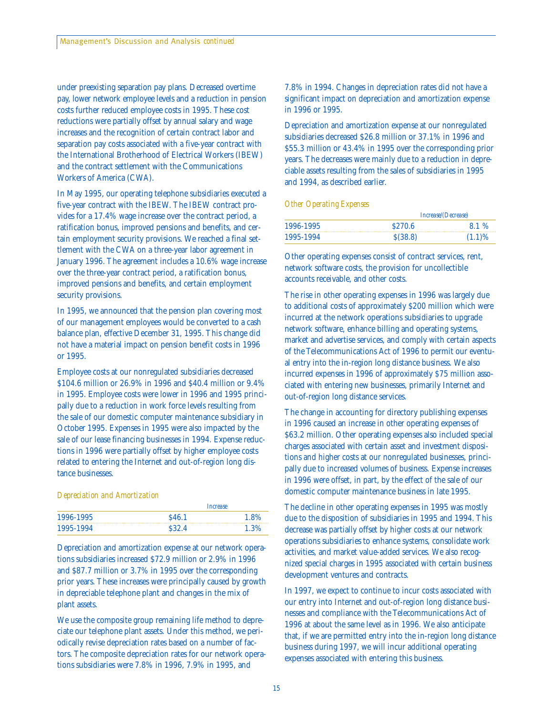under preexisting separation pay plans. Decreased overtime pay, lower network employee levels and a reduction in pension costs further reduced employee costs in 1995. These cost reductions were partially offset by annual salary and wage increases and the recognition of certain contract labor and separation pay costs associated with a five-year contract with the International Brotherhood of Electrical Workers (IBEW) and the contract settlement with the Communications Workers of America (CWA).

In May 1995, our operating telephone subsidiaries executed a five-year contract with the IBEW. The IBEW contract provides for a 17.4% wage increase over the contract period, a ratification bonus, improved pensions and benefits, and certain employment security provisions. We reached a final settlement with the CWA on a three-year labor agreement in January 1996. The agreement includes a 10.6% wage increase over the three-year contract period, a ratification bonus, improved pensions and benefits, and certain employment security provisions.

In 1995, we announced that the pension plan covering most of our management employees would be converted to a cash balance plan, effective December 31, 1995. This change did not have a material impact on pension benefit costs in 1996 or 1995.

Employee costs at our nonregulated subsidiaries decreased \$104.6 million or 26.9% in 1996 and \$40.4 million or 9.4% in 1995. Employee costs were lower in 1996 and 1995 principally due to a reduction in work force levels resulting from the sale of our domestic computer maintenance subsidiary in October 1995. Expenses in 1995 were also impacted by the sale of our lease financing businesses in 1994. Expense reductions in 1996 were partially offset by higher employee costs related to entering the Internet and out-of-region long distance businesses.

#### *Depreciation and Amortization*

| 1996-1995 | Increase          |      |
|-----------|-------------------|------|
|           | S <sub>46.1</sub> | 1.8% |
| 1995-1994 | \$32.4            | 1.3% |

Depreciation and amortization expense at our network operations subsidiaries increased \$72.9 million or 2.9% in 1996 and \$87.7 million or 3.7% in 1995 over the corresponding prior years. These increases were principally caused by growth in depreciable telephone plant and changes in the mix of plant assets.

We use the composite group remaining life method to depreciate our telephone plant assets. Under this method, we periodically revise depreciation rates based on a number of factors. The composite depreciation rates for our network operations subsidiaries were 7.8% in 1996, 7.9% in 1995, and

7.8% in 1994. Changes in depreciation rates did not have a significant impact on depreciation and amortization expense in 1996 or 1995.

Depreciation and amortization expense at our nonregulated subsidiaries decreased \$26.8 million or 37.1% in 1996 and \$55.3 million or 43.4% in 1995 over the corresponding prior years. The decreases were mainly due to a reduction in depreciable assets resulting from the sales of subsidiaries in 1995 and 1994, as described earlier.

#### *Other Operating Expenses*

|           |         | <i>Increase/(Decrease)</i> |  |  |
|-----------|---------|----------------------------|--|--|
| 1996-1995 | \$270.6 | 8.1%                       |  |  |
| 1995-1994 | S(38.8) | $(1.1)\%$                  |  |  |

Other operating expenses consist of contract services, rent, network software costs, the provision for uncollectible accounts receivable, and other costs.

The rise in other operating expenses in 1996 was largely due to additional costs of approximately \$200 million which were incurred at the network operations subsidiaries to upgrade network software, enhance billing and operating systems, market and advertise services, and comply with certain aspects of the Telecommunications Act of 1996 to permit our eventual entry into the in-region long distance business. We also incurred expenses in 1996 of approximately \$75 million associated with entering new businesses, primarily Internet and out-of-region long distance services.

The change in accounting for directory publishing expenses in 1996 caused an increase in other operating expenses of \$63.2 million. Other operating expenses also included special charges associated with certain asset and investment dispositions and higher costs at our nonregulated businesses, principally due to increased volumes of business. Expense increases in 1996 were offset, in part, by the effect of the sale of our domestic computer maintenance business in late 1995.

The decline in other operating expenses in 1995 was mostly due to the disposition of subsidiaries in 1995 and 1994. This decrease was partially offset by higher costs at our network operations subsidiaries to enhance systems, consolidate work activities, and market value-added services. We also recognized special charges in 1995 associated with certain business development ventures and contracts.

In 1997, we expect to continue to incur costs associated with our entry into Internet and out-of-region long distance businesses and compliance with the Telecommunications Act of 1996 at about the same level as in 1996. We also anticipate that, if we are permitted entry into the in-region long distance business during 1997, we will incur additional operating expenses associated with entering this business.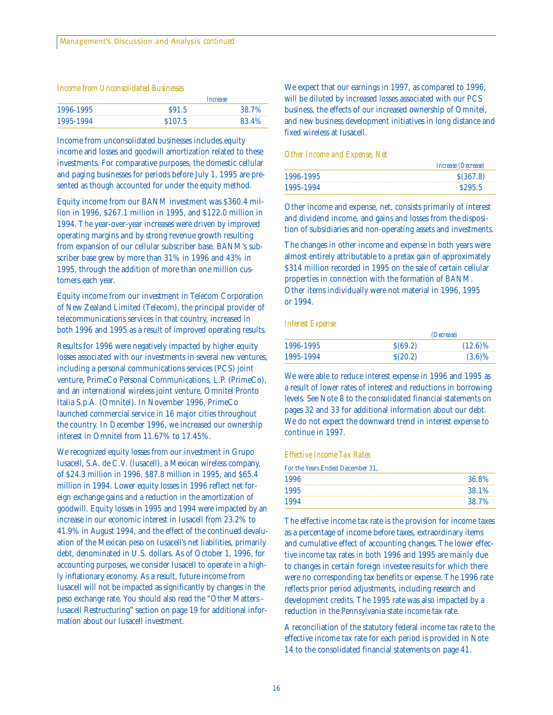#### *Income from Unconsolidated Businesses*

|           | Increase |       |
|-----------|----------|-------|
| 1996-1995 | S91.5    | 38.7% |
| 1995-1994 | \$107.5  | 83.4% |

Income from unconsolidated businesses includes equity income and losses and goodwill amortization related to these investments. For comparative purposes, the domestic cellular and paging businesses for periods before July 1, 1995 are presented as though accounted for under the equity method.

Equity income from our BANM investment was \$360.4 million in 1996, \$267.1 million in 1995, and \$122.0 million in 1994. The year-over-year increases were driven by improved operating margins and by strong revenue growth resulting from expansion of our cellular subscriber base. BANM's subscriber base grew by more than 31% in 1996 and 43% in 1995, through the addition of more than one million customers each year.

Equity income from our investment in Telecom Corporation of New Zealand Limited (Telecom), the principal provider of telecommunications services in that country, increased in both 1996 and 1995 as a result of improved operating results.

Results for 1996 were negatively impacted by higher equity losses associated with our investments in several new ventures, including a personal communications services (PCS) joint venture, PrimeCo Personal Communications, L.P. (PrimeCo), and an international wireless joint venture, Omnitel Pronto Italia S.p.A. (Omnitel). In November 1996, PrimeCo launched commercial service in 16 major cities throughout the country. In December 1996, we increased our ownership interest in Omnitel from 11.67% to 17.45%.

We recognized equity losses from our investment in Grupo Iusacell, S.A. de C.V. (Iusacell), a Mexican wireless company, of \$24.3 million in 1996, \$87.8 million in 1995, and \$65.4 million in 1994. Lower equity losses in 1996 reflect net foreign exchange gains and a reduction in the amortization of goodwill. Equity losses in 1995 and 1994 were impacted by an increase in our economic interest in Iusacell from 23.2% to 41.9% in August 1994, and the effect of the continued devaluation of the Mexican peso on Iusacell's net liabilities, primarily debt, denominated in U.S. dollars. As of October 1, 1996, for accounting purposes, we consider Iusacell to operate in a highly inflationary economy. As a result, future income from Iusacell will not be impacted as significantly by changes in the peso exchange rate. You should also read the "Other Matters - Iusacell Restructuring" section on page 19 for additional information about our Iusacell investment.

We expect that our earnings in 1997, as compared to 1996, will be diluted by increased losses associated with our PCS business, the effects of our increased ownership of Omnitel, and new business development initiatives in long distance and fixed wireless at Iusacell.

#### *Other Income and Expense, Net*

|           | <i>Increase (Decrease)</i> |
|-----------|----------------------------|
| 1996-1995 | \$(367.8)                  |
| 1995-1994 | S <sub>295.5</sub>         |

Other income and expense, net, consists primarily of interest and dividend income, and gains and losses from the disposition of subsidiaries and non-operating assets and investments.

The changes in other income and expense in both years were almost entirely attributable to a pretax gain of approximately \$314 million recorded in 1995 on the sale of certain cellular properties in connection with the formation of BANM. Other items individually were not material in 1996, 1995 or 1994.

#### *Interest Expense*

| 1996-1995 |         | <i>(Decrease)</i> |  |  |
|-----------|---------|-------------------|--|--|
|           | S(69.2) | $(12.6)\%$        |  |  |
| 1995-1994 | S(20.2) | $(3.6)\%$         |  |  |

We were able to reduce interest expense in 1996 and 1995 as a result of lower rates of interest and reductions in borrowing levels. See Note 8 to the consolidated financial statements on pages 32 and 33 for additional information about our debt. We do not expect the downward trend in interest expense to continue in 1997.

#### *Effective Income Tax Rates*

For the Years Ended December 31,

| 1996 | 36.8% |
|------|-------|
| 1995 | 38.1% |
| 1994 | 38.7% |

The effective income tax rate is the provision for income taxes as a percentage of income before taxes, extraordinary items and cumulative effect of accounting changes. The lower effective income tax rates in both 1996 and 1995 are mainly due to changes in certain foreign investee results for which there were no corresponding tax benefits or expense. The 1996 rate reflects prior period adjustments, including research and development credits. The 1995 rate was also impacted by a reduction in the Pennsylvania state income tax rate.

A reconciliation of the statutory federal income tax rate to the effective income tax rate for each period is provided in Note 14 to the consolidated financial statements on page 41.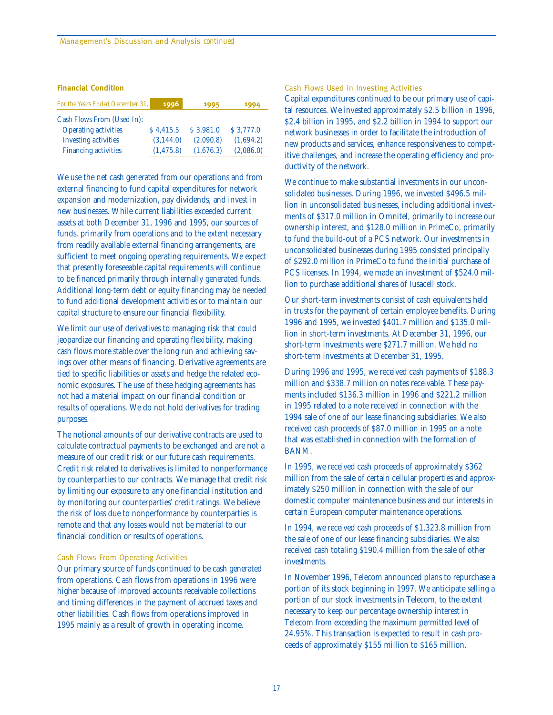#### **Financial Condition**

| For the Years Ended December 31, | 1996       | 1995      | 1994      |
|----------------------------------|------------|-----------|-----------|
| Cash Flows From (Used In):       |            |           |           |
| <b>Operating activities</b>      | \$4.415.5  | \$3.981.0 | \$3,777.0 |
| <b>Investing activities</b>      | (3, 144.0) | (2.090.8) | (1.694.2) |
| <b>Financing activities</b>      | (1, 475.8) | (1,676.3) | (2,086.0) |

We use the net cash generated from our operations and from external financing to fund capital expenditures for network expansion and modernization, pay dividends, and invest in new businesses. While current liabilities exceeded current assets at both December 31, 1996 and 1995, our sources of funds, primarily from operations and to the extent necessary from readily available external financing arrangements, are sufficient to meet ongoing operating requirements. We expect that presently foreseeable capital requirements will continue to be financed primarily through internally generated funds. Additional long-term debt or equity financing may be needed to fund additional development activities or to maintain our capital structure to ensure our financial flexibility.

We limit our use of derivatives to managing risk that could jeopardize our financing and operating flexibility, making cash flows more stable over the long run and achieving savings over other means of financing. Derivative agreements are tied to specific liabilities or assets and hedge the related economic exposures. The use of these hedging agreements has not had a material impact on our financial condition or results of operations. We do not hold derivatives for trading purposes.

The notional amounts of our derivative contracts are used to calculate contractual payments to be exchanged and are not a measure of our credit risk or our future cash requirements. Credit risk related to derivatives is limited to nonperformance by counterparties to our contracts. We manage that credit risk by limiting our exposure to any one financial institution and by monitoring our counterparties' credit ratings. We believe the risk of loss due to nonperformance by counterparties is remote and that any losses would not be material to our financial condition or results of operations.

#### Cash Flows From Operating Activities

Our primary source of funds continued to be cash generated from operations. Cash flows from operations in 1996 were higher because of improved accounts receivable collections and timing differences in the payment of accrued taxes and other liabilities. Cash flows from operations improved in 1995 mainly as a result of growth in operating income.

#### Cash Flows Used in Investing Activities

Capital expenditures continued to be our primary use of capital resources. We invested approximately \$2.5 billion in 1996, \$2.4 billion in 1995, and \$2.2 billion in 1994 to support our network businesses in order to facilitate the introduction of new products and services, enhance responsiveness to competitive challenges, and increase the operating efficiency and productivity of the network.

We continue to make substantial investments in our unconsolidated businesses. During 1996, we invested \$496.5 million in unconsolidated businesses, including additional investments of \$317.0 million in Omnitel, primarily to increase our ownership interest, and \$128.0 million in PrimeCo, primarily to fund the build-out of a PCS network. Our investments in unconsolidated businesses during 1995 consisted principally of \$292.0 million in PrimeCo to fund the initial purchase of PCS licenses. In 1994, we made an investment of \$524.0 million to purchase additional shares of Iusacell stock.

Our short-term investments consist of cash equivalents held in trusts for the payment of certain employee benefits. During 1996 and 1995, we invested \$401.7 million and \$135.0 million in short-term investments. At December 31, 1996, our short-term investments were \$271.7 million. We held no short-term investments at December 31, 1995.

During 1996 and 1995, we received cash payments of \$188.3 million and \$338.7 million on notes receivable. These payments included \$136.3 million in 1996 and \$221.2 million in 1995 related to a note received in connection with the 1994 sale of one of our lease financing subsidiaries. We also received cash proceeds of \$87.0 million in 1995 on a note that was established in connection with the formation of BANM.

In 1995, we received cash proceeds of approximately \$362 million from the sale of certain cellular properties and approximately \$250 million in connection with the sale of our domestic computer maintenance business and our interests in certain European computer maintenance operations.

In 1994, we received cash proceeds of \$1,323.8 million from the sale of one of our lease financing subsidiaries. We also received cash totaling \$190.4 million from the sale of other investments.

In November 1996, Telecom announced plans to repurchase a portion of its stock beginning in 1997. We anticipate selling a portion of our stock investments in Telecom, to the extent necessary to keep our percentage ownership interest in Telecom from exceeding the maximum permitted level of 24.95%. This transaction is expected to result in cash proceeds of approximately \$155 million to \$165 million.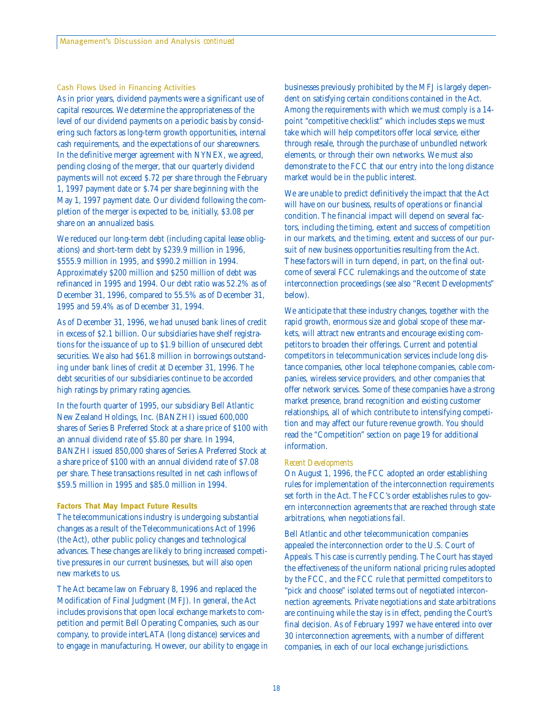#### Cash Flows Used in Financing Activities

As in prior years, dividend payments were a significant use of capital resources. We determine the appropriateness of the level of our dividend payments on a periodic basis by considering such factors as long-term growth opportunities, internal cash requirements, and the expectations of our shareowners. In the definitive merger agreement with NYNEX, we agreed, pending closing of the merger, that our quarterly dividend payments will not exceed \$.72 per share through the February 1, 1997 payment date or \$.74 per share beginning with the May 1, 1997 payment date. Our dividend following the completion of the merger is expected to be, initially, \$3.08 per share on an annualized basis.

We reduced our long-term debt (including capital lease obligations) and short-term debt by \$239.9 million in 1996, \$555.9 million in 1995, and \$990.2 million in 1994. Approximately \$200 million and \$250 million of debt was refinanced in 1995 and 1994. Our debt ratio was 52.2% as of December 31, 1996, compared to 55.5% as of December 31, 1995 and 59.4% as of December 31, 1994.

As of December 31, 1996, we had unused bank lines of credit in excess of \$2.1 billion. Our subsidiaries have shelf registrations for the issuance of up to \$1.9 billion of unsecured debt securities. We also had \$61.8 million in borrowings outstanding under bank lines of credit at December 31, 1996. The debt securities of our subsidiaries continue to be accorded high ratings by primary rating agencies.

In the fourth quarter of 1995, our subsidiary Bell Atlantic New Zealand Holdings, Inc. (BANZHI) issued 600,000 shares of Series B Preferred Stock at a share price of \$100 with an annual dividend rate of \$5.80 per share. In 1994, BANZHI issued 850,000 shares of Series A Preferred Stock at a share price of \$100 with an annual dividend rate of \$7.08 per share. These transactions resulted in net cash inflows of \$59.5 million in 1995 and \$85.0 million in 1994.

#### **Factors That May Impact Future Results**

The telecommunications industry is undergoing substantial changes as a result of the Telecommunications Act of 1996 (the Act), other public policy changes and technological advances. These changes are likely to bring increased competitive pressures in our current businesses, but will also open new markets to us.

The Act became law on February 8, 1996 and replaced the Modification of Final Judgment (MFJ). In general, the Act includes provisions that open local exchange markets to competition and permit Bell Operating Companies, such as our company, to provide interLATA (long distance) services and to engage in manufacturing. However, our ability to engage in businesses previously prohibited by the MFJ is largely dependent on satisfying certain conditions contained in the Act. Among the requirements with which we must comply is a 14 point "competitive checklist" which includes steps we must take which will help competitors offer local service, either through resale, through the purchase of unbundled network elements, or through their own networks. We must also demonstrate to the FCC that our entry into the long distance market would be in the public interest.

We are unable to predict definitively the impact that the Act will have on our business, results of operations or financial condition. The financial impact will depend on several factors, including the timing, extent and success of competition in our markets, and the timing, extent and success of our pursuit of new business opportunities resulting from the Act. These factors will in turn depend, in part, on the final outcome of several FCC rulemakings and the outcome of state interconnection proceedings (see also "Recent Developments" below).

We anticipate that these industry changes, together with the rapid growth, enormous size and global scope of these markets, will attract new entrants and encourage existing competitors to broaden their offerings. Current and potential competitors in telecommunication services include long distance companies, other local telephone companies, cable companies, wireless service providers, and other companies that offer network services. Some of these companies have a strong market presence, brand recognition and existing customer relationships, all of which contribute to intensifying competition and may affect our future revenue growth. You should read the "Competition" section on page 19 for additional information.

#### *Recent Developments*

On August 1, 1996, the FCC adopted an order establishing rules for implementation of the interconnection requirements set forth in the Act. The FCC's order establishes rules to govern interconnection agreements that are reached through state arbitrations, when negotiations fail.

Bell Atlantic and other telecommunication companies appealed the interconnection order to the U.S. Court of Appeals. This case is currently pending. The Court has stayed the effectiveness of the uniform national pricing rules adopted by the FCC, and the FCC rule that permitted competitors to "pick and choose" isolated terms out of negotiated interconnection agreements. Private negotiations and state arbitrations are continuing while the stay is in effect, pending the Court's final decision. As of February 1997 we have entered into over 30 interconnection agreements, with a number of different companies, in each of our local exchange jurisdictions.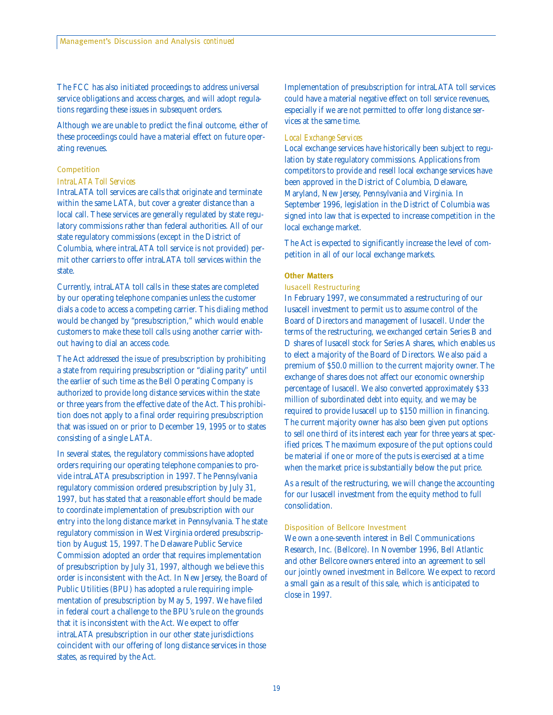The FCC has also initiated proceedings to address universal service obligations and access charges, and will adopt regulations regarding these issues in subsequent orders.

Although we are unable to predict the final outcome, either of these proceedings could have a material effect on future operating revenues.

#### Competition

#### *IntraLATA Toll Services*

IntraLATA toll services are calls that originate and terminate within the same LATA, but cover a greater distance than a local call. These services are generally regulated by state regulatory commissions rather than federal authorities. All of our state regulatory commissions (except in the District of Columbia, where intraLATA toll service is not provided) permit other carriers to offer intraLATA toll services within the state.

Currently, intraLATA toll calls in these states are completed by our operating telephone companies unless the customer dials a code to access a competing carrier. This dialing method would be changed by "presubscription," which would enable customers to make these toll calls using another carrier without having to dial an access code.

The Act addressed the issue of presubscription by prohibiting a state from requiring presubscription or "dialing parity" until the earlier of such time as the Bell Operating Company is authorized to provide long distance services within the state or three years from the effective date of the Act. This prohibition does not apply to a final order requiring presubscription that was issued on or prior to December 19, 1995 or to states consisting of a single LATA.

In several states, the regulatory commissions have adopted orders requiring our operating telephone companies to provide intraLATA presubscription in 1997. The Pennsylvania regulatory commission ordered presubscription by July 31, 1997, but has stated that a reasonable effort should be made to coordinate implementation of presubscription with our entry into the long distance market in Pennsylvania. The state regulatory commission in West Virginia ordered presubscription by August 15, 1997. The Delaware Public Service Commission adopted an order that requires implementation of presubscription by July 31, 1997, although we believe this order is inconsistent with the Act. In New Jersey, the Board of Public Utilities (BPU) has adopted a rule requiring implementation of presubscription by May 5, 1997. We have filed in federal court a challenge to the BPU's rule on the grounds that it is inconsistent with the Act. We expect to offer intraLATA presubscription in our other state jurisdictions coincident with our offering of long distance services in those states, as required by the Act.

Implementation of presubscription for intraLATA toll services could have a material negative effect on toll service revenues, especially if we are not permitted to offer long distance services at the same time.

#### *Local Exchange Services*

Local exchange services have historically been subject to regulation by state regulatory commissions. Applications from competitors to provide and resell local exchange services have been approved in the District of Columbia, Delaware, Maryland, New Jersey, Pennsylvania and Virginia. In September 1996, legislation in the District of Columbia was signed into law that is expected to increase competition in the local exchange market.

The Act is expected to significantly increase the level of competition in all of our local exchange markets.

#### **Other Matters**

#### Iusacell Restructuring

In February 1997, we consummated a restructuring of our Iusacell investment to permit us to assume control of the Board of Directors and management of Iusacell. Under the terms of the restructuring, we exchanged certain Series B and D shares of Iusacell stock for Series A shares, which enables us to elect a majority of the Board of Directors. We also paid a premium of \$50.0 million to the current majority owner. The exchange of shares does not affect our economic ownership percentage of Iusacell. We also converted approximately \$33 million of subordinated debt into equity, and we may be required to provide Iusacell up to \$150 million in financing. The current majority owner has also been given put options to sell one third of its interest each year for three years at specified prices. The maximum exposure of the put options could be material if one or more of the puts is exercised at a time when the market price is substantially below the put price.

As a result of the restructuring, we will change the accounting for our Iusacell investment from the equity method to full consolidation.

#### Disposition of Bellcore Investment

We own a one-seventh interest in Bell Communications Research, Inc. (Bellcore). In November 1996, Bell Atlantic and other Bellcore owners entered into an agreement to sell our jointly owned investment in Bellcore. We expect to record a small gain as a result of this sale, which is anticipated to close in 1997.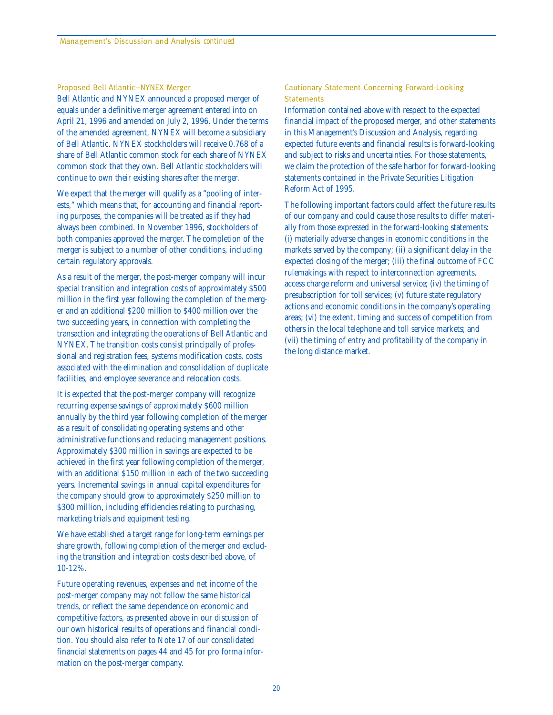#### Proposed Bell Atlantic–NYNEX Merger

Bell Atlantic and NYNEX announced a proposed merger of equals under a definitive merger agreement entered into on April 21, 1996 and amended on July 2, 1996. Under the terms of the amended agreement, NYNEX will become a subsidiary of Bell Atlantic. NYNEX stockholders will receive 0.768 of a share of Bell Atlantic common stock for each share of NYNEX common stock that they own. Bell Atlantic stockholders will continue to own their existing shares after the merger.

We expect that the merger will qualify as a "pooling of interests," which means that, for accounting and financial reporting purposes, the companies will be treated as if they had always been combined. In November 1996, stockholders of both companies approved the merger. The completion of the merger is subject to a number of other conditions, including certain regulatory approvals.

As a result of the merger, the post-merger company will incur special transition and integration costs of approximately \$500 million in the first year following the completion of the merger and an additional \$200 million to \$400 million over the two succeeding years, in connection with completing the transaction and integrating the operations of Bell Atlantic and NYNEX. The transition costs consist principally of professional and registration fees, systems modification costs, costs associated with the elimination and consolidation of duplicate facilities, and employee severance and relocation costs.

It is expected that the post-merger company will recognize recurring expense savings of approximately \$600 million annually by the third year following completion of the merger as a result of consolidating operating systems and other administrative functions and reducing management positions. Approximately \$300 million in savings are expected to be achieved in the first year following completion of the merger, with an additional \$150 million in each of the two succeeding years. Incremental savings in annual capital expenditures for the company should grow to approximately \$250 million to \$300 million, including efficiencies relating to purchasing, marketing trials and equipment testing.

We have established a target range for long-term earnings per share growth, following completion of the merger and excluding the transition and integration costs described above, of 10-12%.

Future operating revenues, expenses and net income of the post-merger company may not follow the same historical trends, or reflect the same dependence on economic and competitive factors, as presented above in our discussion of our own historical results of operations and financial condition. You should also refer to Note 17 of our consolidated financial statements on pages 44 and 45 for pro forma information on the post-merger company.

#### Cautionary Statement Concerning Forward-Looking **Statements**

Information contained above with respect to the expected financial impact of the proposed merger, and other statements in this Management's Discussion and Analysis, regarding expected future events and financial results is forward-looking and subject to risks and uncertainties. For those statements, we claim the protection of the safe harbor for forward-looking statements contained in the Private Securities Litigation Reform Act of 1995.

The following important factors could affect the future results of our company and could cause those results to differ materially from those expressed in the forward-looking statements: (i) materially adverse changes in economic conditions in the markets served by the company; (ii) a significant delay in the expected closing of the merger; (iii) the final outcome of FCC rulemakings with respect to interconnection agreements, access charge reform and universal service; (iv) the timing of presubscription for toll services; (v) future state regulatory actions and economic conditions in the company's operating areas; (vi) the extent, timing and success of competition from others in the local telephone and toll service markets; and (vii) the timing of entry and profitability of the company in the long distance market.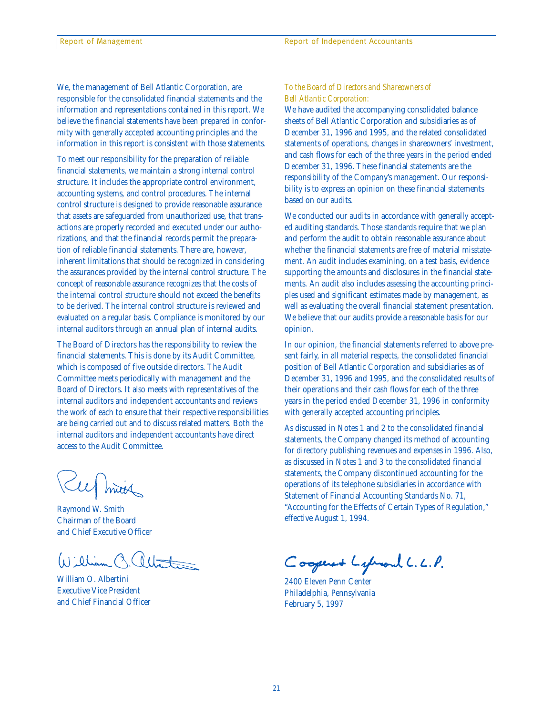We, the management of Bell Atlantic Corporation, are responsible for the consolidated financial statements and the information and representations contained in this report. We believe the financial statements have been prepared in conformity with generally accepted accounting principles and the information in this report is consistent with those statements.

To meet our responsibility for the preparation of reliable financial statements, we maintain a strong internal control structure. It includes the appropriate control environment, accounting systems, and control procedures. The internal control structure is designed to provide reasonable assurance that assets are safeguarded from unauthorized use, that transactions are properly recorded and executed under our authorizations, and that the financial records permit the preparation of reliable financial statements. There are, however, inherent limitations that should be recognized in considering the assurances provided by the internal control structure. The concept of reasonable assurance recognizes that the costs of the internal control structure should not exceed the benefits to be derived. The internal control structure is reviewed and evaluated on a regular basis. Compliance is monitored by our internal auditors through an annual plan of internal audits.

The Board of Directors has the responsibility to review the financial statements. This is done by its Audit Committee, which is composed of five outside directors. The Audit Committee meets periodically with management and the Board of Directors. It also meets with representatives of the internal auditors and independent accountants and reviews the work of each to ensure that their respective responsibilities are being carried out and to discuss related matters. Both the internal auditors and independent accountants have direct access to the Audit Committee.

Kurmin

Raymond W. Smith Chairman of the Board and Chief Executive Officer

William C. altat

William O. Albertini Executive Vice President and Chief Financial Officer

#### *To the Board of Directors and Shareowners of Bell Atlantic Corporation:*

We have audited the accompanying consolidated balance sheets of Bell Atlantic Corporation and subsidiaries as of December 31, 1996 and 1995, and the related consolidated statements of operations, changes in shareowners' investment, and cash flows for each of the three years in the period ended December 31, 1996. These financial statements are the responsibility of the Company's management. Our responsibility is to express an opinion on these financial statements based on our audits.

We conducted our audits in accordance with generally accepted auditing standards. Those standards require that we plan and perform the audit to obtain reasonable assurance about whether the financial statements are free of material misstatement. An audit includes examining, on a test basis, evidence supporting the amounts and disclosures in the financial statements. An audit also includes assessing the accounting principles used and significant estimates made by management, as well as evaluating the overall financial statement presentation. We believe that our audits provide a reasonable basis for our opinion.

In our opinion, the financial statements referred to above present fairly, in all material respects, the consolidated financial position of Bell Atlantic Corporation and subsidiaries as of December 31, 1996 and 1995, and the consolidated results of their operations and their cash flows for each of the three years in the period ended December 31, 1996 in conformity with generally accepted accounting principles.

As discussed in Notes 1 and 2 to the consolidated financial statements, the Company changed its method of accounting for directory publishing revenues and expenses in 1996. Also, as discussed in Notes 1 and 3 to the consolidated financial statements, the Company discontinued accounting for the operations of its telephone subsidiaries in accordance with Statement of Financial Accounting Standards No. 71, "Accounting for the Effects of Certain Types of Regulation," effective August 1, 1994.

Coopered Lyhand L. L.P.

2400 Eleven Penn Center Philadelphia, Pennsylvania February 5, 1997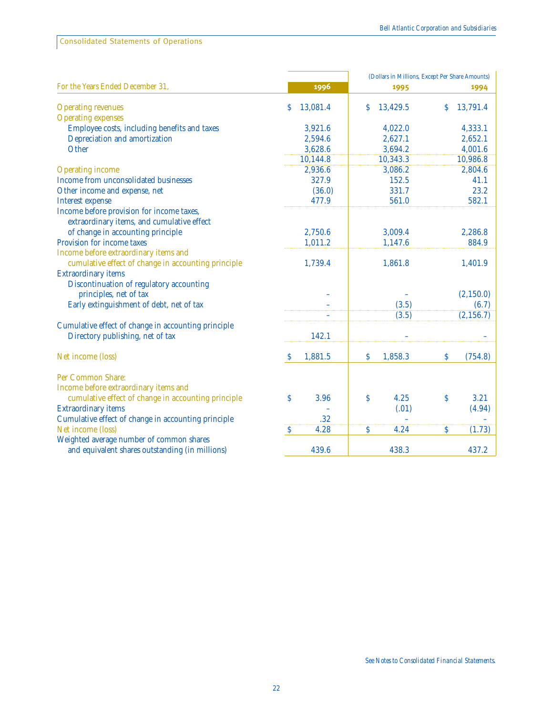Consolidated Statements of Operations

|                                                                                         |                         | (Dollars in Millions, Except Per Share Amounts) |                                   |  |
|-----------------------------------------------------------------------------------------|-------------------------|-------------------------------------------------|-----------------------------------|--|
| For the Years Ended December 31,                                                        | 1996                    | 1995                                            | 1994                              |  |
| <b>Operating revenues</b>                                                               | 13,081.4<br>\$          | 13,429.5<br>S.                                  | 13,791.4<br>\$                    |  |
| <b>Operating expenses</b>                                                               |                         |                                                 |                                   |  |
| Employee costs, including benefits and taxes                                            | 3,921.6                 | 4,022.0                                         | 4,333.1                           |  |
| Depreciation and amortization                                                           | 2,594.6                 | 2,627.1                                         | 2,652.1                           |  |
| Other                                                                                   | 3,628.6                 | 3,694.2                                         | 4,001.6                           |  |
|                                                                                         | 10,144.8                | 10,343.3                                        | 10,986.8                          |  |
| <b>Operating income</b>                                                                 | 2,936.6                 | 3,086.2                                         | 2,804.6                           |  |
| Income from unconsolidated businesses                                                   | 327.9                   | 152.5                                           | 41.1                              |  |
| Other income and expense, net                                                           | (36.0)                  | 331.7                                           | 23.2                              |  |
| <b>Interest expense</b>                                                                 | 477.9                   | 561.0                                           | 582.1                             |  |
| Income before provision for income taxes,<br>extraordinary items, and cumulative effect |                         |                                                 |                                   |  |
| of change in accounting principle                                                       | 2,750.6                 | 3,009.4                                         | 2,286.8                           |  |
| Provision for income taxes                                                              | 1,011.2                 | 1,147.6                                         | 884.9                             |  |
| Income before extraordinary items and                                                   |                         |                                                 |                                   |  |
| cumulative effect of change in accounting principle                                     | 1,739.4                 | 1,861.8                                         | 1,401.9                           |  |
| <b>Extraordinary items</b>                                                              |                         |                                                 |                                   |  |
| Discontinuation of regulatory accounting                                                |                         |                                                 |                                   |  |
| principles, net of tax                                                                  |                         |                                                 | (2,150.0)                         |  |
| Early extinguishment of debt, net of tax                                                |                         | (3.5)                                           | (6.7)                             |  |
|                                                                                         |                         | (3.5)                                           | (2, 156.7)                        |  |
| Cumulative effect of change in accounting principle                                     |                         |                                                 |                                   |  |
| Directory publishing, net of tax                                                        | 142.1                   |                                                 |                                   |  |
| Net income (loss)                                                                       | 1,881.5<br><sup>S</sup> | \$<br>1,858.3                                   | \$<br>(754.8)                     |  |
| Per Common Share:                                                                       |                         |                                                 |                                   |  |
| Income before extraordinary items and                                                   |                         |                                                 |                                   |  |
| cumulative effect of change in accounting principle                                     | \$<br>3.96              | \$<br>4.25                                      | $\boldsymbol{\mathsf{S}}$<br>3.21 |  |
| <b>Extraordinary items</b>                                                              |                         | (.01)                                           | (4.94)                            |  |
| Cumulative effect of change in accounting principle                                     | .32                     |                                                 |                                   |  |
| Net income (loss)                                                                       | 4.28<br>\$              | \$<br>4.24                                      | $\mathsf{S}$<br>(1.73)            |  |
| Weighted average number of common shares                                                |                         |                                                 |                                   |  |
| and equivalent shares outstanding (in millions)                                         | 439.6                   | 438.3                                           | 437.2                             |  |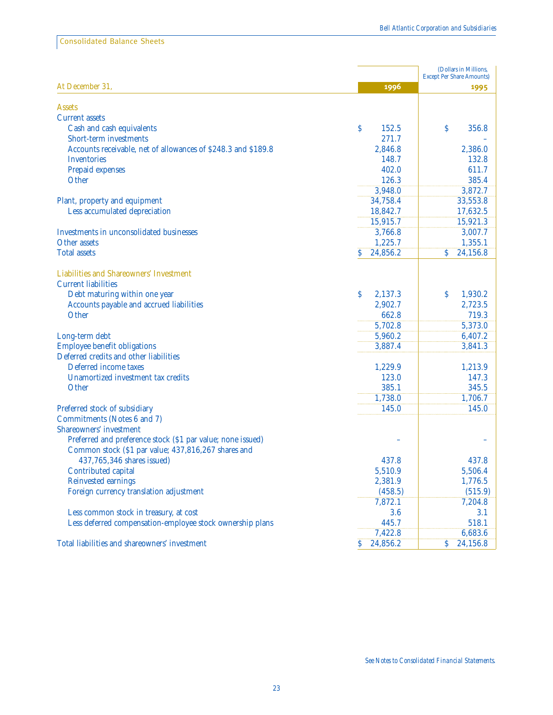Consolidated Balance Sheets

|                                                               |                          | (Dollars in Millions,<br><b>Except Per Share Amounts)</b> |
|---------------------------------------------------------------|--------------------------|-----------------------------------------------------------|
| At December 31,                                               | 1996                     | 1995                                                      |
|                                                               |                          |                                                           |
| <b>Assets</b>                                                 |                          |                                                           |
| <b>Current assets</b>                                         |                          |                                                           |
| Cash and cash equivalents                                     | \$<br>152.5              | \$<br>356.8                                               |
| Short-term investments                                        | 271.7                    |                                                           |
| Accounts receivable, net of allowances of \$248.3 and \$189.8 | 2,846.8                  | 2,386.0                                                   |
| Inventories                                                   | 148.7                    | 132.8                                                     |
| Prepaid expenses                                              | 402.0                    | 611.7                                                     |
| Other                                                         | 126.3                    | 385.4                                                     |
|                                                               | 3,948.0                  | 3,872.7                                                   |
| Plant, property and equipment                                 | 34,758.4                 | 33,553.8                                                  |
| Less accumulated depreciation                                 | 18,842.7                 | 17,632.5                                                  |
|                                                               | 15,915.7                 | 15,921.3                                                  |
| <b>Investments in unconsolidated businesses</b>               | 3,766.8                  | 3,007.7                                                   |
| Other assets                                                  | 1,225.7                  | 1,355.1                                                   |
| <b>Total assets</b>                                           | 24,856.2<br>S            | <sup>S</sup><br>24,156.8                                  |
| Liabilities and Shareowners' Investment                       |                          |                                                           |
| <b>Current liabilities</b>                                    |                          |                                                           |
| Debt maturing within one year                                 | 2,137.3<br>S             | <sup>S</sup><br>1,930.2                                   |
| Accounts payable and accrued liabilities                      | 2,902.7                  | 2,723.5                                                   |
| Other                                                         | 662.8                    | 719.3                                                     |
|                                                               | 5,702.8                  | 5,373.0                                                   |
| Long-term debt                                                | 5,960.2                  | 6,407.2                                                   |
| <b>Employee benefit obligations</b>                           | 3,887.4                  | 3,841.3                                                   |
| Deferred credits and other liabilities                        |                          |                                                           |
| Deferred income taxes                                         | 1,229.9                  | 1,213.9                                                   |
| Unamortized investment tax credits                            | 123.0                    | 147.3                                                     |
| Other                                                         | 385.1                    | 345.5                                                     |
|                                                               | 1,738.0                  | 1,706.7                                                   |
| Preferred stock of subsidiary                                 | 145.0                    | 145.0                                                     |
| Commitments (Notes 6 and 7)                                   |                          |                                                           |
| <b>Shareowners' investment</b>                                |                          |                                                           |
| Preferred and preference stock (\$1 par value; none issued)   |                          |                                                           |
| Common stock (\$1 par value; 437,816,267 shares and           |                          |                                                           |
| 437,765,346 shares issued)                                    | 437.8                    | 437.8                                                     |
| Contributed capital                                           | 5,510.9                  | 5,506.4                                                   |
| <b>Reinvested earnings</b>                                    | 2,381.9                  | 1,776.5                                                   |
| Foreign currency translation adjustment                       | (458.5)                  | (515.9)                                                   |
|                                                               | 7,872.1                  | 7,204.8                                                   |
| Less common stock in treasury, at cost                        | 3.6                      | 3.1                                                       |
| Less deferred compensation-employee stock ownership plans     | 445.7                    | 518.1                                                     |
|                                                               | 7,422.8                  | 6,683.6                                                   |
| Total liabilities and shareowners' investment                 | 24,856.2<br><sup>S</sup> | 24,156.8<br>\$                                            |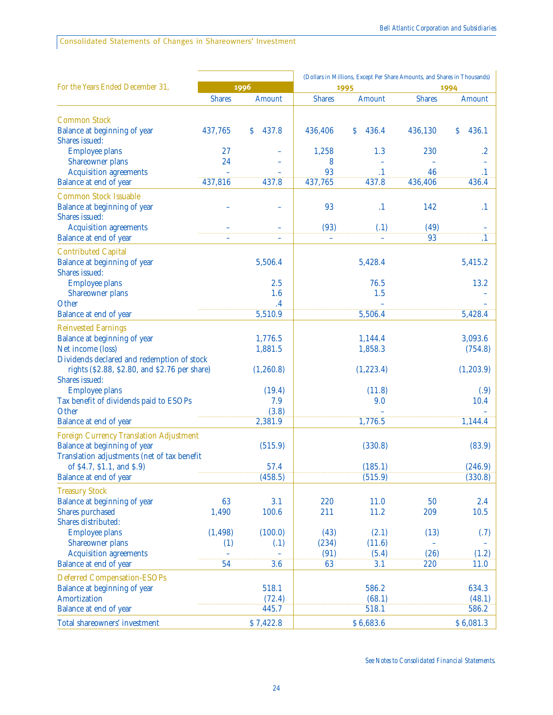| <b>Shares</b><br>Amount<br><b>Shares</b><br>Amount<br><b>Shares</b><br>Amount                                                                                  |           |
|----------------------------------------------------------------------------------------------------------------------------------------------------------------|-----------|
|                                                                                                                                                                |           |
| <b>Common Stock</b><br>437,765<br>437.8<br>436.4<br>Balance at beginning of year<br>\$<br>436,406<br>\$<br>436,130<br>\$<br>Shares issued:                     | 436.1     |
| <b>Employee plans</b><br>27<br>1.3<br>230<br>1,258                                                                                                             | $\cdot^2$ |
| 24<br>Shareowner plans<br>8                                                                                                                                    |           |
| 93<br>$\cdot$ 1<br>46<br><b>Acquisition agreements</b>                                                                                                         | $\cdot$ 1 |
| Balance at end of year<br>437,816<br>437,765<br>437.8<br>436,406<br>437.8                                                                                      | 436.4     |
| <b>Common Stock Issuable</b><br>Balance at beginning of year<br>93<br>142<br>$\cdot$ 1<br>Shares issued:                                                       | $\cdot^1$ |
| <b>Acquisition agreements</b><br>(93)<br>(49)<br>(.1)<br>93<br>Balance at end of year                                                                          | $\cdot^1$ |
|                                                                                                                                                                |           |
| <b>Contributed Capital</b><br>Balance at beginning of year<br>5,506.4<br>5,428.4<br>5,415.2<br><b>Shares</b> issued:                                           |           |
| <b>Employee plans</b><br>2.5<br>76.5                                                                                                                           | 13.2      |
| <b>Shareowner plans</b><br>1.6<br>1.5                                                                                                                          |           |
| Other<br>$\cdot$ <sup>4</sup>                                                                                                                                  |           |
| Balance at end of year<br>5,510.9<br>5,506.4<br>5,428.4                                                                                                        |           |
| <b>Reinvested Earnings</b>                                                                                                                                     |           |
| Balance at beginning of year<br>3,093.6<br>1,776.5<br>1,144.4                                                                                                  |           |
| Net income (loss)<br>1,881.5<br>1,858.3                                                                                                                        | (754.8)   |
| Dividends declared and redemption of stock<br>rights (\$2.88, \$2.80, and \$2.76 per share)<br>(1, 260.8)<br>(1, 223.4)<br>(1, 203.9)<br><b>Shares</b> issued: |           |
| <b>Employee plans</b><br>(19.4)<br>(11.8)                                                                                                                      | (.9)      |
| Tax benefit of dividends paid to ESOPs<br>7.9<br>9.0                                                                                                           | 10.4      |
| Other<br>(3.8)                                                                                                                                                 |           |
| 2,381.9<br>1,776.5<br>Balance at end of year<br>1,144.4                                                                                                        |           |
| <b>Foreign Currency Translation Adjustment</b><br>Balance at beginning of year<br>(515.9)<br>(330.8)<br>Translation adjustments (net of tax benefit            | (83.9)    |
| of \$4.7, \$1.1, and \$.9)<br>57.4<br>(185.1)                                                                                                                  | (246.9)   |
| Balance at end of year<br>(458.5)<br>(515.9)                                                                                                                   | (330.8)   |
| <b>Treasury Stock</b>                                                                                                                                          |           |
| Balance at beginning of year<br>63<br>3.1<br>220<br>11.0<br>50                                                                                                 | 2.4       |
| <b>Shares</b> purchased<br>1,490<br>100.6<br>211<br>209<br>11.2                                                                                                | 10.5      |
| Shares distributed:                                                                                                                                            |           |
| (1, 498)<br>(100.0)<br>(43)<br>(2.1)<br>(13)<br><b>Employee plans</b>                                                                                          | (.7)      |
| <b>Shareowner plans</b><br>(234)<br>(11.6)<br>(1)<br>(.1)<br><b>Acquisition agreements</b><br>(26)<br>(91)<br>(5.4)                                            | (1.2)     |
| 54<br>Balance at end of year<br>3.6<br>220<br>63<br>3.1                                                                                                        | 11.0      |
|                                                                                                                                                                |           |
| <b>Deferred Compensation-ESOPs</b><br>518.1<br>586.2<br>Balance at beginning of year                                                                           | 634.3     |
| <b>Amortization</b><br>(72.4)<br>(68.1)                                                                                                                        | (48.1)    |
| Balance at end of year<br>518.1<br>445.7                                                                                                                       | 586.2     |
| Total shareowners' investment<br>\$7,422.8<br>\$6,683.6<br>\$6,081.3                                                                                           |           |

*See Notes to Consolidated Financial Statements.*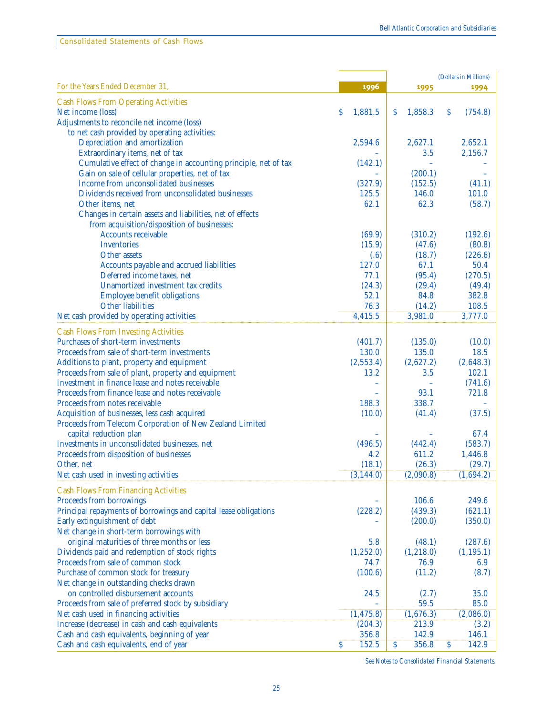Consolidated Statements of Cash Flows

|                                                                  |                                   |              | (Dollars in Millions)             |
|------------------------------------------------------------------|-----------------------------------|--------------|-----------------------------------|
| For the Years Ended December 31,                                 | 1996                              | 1995         | 1994                              |
| <b>Cash Flows From Operating Activities</b>                      |                                   |              |                                   |
| Net income (loss)                                                | \$<br>1,881.5                     | S<br>1,858.3 | \$<br>(754.8)                     |
| Adjustments to reconcile net income (loss)                       |                                   |              |                                   |
| to net cash provided by operating activities:                    |                                   |              |                                   |
| Depreciation and amortization                                    | 2,594.6                           | 2,627.1      | 2,652.1                           |
| Extraordinary items, net of tax                                  |                                   | 3.5          | 2,156.7                           |
| Cumulative effect of change in accounting principle, net of tax  | (142.1)                           |              |                                   |
| Gain on sale of cellular properties, net of tax                  |                                   | (200.1)      |                                   |
| Income from unconsolidated businesses                            | (327.9)                           | (152.5)      | (41.1)                            |
| Dividends received from unconsolidated businesses                | 125.5                             | 146.0        | 101.0                             |
| Other items, net                                                 | 62.1                              | 62.3         | (58.7)                            |
| Changes in certain assets and liabilities, net of effects        |                                   |              |                                   |
| from acquisition/disposition of businesses:                      |                                   |              |                                   |
| <b>Accounts receivable</b>                                       | (69.9)                            | (310.2)      | (192.6)                           |
| <b>Inventories</b>                                               | (15.9)                            | (47.6)       | (80.8)                            |
| Other assets                                                     | (.6)                              | (18.7)       | (226.6)                           |
| Accounts payable and accrued liabilities                         | 127.0                             | 67.1         | 50.4                              |
| Deferred income taxes, net                                       | 77.1                              | (95.4)       | (270.5)                           |
| Unamortized investment tax credits                               | (24.3)                            | (29.4)       | (49.4)                            |
| <b>Employee benefit obligations</b>                              | 52.1                              | 84.8         | 382.8                             |
| <b>Other liabilities</b>                                         | 76.3                              | (14.2)       | 108.5                             |
| Net cash provided by operating activities                        | 4,415.5                           | 3,981.0      | 3,777.0                           |
|                                                                  |                                   |              |                                   |
| <b>Cash Flows From Investing Activities</b>                      |                                   |              |                                   |
| Purchases of short-term investments                              | (401.7)                           | (135.0)      | (10.0)                            |
| Proceeds from sale of short-term investments                     | 130.0                             | 135.0        | 18.5                              |
| Additions to plant, property and equipment                       | (2,553.4)                         | (2,627.2)    | (2,648.3)                         |
| Proceeds from sale of plant, property and equipment              | 13.2                              | 3.5          | 102.1                             |
| Investment in finance lease and notes receivable                 |                                   |              | (741.6)                           |
| Proceeds from finance lease and notes receivable                 |                                   | 93.1         | 721.8                             |
| Proceeds from notes receivable                                   | 188.3                             | 338.7        |                                   |
| Acquisition of businesses, less cash acquired                    | (10.0)                            | (41.4)       | (37.5)                            |
| Proceeds from Telecom Corporation of New Zealand Limited         |                                   |              |                                   |
| capital reduction plan                                           |                                   |              | 67.4                              |
| Investments in unconsolidated businesses, net                    | (496.5)                           | (442.4)      | (583.7)                           |
| Proceeds from disposition of businesses                          | 4.2                               | 611.2        | 1,446.8                           |
| Other, net                                                       | (18.1)                            | (26.3)       | (29.7)                            |
| Net cash used in investing activities                            | (3, 144.0)                        | (2,090.8)    | (1,694.2)                         |
| <b>Cash Flows From Financing Activities</b>                      |                                   |              |                                   |
| Proceeds from borrowings                                         |                                   | 106.6        | 249.6                             |
| Principal repayments of borrowings and capital lease obligations | (228.2)                           | (439.3)      | (621.1)                           |
| Early extinguishment of debt                                     |                                   | (200.0)      | (350.0)                           |
| Net change in short-term borrowings with                         |                                   |              |                                   |
| original maturities of three months or less                      | 5.8                               | (48.1)       | (287.6)                           |
| Dividends paid and redemption of stock rights                    | (1,252.0)                         | (1, 218.0)   | (1, 195.1)                        |
| Proceeds from sale of common stock                               | 74.7                              | 76.9         | 6.9                               |
| Purchase of common stock for treasury                            | (100.6)                           | (11.2)       | (8.7)                             |
| Net change in outstanding checks drawn                           |                                   |              |                                   |
| on controlled disbursement accounts                              | 24.5                              | (2.7)        | 35.0                              |
| Proceeds from sale of preferred stock by subsidiary              |                                   | 59.5         | 85.0                              |
| Net cash used in financing activities                            | (1, 475.8)                        | (1,676.3)    | (2,086.0)                         |
| Increase (decrease) in cash and cash equivalents                 | (204.3)                           | 213.9        | (3.2)                             |
| Cash and cash equivalents, beginning of year                     | 356.8                             | 142.9        | 146.1                             |
| Cash and cash equivalents, end of year                           | $\overline{\mathcal{S}}$<br>152.5 | \$<br>356.8  | $\overline{\mathcal{S}}$<br>142.9 |

*See Notes to Consolidated Financial Statements.*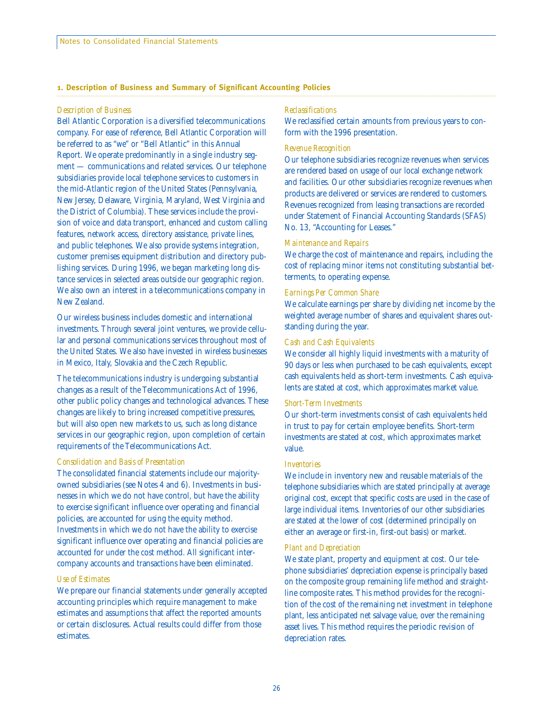#### **1. Description of Business and Summary of Significant Accounting Policies**

#### *Description of Business*

Bell Atlantic Corporation is a diversified telecommunications company. For ease of reference, Bell Atlantic Corporation will be referred to as "we" or "Bell Atlantic" in this Annual Report. We operate predominantly in a single industry segment — communications and related services. Our telephone subsidiaries provide local telephone services to customers in the mid-Atlantic region of the United States (Pennsylvania, New Jersey, Delaware, Virginia, Maryland, West Virginia and the District of Columbia). These services include the provision of voice and data transport, enhanced and custom calling features, network access, directory assistance, private lines, and public telephones. We also provide systems integration, customer premises equipment distribution and directory publishing services. During 1996, we began marketing long distance services in selected areas outside our geographic region. We also own an interest in a telecommunications company in New Zealand.

Our wireless business includes domestic and international investments. Through several joint ventures, we provide cellular and personal communications services throughout most of the United States. We also have invested in wireless businesses in Mexico, Italy, Slovakia and the Czech Republic.

The telecommunications industry is undergoing substantial changes as a result of the Telecommunications Act of 1996, other public policy changes and technological advances. These changes are likely to bring increased competitive pressures, but will also open new markets to us, such as long distance services in our geographic region, upon completion of certain requirements of the Telecommunications Act.

#### *Consolidation and Basis of Presentation*

The consolidated financial statements include our majorityowned subsidiaries (see Notes 4 and 6). Investments in businesses in which we do not have control, but have the ability to exercise significant influence over operating and financial policies, are accounted for using the equity method. Investments in which we do not have the ability to exercise significant influence over operating and financial policies are accounted for under the cost method. All significant intercompany accounts and transactions have been eliminated.

#### *Use of Estimates*

We prepare our financial statements under generally accepted accounting principles which require management to make estimates and assumptions that affect the reported amounts or certain disclosures. Actual results could differ from those estimates.

#### *Reclassifications*

We reclassified certain amounts from previous years to conform with the 1996 presentation.

#### *Revenue Recognition*

Our telephone subsidiaries recognize revenues when services are rendered based on usage of our local exchange network and facilities. Our other subsidiaries recognize revenues when products are delivered or services are rendered to customers. Revenues recognized from leasing transactions are recorded under Statement of Financial Accounting Standards (SFAS) No. 13, "Accounting for Leases."

#### *Maintenance and Repairs*

We charge the cost of maintenance and repairs, including the cost of replacing minor items not constituting substantial betterments, to operating expense.

#### *Earnings Per Common Share*

We calculate earnings per share by dividing net income by the weighted average number of shares and equivalent shares outstanding during the year.

#### *Cash and Cash Equivalents*

We consider all highly liquid investments with a maturity of 90 days or less when purchased to be cash equivalents, except cash equivalents held as short-term investments. Cash equivalents are stated at cost, which approximates market value.

#### *Short-Term Investments*

Our short-term investments consist of cash equivalents held in trust to pay for certain employee benefits. Short-term investments are stated at cost, which approximates market value.

#### *Inventories*

We include in inventory new and reusable materials of the telephone subsidiaries which are stated principally at average original cost, except that specific costs are used in the case of large individual items. Inventories of our other subsidiaries are stated at the lower of cost (determined principally on either an average or first-in, first-out basis) or market.

#### *Plant and Depreciation*

We state plant, property and equipment at cost. Our telephone subsidiaries' depreciation expense is principally based on the composite group remaining life method and straightline composite rates. This method provides for the recognition of the cost of the remaining net investment in telephone plant, less anticipated net salvage value, over the remaining asset lives. This method requires the periodic revision of depreciation rates.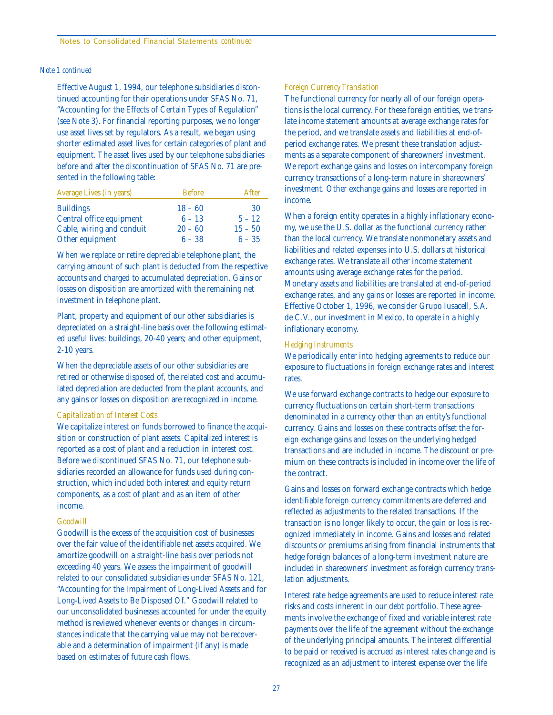#### *Note 1 continued*

Effective August 1, 1994, our telephone subsidiaries discontinued accounting for their operations under SFAS No. 71, "Accounting for the Effects of Certain Types of Regulation" (see Note 3). For financial reporting purposes, we no longer use asset lives set by regulators. As a result, we began using shorter estimated asset lives for certain categories of plant and equipment. The asset lives used by our telephone subsidiaries before and after the discontinuation of SFAS No. 71 are presented in the following table:

| <b>Average Lives (in years)</b> | <b>Before</b> | After     |
|---------------------------------|---------------|-----------|
| <b>Buildings</b>                | $18 - 60$     | 30        |
| Central office equipment        | $6 - 13$      | $5 - 12$  |
| Cable, wiring and conduit       | $20 - 60$     | $15 - 50$ |
| Other equipment                 | $6 - 38$      | $6 - 35$  |

When we replace or retire depreciable telephone plant, the carrying amount of such plant is deducted from the respective accounts and charged to accumulated depreciation. Gains or losses on disposition are amortized with the remaining net investment in telephone plant.

Plant, property and equipment of our other subsidiaries is depreciated on a straight-line basis over the following estimated useful lives: buildings, 20-40 years; and other equipment, 2-10 years.

When the depreciable assets of our other subsidiaries are retired or otherwise disposed of, the related cost and accumulated depreciation are deducted from the plant accounts, and any gains or losses on disposition are recognized in income.

#### *Capitalization of Interest Costs*

We capitalize interest on funds borrowed to finance the acquisition or construction of plant assets. Capitalized interest is reported as a cost of plant and a reduction in interest cost. Before we discontinued SFAS No. 71, our telephone subsidiaries recorded an allowance for funds used during construction, which included both interest and equity return components, as a cost of plant and as an item of other income.

#### *Goodwill*

Goodwill is the excess of the acquisition cost of businesses over the fair value of the identifiable net assets acquired. We amortize goodwill on a straight-line basis over periods not exceeding 40 years. We assess the impairment of goodwill related to our consolidated subsidiaries under SFAS No. 121, "Accounting for the Impairment of Long-Lived Assets and for Long-Lived Assets to Be Disposed Of." Goodwill related to our unconsolidated businesses accounted for under the equity method is reviewed whenever events or changes in circumstances indicate that the carrying value may not be recoverable and a determination of impairment (if any) is made based on estimates of future cash flows.

#### *Foreign Currency Translation*

The functional currency for nearly all of our foreign operations is the local currency. For these foreign entities, we translate income statement amounts at average exchange rates for the period, and we translate assets and liabilities at end-ofperiod exchange rates. We present these translation adjustments as a separate component of shareowners' investment. We report exchange gains and losses on intercompany foreign currency transactions of a long-term nature in shareowners' investment. Other exchange gains and losses are reported in income.

When a foreign entity operates in a highly inflationary economy, we use the U.S. dollar as the functional currency rather than the local currency. We translate nonmonetary assets and liabilities and related expenses into U.S. dollars at historical exchange rates. We translate all other income statement amounts using average exchange rates for the period. Monetary assets and liabilities are translated at end-of-period exchange rates, and any gains or losses are reported in income. Effective October 1, 1996, we consider Grupo Iusacell, S.A. de C.V., our investment in Mexico, to operate in a highly inflationary economy.

#### *Hedging Instruments*

We periodically enter into hedging agreements to reduce our exposure to fluctuations in foreign exchange rates and interest rates.

We use forward exchange contracts to hedge our exposure to currency fluctuations on certain short-term transactions denominated in a currency other than an entity's functional currency. Gains and losses on these contracts offset the foreign exchange gains and losses on the underlying hedged transactions and are included in income. The discount or premium on these contracts is included in income over the life of the contract.

Gains and losses on forward exchange contracts which hedge identifiable foreign currency commitments are deferred and reflected as adjustments to the related transactions. If the transaction is no longer likely to occur, the gain or loss is recognized immediately in income. Gains and losses and related discounts or premiums arising from financial instruments that hedge foreign balances of a long-term investment nature are included in shareowners' investment as foreign currency translation adjustments.

Interest rate hedge agreements are used to reduce interest rate risks and costs inherent in our debt portfolio. These agreements involve the exchange of fixed and variable interest rate payments over the life of the agreement without the exchange of the underlying principal amounts. The interest differential to be paid or received is accrued as interest rates change and is recognized as an adjustment to interest expense over the life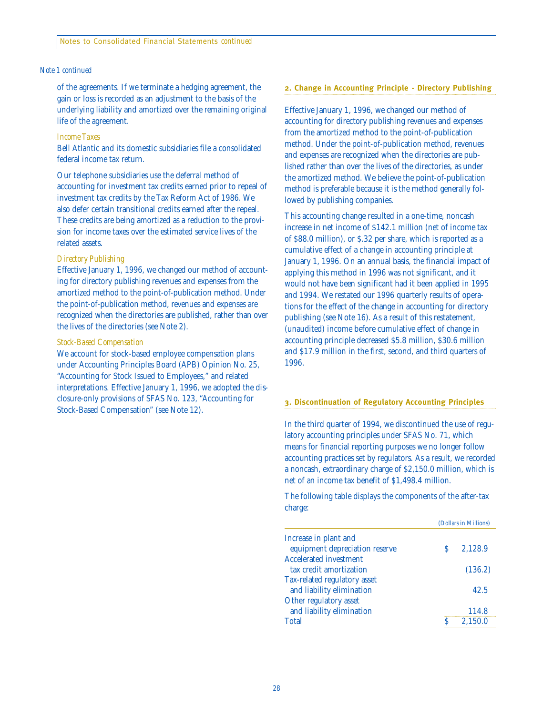#### *Note 1 continued*

of the agreements. If we terminate a hedging agreement, the gain or loss is recorded as an adjustment to the basis of the underlying liability and amortized over the remaining original life of the agreement.

#### *Income Taxes*

Bell Atlantic and its domestic subsidiaries file a consolidated federal income tax return.

Our telephone subsidiaries use the deferral method of accounting for investment tax credits earned prior to repeal of investment tax credits by the Tax Reform Act of 1986. We also defer certain transitional credits earned after the repeal. These credits are being amortized as a reduction to the provision for income taxes over the estimated service lives of the related assets.

#### *Directory Publishing*

Effective January 1, 1996, we changed our method of accounting for directory publishing revenues and expenses from the amortized method to the point-of-publication method. Under the point-of-publication method, revenues and expenses are recognized when the directories are published, rather than over the lives of the directories (see Note 2).

#### *Stock-Based Compensation*

We account for stock-based employee compensation plans under Accounting Principles Board (APB) Opinion No. 25, "Accounting for Stock Issued to Employees," and related interpretations. Effective January 1, 1996, we adopted the disclosure-only provisions of SFAS No. 123, "Accounting for Stock-Based Compensation" (see Note 12).

#### **2. Change in Accounting Principle - Directory Publishing**

Effective January 1, 1996, we changed our method of accounting for directory publishing revenues and expenses from the amortized method to the point-of-publication method. Under the point-of-publication method, revenues and expenses are recognized when the directories are published rather than over the lives of the directories, as under the amortized method. We believe the point-of-publication method is preferable because it is the method generally followed by publishing companies.

This accounting change resulted in a one-time, noncash increase in net income of \$142.1 million (net of income tax of \$88.0 million), or \$.32 per share, which is reported as a cumulative effect of a change in accounting principle at January 1, 1996. On an annual basis, the financial impact of applying this method in 1996 was not significant, and it would not have been significant had it been applied in 1995 and 1994. We restated our 1996 quarterly results of operations for the effect of the change in accounting for directory publishing (see Note 16). As a result of this restatement, (unaudited) income before cumulative effect of change in accounting principle decreased \$5.8 million, \$30.6 million and \$17.9 million in the first, second, and third quarters of 1996.

#### **3. Discontinuation of Regulatory Accounting Principles**

In the third quarter of 1994, we discontinued the use of regulatory accounting principles under SFAS No. 71, which means for financial reporting purposes we no longer follow accounting practices set by regulators. As a result, we recorded a noncash, extraordinary charge of \$2,150.0 million, which is net of an income tax benefit of \$1,498.4 million.

The following table displays the components of the after-tax charge:

|                                | (Dollars in Millions) |         |  |  |  |
|--------------------------------|-----------------------|---------|--|--|--|
| Increase in plant and          |                       |         |  |  |  |
| equipment depreciation reserve | S                     | 2.128.9 |  |  |  |
| <b>Accelerated investment</b>  |                       |         |  |  |  |
| tax credit amortization        |                       | (136.2) |  |  |  |
| Tax-related regulatory asset   |                       |         |  |  |  |
| and liability elimination      |                       | 42.5    |  |  |  |
| Other regulatory asset         |                       |         |  |  |  |
| and liability elimination      |                       | 114.8   |  |  |  |
| Total                          | ς                     | 2,150.0 |  |  |  |
|                                |                       |         |  |  |  |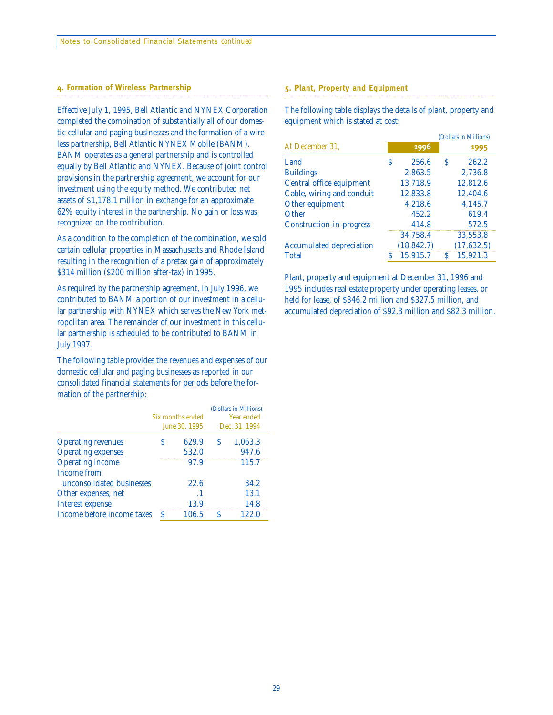#### **4. Formation of Wireless Partnership**

Effective July 1, 1995, Bell Atlantic and NYNEX Corporation completed the combination of substantially all of our domestic cellular and paging businesses and the formation of a wireless partnership, Bell Atlantic NYNEX Mobile (BANM). BANM operates as a general partnership and is controlled equally by Bell Atlantic and NYNEX. Because of joint control provisions in the partnership agreement, we account for our investment using the equity method. We contributed net assets of \$1,178.1 million in exchange for an approximate 62% equity interest in the partnership. No gain or loss was recognized on the contribution.

As a condition to the completion of the combination, we sold certain cellular properties in Massachusetts and Rhode Island resulting in the recognition of a pretax gain of approximately \$314 million (\$200 million after-tax) in 1995.

As required by the partnership agreement, in July 1996, we contributed to BANM a portion of our investment in a cellular partnership with NYNEX which serves the New York metropolitan area. The remainder of our investment in this cellular partnership is scheduled to be contributed to BANM in July 1997.

The following table provides the revenues and expenses of our domestic cellular and paging businesses as reported in our consolidated financial statements for periods before the formation of the partnership:

|                            |   |                  |               | (Dollars in Millions) |  |  |
|----------------------------|---|------------------|---------------|-----------------------|--|--|
|                            |   | Six months ended | Year ended    |                       |  |  |
|                            |   | June 30, 1995    | Dec. 31, 1994 |                       |  |  |
| <b>Operating revenues</b>  | S | 629.9            | S             | 1,063.3               |  |  |
| <b>Operating expenses</b>  |   | 532.0            |               | 947.6                 |  |  |
| <b>Operating income</b>    |   | 97.9             |               | 115.7                 |  |  |
| Income from                |   |                  |               |                       |  |  |
| unconsolidated businesses  |   | 22.6             |               | 34.2                  |  |  |
| Other expenses, net        |   | $\cdot$ 1        |               | 13.1                  |  |  |
| Interest expense           |   | 13.9             |               | 14.8                  |  |  |
| Income before income taxes | S | 106.5            | ς             | 122.0                 |  |  |

#### **5. Plant, Property and Equipment**

The following table displays the details of plant, property and equipment which is stated at cost:

|   |             |   |             |  | (Dollars in Millions) |  |  |  |  |
|---|-------------|---|-------------|--|-----------------------|--|--|--|--|
|   | 1996        |   | 1995        |  |                       |  |  |  |  |
| S | 256.6       | S | 262.2       |  |                       |  |  |  |  |
|   | 2,863.5     |   | 2,736.8     |  |                       |  |  |  |  |
|   | 13,718.9    |   | 12,812.6    |  |                       |  |  |  |  |
|   | 12.833.8    |   | 12.404.6    |  |                       |  |  |  |  |
|   | 4,218.6     |   | 4.145.7     |  |                       |  |  |  |  |
|   | 452.2       |   | 619.4       |  |                       |  |  |  |  |
|   | 414.8       |   | 572.5       |  |                       |  |  |  |  |
|   | 34,758.4    |   | 33,553.8    |  |                       |  |  |  |  |
|   | (18, 842.7) |   | (17, 632.5) |  |                       |  |  |  |  |
| S | 15.915.7    | S | 15.921.3    |  |                       |  |  |  |  |
|   |             |   |             |  |                       |  |  |  |  |

Plant, property and equipment at December 31, 1996 and 1995 includes real estate property under operating leases, or held for lease, of \$346.2 million and \$327.5 million, and accumulated depreciation of \$92.3 million and \$82.3 million.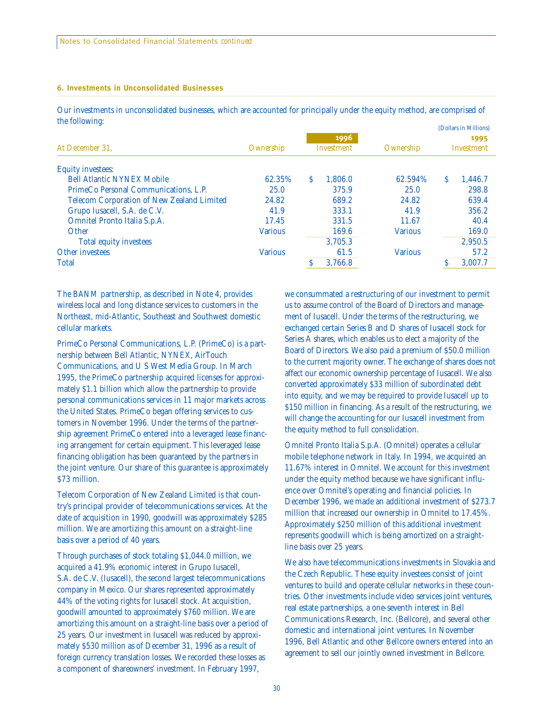#### **6. Investments in Unconsolidated Businesses**

Our investments in unconsolidated businesses, which are accounted for principally under the equity method, are comprised of the following: (Dollars in Millions)

| $\mathbf \omega$<br>At December 31.               | Ownership      |   | 1996<br>Investment | Ownership      | (Dollars in Millions)<br>1995<br>Investment |         |
|---------------------------------------------------|----------------|---|--------------------|----------------|---------------------------------------------|---------|
| <b>Equity investees:</b>                          |                |   |                    |                |                                             |         |
| <b>Bell Atlantic NYNEX Mobile</b>                 | 62.35%         | S | 1.806.0            | 62.594%        | S                                           | 1.446.7 |
| PrimeCo Personal Communications, L.P.             | 25.0           |   | 375.9              | 25.0           |                                             | 298.8   |
| <b>Telecom Corporation of New Zealand Limited</b> | 24.82          |   | 689.2              | 24.82          |                                             | 639.4   |
| Grupo Iusacell, S.A. de C.V.                      | 41.9           |   | 333.1              | 41.9           |                                             | 356.2   |
| Omnitel Pronto Italia S.p.A.                      | 17.45          |   | 331.5              | 11.67          |                                             | 40.4    |
| Other                                             | <b>Various</b> |   | 169.6              | <b>Various</b> |                                             | 169.0   |
| <b>Total equity investees</b>                     |                |   | 3.705.3            |                |                                             | 2.950.5 |
| <b>Other investees</b>                            | <b>Various</b> |   | 61.5               | <b>Various</b> |                                             | 57.2    |
| <b>Total</b>                                      |                |   | 3.766.8            |                |                                             | 3.007.7 |

The BANM partnership, as described in Note 4, provides wireless local and long distance services to customers in the Northeast, mid-Atlantic, Southeast and Southwest domestic cellular markets.

PrimeCo Personal Communications, L.P. (PrimeCo) is a partnership between Bell Atlantic, NYNEX, AirTouch Communications, and U S West Media Group. In March 1995, the PrimeCo partnership acquired licenses for approximately \$1.1 billion which allow the partnership to provide personal communications services in 11 major markets across the United States. PrimeCo began offering services to customers in November 1996. Under the terms of the partnership agreement PrimeCo entered into a leveraged lease financing arrangement for certain equipment. This leveraged lease financing obligation has been guaranteed by the partners in the joint venture. Our share of this guarantee is approximately \$73 million.

Telecom Corporation of New Zealand Limited is that country's principal provider of telecommunications services. At the date of acquisition in 1990, goodwill was approximately \$285 million. We are amortizing this amount on a straight-line basis over a period of 40 years.

Through purchases of stock totaling \$1,044.0 million, we acquired a 41.9% economic interest in Grupo Iusacell, S.A. de C.V. (Iusacell), the second largest telecommunications company in Mexico. Our shares represented approximately 44% of the voting rights for Iusacell stock. At acquisition, goodwill amounted to approximately \$760 million. We are amortizing this amount on a straight-line basis over a period of 25 years. Our investment in Iusacell was reduced by approximately \$530 million as of December 31, 1996 as a result of foreign currency translation losses. We recorded these losses as a component of shareowners' investment. In February 1997,

we consummated a restructuring of our investment to permit us to assume control of the Board of Directors and management of Iusacell. Under the terms of the restructuring, we exchanged certain Series B and D shares of Iusacell stock for Series A shares, which enables us to elect a majority of the Board of Directors. We also paid a premium of \$50.0 million to the current majority owner. The exchange of shares does not affect our economic ownership percentage of Iusacell. We also converted approximately \$33 million of subordinated debt into equity, and we may be required to provide Iusacell up to \$150 million in financing. As a result of the restructuring, we will change the accounting for our Iusacell investment from the equity method to full consolidation.

Omnitel Pronto Italia S.p.A. (Omnitel) operates a cellular mobile telephone network in Italy. In 1994, we acquired an 11.67% interest in Omnitel. We account for this investment under the equity method because we have significant influence over Omnitel's operating and financial policies. In December 1996, we made an additional investment of \$273.7 million that increased our ownership in Omnitel to 17.45%. Approximately \$250 million of this additional investment represents goodwill which is being amortized on a straightline basis over 25 years.

We also have telecommunications investments in Slovakia and the Czech Republic. These equity investees consist of joint ventures to build and operate cellular networks in these countries. Other investments include video services joint ventures, real estate partnerships, a one-seventh interest in Bell Communications Research, Inc. (Bellcore), and several other domestic and international joint ventures. In November 1996, Bell Atlantic and other Bellcore owners entered into an agreement to sell our jointly owned investment in Bellcore.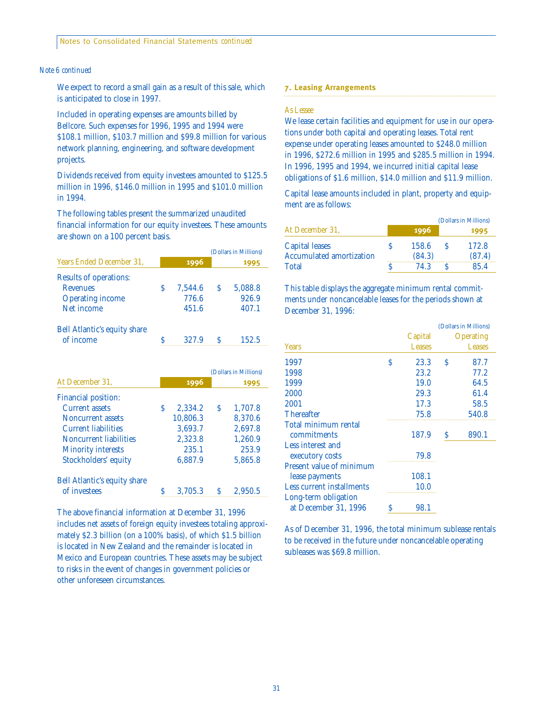#### *Note 6 continued*

We expect to record a small gain as a result of this sale, which is anticipated to close in 1997.

Included in operating expenses are amounts billed by Bellcore. Such expenses for 1996, 1995 and 1994 were \$108.1 million, \$103.7 million and \$99.8 million for various network planning, engineering, and software development projects.

Dividends received from equity investees amounted to \$125.5 million in 1996, \$146.0 million in 1995 and \$101.0 million in 1994.

The following tables present the summarized unaudited financial information for our equity investees. These amounts are shown on a 100 percent basis.

|                                                                     |    |          |               | (Dollars in Millions) |
|---------------------------------------------------------------------|----|----------|---------------|-----------------------|
| <b>Years Ended December 31.</b>                                     |    | 1996     |               | 1995                  |
| <b>Results of operations:</b>                                       |    |          |               |                       |
| <b>Revenues</b>                                                     | Ŝ  | 7,544.6  | S.            | 5,088.8               |
| <b>Operating income</b>                                             |    | 776.6    |               | 926.9                 |
| Net income                                                          |    | 451.6    |               | 407.1                 |
| <b>Bell Atlantic's equity share</b>                                 |    |          |               |                       |
|                                                                     |    | 327.9    | $\mathcal{S}$ | 152.5                 |
| of income                                                           | \$ |          |               | (Dollars in Millions) |
|                                                                     |    | 1996     |               | 1995                  |
|                                                                     |    |          |               |                       |
| <b>Current assets</b>                                               | Ś  | 2,334.2  | S             | 1,707.8               |
| <b>Noncurrent assets</b>                                            |    | 10,806.3 |               | 8,370.6               |
| <b>Current liabilities</b>                                          |    | 3,693.7  |               | 2,697.8               |
| <b>Noncurrent liabilities</b>                                       |    | 2,323.8  |               | 1,260.9               |
| At December 31,<br>Financial position:<br><b>Minority interests</b> |    | 235.1    |               | 253.9                 |

Bell Atlantic's equity share of investees \$ 3,705.3 \$ 2,950.5

The above financial information at December 31, 1996 includes net assets of foreign equity investees totaling approximately \$2.3 billion (on a 100% basis), of which \$1.5 billion is located in New Zealand and the remainder is located in Mexico and European countries. These assets may be subject to risks in the event of changes in government policies or other unforeseen circumstances.

#### **7. Leasing Arrangements**

#### *As Lessee*

We lease certain facilities and equipment for use in our operations under both capital and operating leases. Total rent expense under operating leases amounted to \$248.0 million in 1996, \$272.6 million in 1995 and \$285.5 million in 1994. In 1996, 1995 and 1994, we incurred initial capital lease obligations of \$1.6 million, \$14.0 million and \$11.9 million.

Capital lease amounts included in plant, property and equipment are as follows:

|                                 |        |    | (Dollars in Millions) |
|---------------------------------|--------|----|-----------------------|
| At December 31,                 | 1996   |    | 1995                  |
| Capital leases                  | 158.6  | -S | 172.8                 |
| <b>Accumulated amortization</b> | (84.3) |    | (87.4)                |
| <b>Total</b>                    | 74 3   |    | 85.4                  |

This table displays the aggregate minimum rental commitments under noncancelable leases for the periods shown at December 31, 1996:

|   |               |   | (Dollars in Millions) |
|---|---------------|---|-----------------------|
|   | Capital       |   | <b>Operating</b>      |
|   | <b>Leases</b> |   | <b>Leases</b>         |
| S | 23.3          | S | 87.7                  |
|   | 23.2          |   | 77.2                  |
|   | 19.0          |   | 64.5                  |
|   | 29.3          |   | 61.4                  |
|   | 17.3          |   | 58.5                  |
|   | 75.8          |   | 540.8                 |
|   |               |   |                       |
|   | 187.9         | S | 890.1                 |
|   |               |   |                       |
|   | 79.8          |   |                       |
|   |               |   |                       |
|   | 108.1         |   |                       |
|   | 10.0          |   |                       |
|   |               |   |                       |
| S | 98.1          |   |                       |
|   |               |   |                       |

As of December 31, 1996, the total minimum sublease rentals to be received in the future under noncancelable operating subleases was \$69.8 million.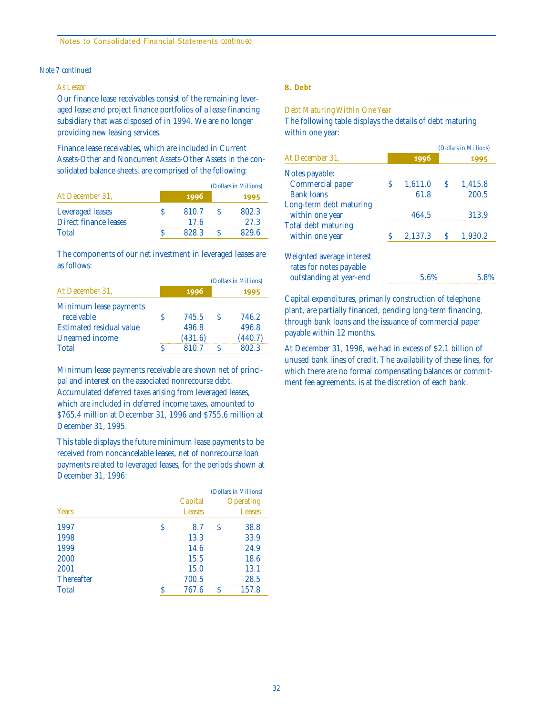Notes to Consolidated Financial Statements *continued*

#### *Note 7 continued*

#### *As Lessor*

Our finance lease receivables consist of the remaining leveraged lease and project finance portfolios of a lease financing subsidiary that was disposed of in 1994. We are no longer providing new leasing services.

Finance lease receivables, which are included in Current Assets-Other and Noncurrent Assets-Other Assets in the consolidated balance sheets, are comprised of the following:

|                              |       | (Dollars in Millions) |
|------------------------------|-------|-----------------------|
| At December 31.              | 1996  | 1995                  |
| <b>Leveraged leases</b>      | 810.7 | 802.3                 |
| <b>Direct finance leases</b> | 17.6  | 27.3                  |
| <b>Total</b>                 | 828.3 | 829.6                 |

The components of our net investment in leveraged leases are as follows:

|                                 |         |              | (Dollars in Millions) |
|---------------------------------|---------|--------------|-----------------------|
| At December 31,                 | 1996    |              | 1995                  |
| Minimum lease payments          |         |              |                       |
| receivable                      | 745.5   | <sup>S</sup> | 746.2                 |
| <b>Estimated residual value</b> | 496.8   |              | 496.8                 |
| Unearned income                 | (431.6) |              | (440.7)               |
| <b>Total</b>                    | 810.7   |              | 802.3                 |

Minimum lease payments receivable are shown net of principal and interest on the associated nonrecourse debt. Accumulated deferred taxes arising from leveraged leases, which are included in deferred income taxes, amounted to \$765.4 million at December 31, 1996 and \$755.6 million at December 31, 1995.

This table displays the future minimum lease payments to be received from noncancelable leases, net of nonrecourse loan payments related to leveraged leases, for the periods shown at December 31, 1996:

|                   |   |               | (Dollars in Millions) |                  |  |
|-------------------|---|---------------|-----------------------|------------------|--|
|                   |   | Capital       |                       | <b>Operating</b> |  |
| <b>Years</b>      |   | <b>Leases</b> | Leases                |                  |  |
| 1997              | S | 8.7           | S                     | 38.8             |  |
| 1998              |   | 13.3          |                       | 33.9             |  |
| 1999              |   | 14.6          |                       | 24.9             |  |
| 2000              |   | 15.5          |                       | 18.6             |  |
| 2001              |   | 15.0          |                       | 13.1             |  |
| <b>Thereafter</b> |   | 700.5         |                       | 28.5             |  |
| <b>Total</b>      | S | 767.6         | S                     | 157.8            |  |
|                   |   |               |                       |                  |  |

#### **8. Debt**

#### *Debt Maturing Within One Year*

The following table displays the details of debt maturing within one year:

|                                                      |      |         | (Dollars in Millions) |         |  |
|------------------------------------------------------|------|---------|-----------------------|---------|--|
| At December 31.                                      | 1996 |         |                       | 1995    |  |
| Notes payable:                                       |      |         |                       |         |  |
| Commercial paper                                     | S    | 1.611.0 | S                     | 1.415.8 |  |
| <b>Bank loans</b>                                    |      | 61.8    |                       | 200.5   |  |
| Long-term debt maturing<br>within one year           |      | 464.5   |                       | 313.9   |  |
| <b>Total debt maturing</b><br>within one year        | S    | 2,137.3 | S                     | 1,930.2 |  |
| Weighted average interest<br>rates for notes payable |      | 5.6%    |                       |         |  |
| outstanding at year-end                              |      |         |                       |         |  |

Capital expenditures, primarily construction of telephone plant, are partially financed, pending long-term financing, through bank loans and the issuance of commercial paper payable within 12 months.

At December 31, 1996, we had in excess of \$2.1 billion of unused bank lines of credit. The availability of these lines, for which there are no formal compensating balances or commitment fee agreements, is at the discretion of each bank.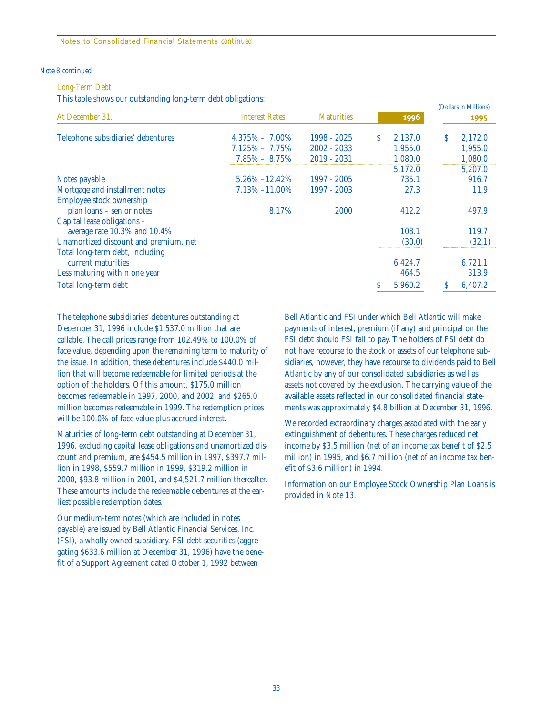#### *Note 8 continued*

#### *Long-Term Debt*

This table shows our outstanding long-term debt obligations:

|                                                             |                       |                   |   |         |   | (Dollars in Millions) |
|-------------------------------------------------------------|-----------------------|-------------------|---|---------|---|-----------------------|
| At December 31,                                             | <b>Interest Rates</b> | <b>Maturities</b> |   | 1996    |   | 1995                  |
| Telephone subsidiaries' debentures                          | $4.375\% - 7.00\%$    | $1998 - 2025$     | S | 2,137.0 | S | 2,172.0               |
|                                                             | $7.125\% - 7.75\%$    | $2002 - 2033$     |   | 1,955.0 |   | 1,955.0               |
|                                                             | $7.85\% - 8.75\%$     | $2019 - 2031$     |   | 1,080.0 |   | 1,080.0               |
|                                                             |                       |                   |   | 5,172.0 |   | 5,207.0               |
| Notes payable                                               | $5.26\% - 12.42\%$    | 1997 - 2005       |   | 735.1   |   | 916.7                 |
| Mortgage and installment notes                              | $7.13\% - 11.00\%$    | 1997 - 2003       |   | 27.3    |   | 11.9                  |
| Employee stock ownership                                    |                       |                   |   |         |   |                       |
| plan loans - senior notes                                   | 8.17%                 | 2000              |   | 412.2   |   | 497.9                 |
| Capital lease obligations -<br>average rate 10.3% and 10.4% |                       |                   |   | 108.1   |   | 119.7                 |
| Unamortized discount and premium, net                       |                       |                   |   | (30.0)  |   | (32.1)                |
| Total long-term debt, including                             |                       |                   |   |         |   |                       |
| current maturities                                          |                       |                   |   | 6,424.7 |   | 6,721.1               |
| Less maturing within one year                               |                       |                   |   | 464.5   |   | 313.9                 |
| Total long-term debt                                        |                       |                   | S | 5,960.2 | S | 6,407.2               |

The telephone subsidiaries' debentures outstanding at December 31, 1996 include \$1,537.0 million that are callable. The call prices range from 102.49% to 100.0% of face value, depending upon the remaining term to maturity of the issue. In addition, these debentures include \$440.0 million that will become redeemable for limited periods at the option of the holders. Of this amount, \$175.0 million becomes redeemable in 1997, 2000, and 2002; and \$265.0 million becomes redeemable in 1999. The redemption prices will be 100.0% of face value plus accrued interest.

Maturities of long-term debt outstanding at December 31, 1996, excluding capital lease obligations and unamortized discount and premium, are \$454.5 million in 1997, \$397.7 million in 1998, \$559.7 million in 1999, \$319.2 million in 2000, \$93.8 million in 2001, and \$4,521.7 million thereafter. These amounts include the redeemable debentures at the earliest possible redemption dates.

Our medium-term notes (which are included in notes payable) are issued by Bell Atlantic Financial Services, Inc. (FSI), a wholly owned subsidiary. FSI debt securities (aggregating \$633.6 million at December 31, 1996) have the benefit of a Support Agreement dated October 1, 1992 between

Bell Atlantic and FSI under which Bell Atlantic will make payments of interest, premium (if any) and principal on the FSI debt should FSI fail to pay. The holders of FSI debt do not have recourse to the stock or assets of our telephone subsidiaries, however, they have recourse to dividends paid to Bell Atlantic by any of our consolidated subsidiaries as well as assets not covered by the exclusion. The carrying value of the available assets reflected in our consolidated financial statements was approximately \$4.8 billion at December 31, 1996.

We recorded extraordinary charges associated with the early extinguishment of debentures. These charges reduced net income by \$3.5 million (net of an income tax benefit of \$2.5 million) in 1995, and \$6.7 million (net of an income tax benefit of \$3.6 million) in 1994.

Information on our Employee Stock Ownership Plan Loans is provided in Note 13.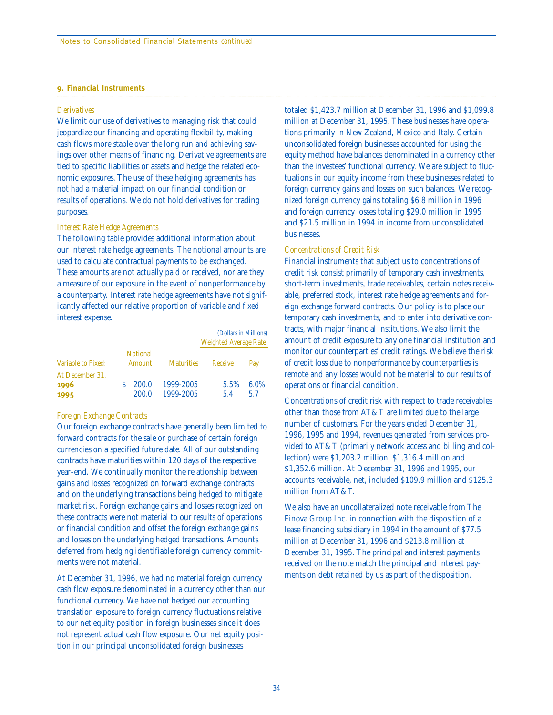#### **9. Financial Instruments**

#### *Derivatives*

We limit our use of derivatives to managing risk that could jeopardize our financing and operating flexibility, making cash flows more stable over the long run and achieving savings over other means of financing. Derivative agreements are tied to specific liabilities or assets and hedge the related economic exposures. The use of these hedging agreements has not had a material impact on our financial condition or results of operations. We do not hold derivatives for trading purposes.

#### *Interest Rate Hedge Agreements*

The following table provides additional information about our interest rate hedge agreements. The notional amounts are used to calculate contractual payments to be exchanged. These amounts are not actually paid or received, nor are they a measure of our exposure in the event of nonperformance by a counterparty. Interest rate hedge agreements have not significantly affected our relative proportion of variable and fixed interest expense.

|                                 |                           |                        | (Dollars in Millions)<br><b>Weighted Average Rate</b> |             |  |
|---------------------------------|---------------------------|------------------------|-------------------------------------------------------|-------------|--|
| Variable to Fixed:              | <b>Notional</b><br>Amount | <b>Maturities</b>      | Receive                                               | Pay         |  |
| At December 31.<br>1996<br>1995 | 200.0<br>200.0            | 1999-2005<br>1999-2005 | $5.5\%$<br>5.4                                        | 6.0%<br>5.7 |  |

#### *Foreign Exchange Contracts*

Our foreign exchange contracts have generally been limited to forward contracts for the sale or purchase of certain foreign currencies on a specified future date. All of our outstanding contracts have maturities within 120 days of the respective year-end. We continually monitor the relationship between gains and losses recognized on forward exchange contracts and on the underlying transactions being hedged to mitigate market risk. Foreign exchange gains and losses recognized on these contracts were not material to our results of operations or financial condition and offset the foreign exchange gains and losses on the underlying hedged transactions. Amounts deferred from hedging identifiable foreign currency commitments were not material.

At December 31, 1996, we had no material foreign currency cash flow exposure denominated in a currency other than our functional currency. We have not hedged our accounting translation exposure to foreign currency fluctuations relative to our net equity position in foreign businesses since it does not represent actual cash flow exposure. Our net equity position in our principal unconsolidated foreign businesses

totaled \$1,423.7 million at December 31, 1996 and \$1,099.8 million at December 31, 1995. These businesses have operations primarily in New Zealand, Mexico and Italy. Certain unconsolidated foreign businesses accounted for using the equity method have balances denominated in a currency other than the investees' functional currency. We are subject to fluctuations in our equity income from these businesses related to foreign currency gains and losses on such balances. We recognized foreign currency gains totaling \$6.8 million in 1996 and foreign currency losses totaling \$29.0 million in 1995 and \$21.5 million in 1994 in income from unconsolidated businesses.

#### *Concentrations of Credit Risk*

Financial instruments that subject us to concentrations of credit risk consist primarily of temporary cash investments, short-term investments, trade receivables, certain notes receivable, preferred stock, interest rate hedge agreements and foreign exchange forward contracts. Our policy is to place our temporary cash investments, and to enter into derivative contracts, with major financial institutions. We also limit the amount of credit exposure to any one financial institution and monitor our counterparties' credit ratings. We believe the risk of credit loss due to nonperformance by counterparties is remote and any losses would not be material to our results of operations or financial condition.

Concentrations of credit risk with respect to trade receivables other than those from AT&T are limited due to the large number of customers. For the years ended December 31, 1996, 1995 and 1994, revenues generated from services provided to AT&T (primarily network access and billing and collection) were \$1,203.2 million, \$1,316.4 million and \$1,352.6 million. At December 31, 1996 and 1995, our accounts receivable, net, included \$109.9 million and \$125.3 million from AT&T.

We also have an uncollateralized note receivable from The Finova Group Inc. in connection with the disposition of a lease financing subsidiary in 1994 in the amount of \$77.5 million at December 31, 1996 and \$213.8 million at December 31, 1995. The principal and interest payments received on the note match the principal and interest payments on debt retained by us as part of the disposition.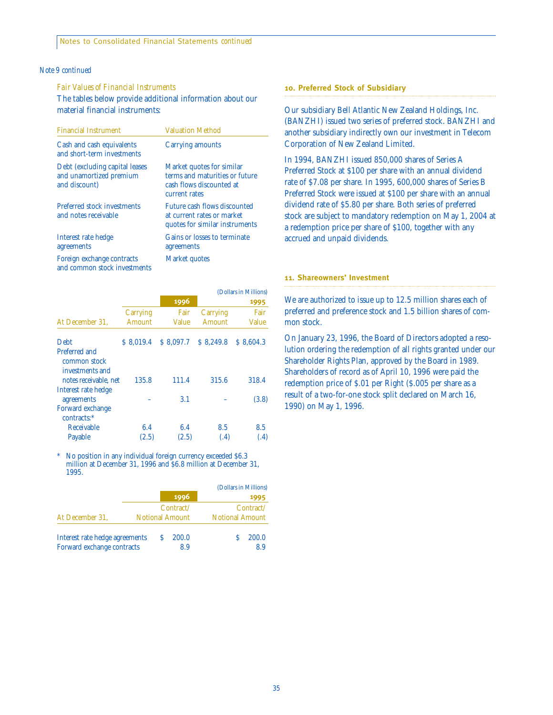#### *Note 9 continued*

#### *Fair Values of Financial Instruments*

The tables below provide additional information about our material financial instruments:

| <b>Financial Instrument</b>                                                 | <b>Valuation Method</b>                                                                                  |
|-----------------------------------------------------------------------------|----------------------------------------------------------------------------------------------------------|
| Cash and cash equivalents<br>and short-term investments                     | <b>Carrying amounts</b>                                                                                  |
| Debt (excluding capital leases)<br>and unamortized premium<br>and discount) | Market quotes for similar<br>terms and maturities or future<br>cash flows discounted at<br>current rates |
| <b>Preferred stock investments</b><br>and notes receivable                  | Future cash flows discounted<br>at current rates or market<br>quotes for similar instruments             |
| Interest rate hedge<br>agreements                                           | Gains or losses to terminate<br>agreements                                                               |
| Foreign exchange contracts<br>and common stock investments                  | Market quotes                                                                                            |

|                                                  |           |              | (Dollars in Millions) |           |  |
|--------------------------------------------------|-----------|--------------|-----------------------|-----------|--|
|                                                  |           | 1996         |                       | 1995      |  |
|                                                  | Carrying  | Fair         | Carrying              | Fair      |  |
| At December 31,                                  | Amount    | <b>Value</b> | Amount                | Value     |  |
| <b>Debt</b>                                      | \$8.019.4 | \$8.097.7    | \$8,249.8             | \$8,604.3 |  |
| Preferred and<br>common stock<br>investments and |           |              |                       |           |  |
| notes receivable, net                            | 135.8     | 111.4        | 315.6                 | 318.4     |  |
| Interest rate hedge<br>agreements                |           | 3.1          |                       | (3.8)     |  |
| Forward exchange<br>contracts:*                  |           |              |                       |           |  |
| Receivable                                       | 6.4       | 6.4          | 8.5                   | 8.5       |  |
| Payable                                          | (2.5)     | (2.5)        | (.4)                  | (.4)      |  |

No position in any individual foreign currency exceeded \$6.3 million at December 31, 1996 and \$6.8 million at December 31, 1995.

|                                |  |                        | (Dollars in Millions)  |           |
|--------------------------------|--|------------------------|------------------------|-----------|
|                                |  | 1996                   |                        | 1995      |
|                                |  | Contract/              |                        | Contract/ |
| At December 31,                |  | <b>Notional Amount</b> | <b>Notional Amount</b> |           |
| Interest rate hedge agreements |  | 200.0                  |                        | 200.0     |
| Forward exchange contracts     |  | 8.9                    |                        | 8.9       |

#### **10. Preferred Stock of Subsidiary**

Our subsidiary Bell Atlantic New Zealand Holdings, Inc. (BANZHI) issued two series of preferred stock. BANZHI and another subsidiary indirectly own our investment in Telecom Corporation of New Zealand Limited.

In 1994, BANZHI issued 850,000 shares of Series A Preferred Stock at \$100 per share with an annual dividend rate of \$7.08 per share. In 1995, 600,000 shares of Series B Preferred Stock were issued at \$100 per share with an annual dividend rate of \$5.80 per share. Both series of preferred stock are subject to mandatory redemption on May 1, 2004 at a redemption price per share of \$100, together with any accrued and unpaid dividends.

#### **11. Shareowners' Investment**

We are authorized to issue up to 12.5 million shares each of preferred and preference stock and 1.5 billion shares of common stock.

On January 23, 1996, the Board of Directors adopted a resolution ordering the redemption of all rights granted under our Shareholder Rights Plan, approved by the Board in 1989. Shareholders of record as of April 10, 1996 were paid the redemption price of \$.01 per Right (\$.005 per share as a result of a two-for-one stock split declared on March 16, 1990) on May 1, 1996.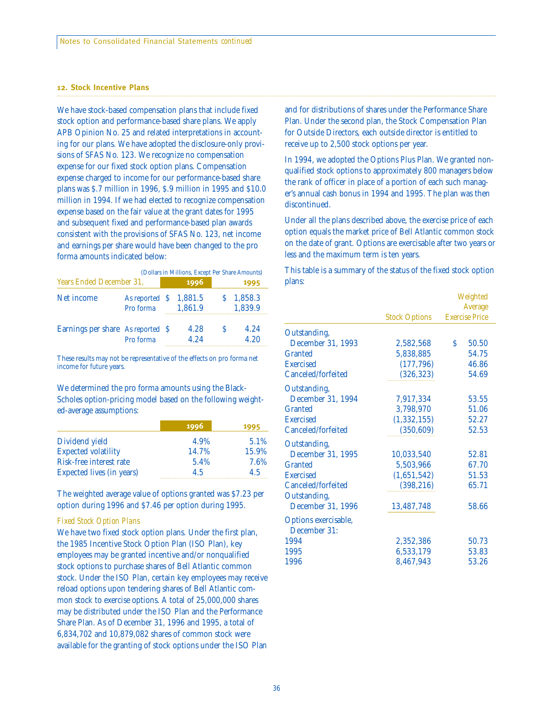#### **12. Stock Incentive Plans**

We have stock-based compensation plans that include fixed stock option and performance-based share plans. We apply APB Opinion No. 25 and related interpretations in accounting for our plans. We have adopted the disclosure-only provisions of SFAS No. 123. We recognize no compensation expense for our fixed stock option plans. Compensation expense charged to income for our performance-based share plans was \$.7 million in 1996, \$.9 million in 1995 and \$10.0 million in 1994. If we had elected to recognize compensation expense based on the fair value at the grant dates for 1995 and subsequent fixed and performance-based plan awards consistent with the provisions of SFAS No. 123, net income and earnings per share would have been changed to the pro forma amounts indicated below:

|                                   | (Dollars in Millions, Except Per Share Amounts) |  |              |  |                    |  |  |
|-----------------------------------|-------------------------------------------------|--|--------------|--|--------------------|--|--|
| <b>Years Ended December 31.</b>   |                                                 |  | 1996         |  | 1995               |  |  |
| Net income                        | As reported $\,$ \$ 1,881.5<br>Pro forma        |  | 1,861.9      |  | 1,858.3<br>1.839.9 |  |  |
| Earnings per share As reported \$ | Pro forma                                       |  | 4.28<br>4.24 |  | 4.24<br>4.20       |  |  |

These results may not be representative of the effects on pro forma net income for future years.

We determined the pro forma amounts using the Black-Scholes option-pricing model based on the following weighted-average assumptions:

|                                  | 1996  | 1995  |
|----------------------------------|-------|-------|
| Dividend yield                   | 4.9%  | 5.1%  |
| <b>Expected volatility</b>       | 14.7% | 15.9% |
| Risk-free interest rate          | 5.4%  | 7.6%  |
| <b>Expected lives (in years)</b> | 4.5   | 4.5   |

The weighted average value of options granted was \$7.23 per option during 1996 and \$7.46 per option during 1995.

#### *Fixed Stock Option Plans*

We have two fixed stock option plans. Under the first plan, the 1985 Incentive Stock Option Plan (ISO Plan), key employees may be granted incentive and/or nonqualified stock options to purchase shares of Bell Atlantic common stock. Under the ISO Plan, certain key employees may receive reload options upon tendering shares of Bell Atlantic common stock to exercise options. A total of 25,000,000 shares may be distributed under the ISO Plan and the Performance Share Plan. As of December 31, 1996 and 1995, a total of 6,834,702 and 10,879,082 shares of common stock were available for the granting of stock options under the ISO Plan

and for distributions of shares under the Performance Share Plan. Under the second plan, the Stock Compensation Plan for Outside Directors, each outside director is entitled to receive up to 2,500 stock options per year.

In 1994, we adopted the Options Plus Plan. We granted nonqualified stock options to approximately 800 managers below the rank of officer in place of a portion of each such manager's annual cash bonus in 1994 and 1995. The plan was then discontinued.

Under all the plans described above, the exercise price of each option equals the market price of Bell Atlantic common stock on the date of grant. Options are exercisable after two years or less and the maximum term is ten years.

This table is a summary of the status of the fixed stock option plans:

|                      |                      |         | Weighted              |  |
|----------------------|----------------------|---------|-----------------------|--|
|                      |                      | Average |                       |  |
|                      | <b>Stock Options</b> |         | <b>Exercise Price</b> |  |
| Outstanding,         |                      |         |                       |  |
| December 31, 1993    | 2,582,568            | Ś.      | 50.50                 |  |
| Granted              | 5,838,885            |         | 54.75                 |  |
| <b>Exercised</b>     | (177, 796)           |         | 46.86                 |  |
| Canceled/forfeited   | (326, 323)           |         | 54.69                 |  |
| Outstanding,         |                      |         |                       |  |
| December 31, 1994    | 7,917,334            |         | 53.55                 |  |
| Granted              | 3,798,970            |         | 51.06                 |  |
| <b>Exercised</b>     | (1, 332, 155)        |         | 52.27                 |  |
| Canceled/forfeited   | (350, 609)           |         | 52.53                 |  |
| Outstanding,         |                      |         |                       |  |
| December 31, 1995    | 10,033,540           |         | 52.81                 |  |
| Granted              | 5,503,966            |         | 67.70                 |  |
| <b>Exercised</b>     | (1,651,542)          |         | 51.53                 |  |
| Canceled/forfeited   | (398, 216)           |         | 65.71                 |  |
| Outstanding,         |                      |         |                       |  |
| December 31, 1996    | 13,487,748           |         | 58.66                 |  |
| Options exercisable, |                      |         |                       |  |
| December 31:         |                      |         |                       |  |
| 1994                 | 2,352,386            |         | 50.73                 |  |
| 1995                 | 6,533,179            |         | 53.83                 |  |
| 1996                 | 8,467,943            |         | 53.26                 |  |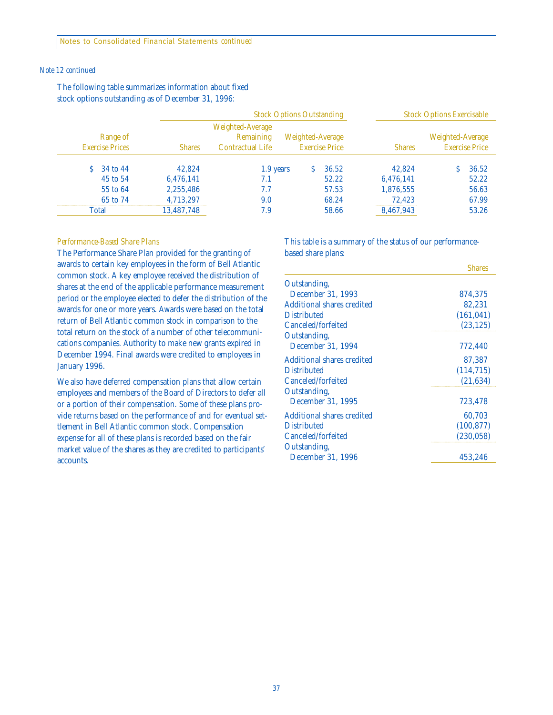Notes to Consolidated Financial Statements *continued*

#### *Note 12 continued*

|                        |          |               | <b>Stock Options Outstanding</b>                         |                  |                       |               | <b>Stock Options Exercisable</b>          |
|------------------------|----------|---------------|----------------------------------------------------------|------------------|-----------------------|---------------|-------------------------------------------|
| <b>Exercise Prices</b> | Range of | <b>Shares</b> | Weighted-Average<br>Remaining<br><b>Contractual Life</b> | Weighted-Average | <b>Exercise Price</b> | <b>Shares</b> | Weighted-Average<br><b>Exercise Price</b> |
|                        | 34 to 44 | 42.824        | 1.9 years                                                |                  | 36.52                 | 42.824        | 36.52                                     |
|                        | 45 to 54 | 6,476,141     | 7.1                                                      |                  | 52.22                 | 6,476,141     | 52.22                                     |
|                        | 55 to 64 | 2,255,486     | 7.7                                                      |                  | 57.53                 | 1,876,555     | 56.63                                     |
|                        | 65 to 74 | 4.713.297     | 9.0                                                      |                  | 68.24                 | 72.423        | 67.99                                     |
| Total                  |          | 13,487,748    | 7.9                                                      |                  | 58.66                 | 8,467,943     | 53.26                                     |

The following table summarizes information about fixed stock options outstanding as of December 31, 1996:

#### *Performance-Based Share Plans*

The Performance Share Plan provided for the granting of awards to certain key employees in the form of Bell Atlantic common stock. A key employee received the distribution of shares at the end of the applicable performance measurement period or the employee elected to defer the distribution of the awards for one or more years. Awards were based on the total return of Bell Atlantic common stock in comparison to the total return on the stock of a number of other telecommunications companies. Authority to make new grants expired in December 1994. Final awards were credited to employees in January 1996.

We also have deferred compensation plans that allow certain employees and members of the Board of Directors to defer all or a portion of their compensation. Some of these plans provide returns based on the performance of and for eventual settlement in Bell Atlantic common stock. Compensation expense for all of these plans is recorded based on the fair market value of the shares as they are credited to participants' accounts.

This table is a summary of the status of our performancebased share plans:

|                            | <b>Shares</b> |
|----------------------------|---------------|
| Outstanding,               |               |
| December 31, 1993          | 874,375       |
| Additional shares credited | 82.231        |
| <b>Distributed</b>         | (161, 041)    |
| Canceled/forfeited         | (23, 125)     |
| Outstanding,               |               |
| December 31, 1994          | 772,440       |
| Additional shares credited | 87,387        |
| <b>Distributed</b>         | (114, 715)    |
| Canceled/forfeited         | (21, 634)     |
| Outstanding,               |               |
| December 31, 1995          | 723,478       |
| Additional shares credited | 60,703        |
| <b>Distributed</b>         | (100, 877)    |
| Canceled/forfeited         | (230, 058)    |
| Outstanding,               |               |
| December 31, 1996          | 453,246       |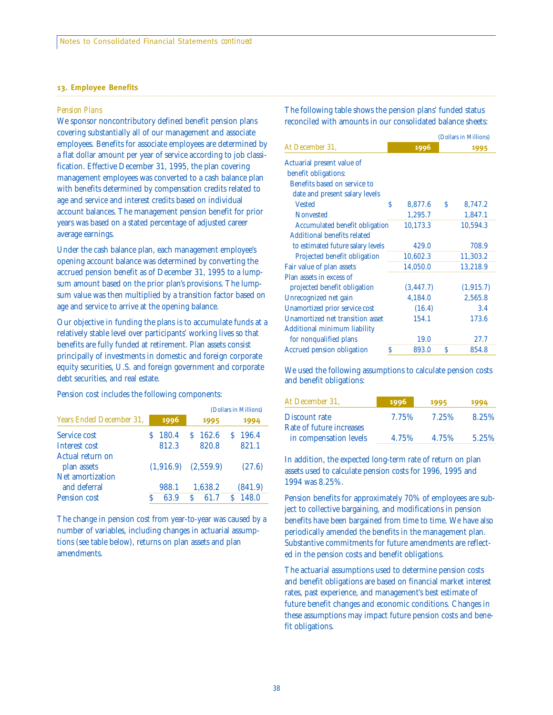#### **13. Employee Benefits**

#### *Pension Plans*

We sponsor noncontributory defined benefit pension plans covering substantially all of our management and associate employees. Benefits for associate employees are determined by a flat dollar amount per year of service according to job classification. Effective December 31, 1995, the plan covering management employees was converted to a cash balance plan with benefits determined by compensation credits related to age and service and interest credits based on individual account balances. The management pension benefit for prior years was based on a stated percentage of adjusted career average earnings.

Under the cash balance plan, each management employee's opening account balance was determined by converting the accrued pension benefit as of December 31, 1995 to a lumpsum amount based on the prior plan's provisions. The lumpsum value was then multiplied by a transition factor based on age and service to arrive at the opening balance.

Our objective in funding the plans is to accumulate funds at a relatively stable level over participants' working lives so that benefits are fully funded at retirement. Plan assets consist principally of investments in domestic and foreign corporate equity securities, U.S. and foreign government and corporate debt securities, and real estate.

Pension cost includes the following components:

|                                  |   |           | (Dollars in Millions) |           |   |         |
|----------------------------------|---|-----------|-----------------------|-----------|---|---------|
| <b>Years Ended December 31.</b>  |   | 1996      |                       | 1995      |   | 1994    |
| Service cost                     |   | 180.4     |                       | 162.6     | S | 196.4   |
| Interest cost                    |   | 812.3     |                       | 820.8     |   | 821.1   |
| Actual return on<br>plan assets  |   | (1.916.9) |                       | (2,559.9) |   | (27.6)  |
| Net amortization<br>and deferral |   | 988.1     |                       | 1.638.2   |   | (841.9) |
| <b>Pension cost</b>              | S | 63.9      | S                     | 61.7      |   | 148.0   |

The change in pension cost from year-to-year was caused by a number of variables, including changes in actuarial assumptions (see table below), returns on plan assets and plan amendments.

The following table shows the pension plans' funded status reconciled with amounts in our consolidated balance sheets:

|                                   |   | (Dollars in Millions) |   |            |  |
|-----------------------------------|---|-----------------------|---|------------|--|
| At December 31,                   |   | 1996                  |   | 1995       |  |
| Actuarial present value of        |   |                       |   |            |  |
| benefit obligations:              |   |                       |   |            |  |
| Benefits based on service to      |   |                       |   |            |  |
| date and present salary levels    |   |                       |   |            |  |
| <b>Vested</b>                     | Ś | 8,877.6               | S | 8,747.2    |  |
| <b>Nonvested</b>                  |   | 1,295.7               |   | 1,847.1    |  |
| Accumulated benefit obligation    |   | 10,173.3              |   | 10,594.3   |  |
| Additional benefits related       |   |                       |   |            |  |
| to estimated future salary levels |   | 429.0                 |   | 708.9      |  |
| Projected benefit obligation      |   | 10,602.3              |   | 11,303.2   |  |
| Fair value of plan assets         |   | 14,050.0              |   | 13,218.9   |  |
| Plan assets in excess of          |   |                       |   |            |  |
| projected benefit obligation      |   | (3, 447.7)            |   | (1, 915.7) |  |
| Unrecognized net gain             |   | 4,184.0               |   | 2,565.8    |  |
| Unamortized prior service cost    |   | (16.4)                |   | 3.4        |  |
| Unamortized net transition asset  |   | 154.1                 |   | 173.6      |  |
| Additional minimum liability      |   |                       |   |            |  |
| for nonqualified plans            |   | 19.0                  |   | 27.7       |  |
| <b>Accrued pension obligation</b> | S | 893.0                 | S | 854.8      |  |

We used the following assumptions to calculate pension costs and benefit obligations:

| At December 31,          | 1996  | 1995  | 1994  |
|--------------------------|-------|-------|-------|
| Discount rate            | 7.75% | 7.25% | 8.25% |
| Rate of future increases |       |       |       |
| in compensation levels   | 4.75% | 4.75% | 5.25% |

In addition, the expected long-term rate of return on plan assets used to calculate pension costs for 1996, 1995 and 1994 was 8.25%.

Pension benefits for approximately 70% of employees are subject to collective bargaining, and modifications in pension benefits have been bargained from time to time. We have also periodically amended the benefits in the management plan. Substantive commitments for future amendments are reflected in the pension costs and benefit obligations.

The actuarial assumptions used to determine pension costs and benefit obligations are based on financial market interest rates, past experience, and management's best estimate of future benefit changes and economic conditions. Changes in these assumptions may impact future pension costs and benefit obligations.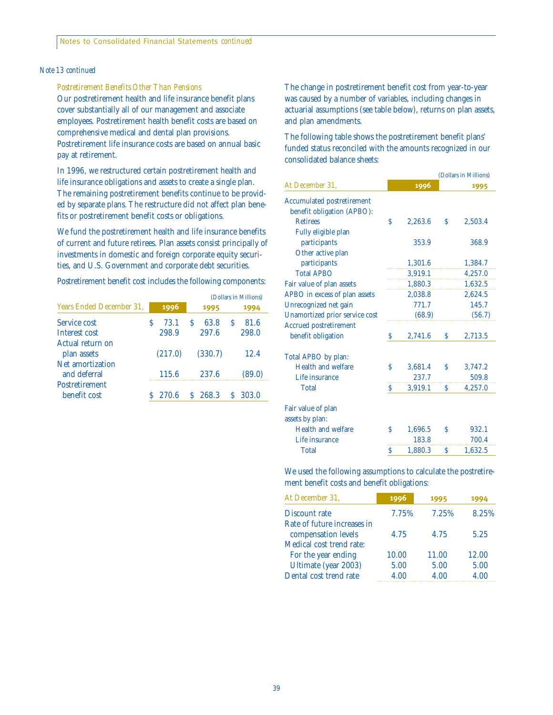#### *Note 13 continued*

*Postretirement Benefits Other Than Pensions*

Our postretirement health and life insurance benefit plans cover substantially all of our management and associate employees. Postretirement health benefit costs are based on comprehensive medical and dental plan provisions. Postretirement life insurance costs are based on annual basic pay at retirement.

In 1996, we restructured certain postretirement health and life insurance obligations and assets to create a single plan. The remaining postretirement benefits continue to be provided by separate plans. The restructure did not affect plan benefits or postretirement benefit costs or obligations.

We fund the postretirement health and life insurance benefits of current and future retirees. Plan assets consist principally of investments in domestic and foreign corporate equity securities, and U.S. Government and corporate debt securities.

Postretirement benefit cost includes the following components:

|                                       |      |         |      |         |   | (Dollars in Millions) |
|---------------------------------------|------|---------|------|---------|---|-----------------------|
| Years Ended December 31.              | 1996 |         | 1995 |         |   | 1994                  |
| Service cost                          | S    | 73.1    | S    | 63.8    | S | 81.6                  |
| Interest cost                         |      | 298.9   |      | 297.6   |   | 298.0                 |
| Actual return on<br>plan assets       |      | (217.0) |      | (330.7) |   | 12.4                  |
| Net amortization<br>and deferral      |      | 115.6   |      | 237.6   |   | (89.0)                |
| <b>Postretirement</b><br>benefit cost |      | 270.6   |      | \$268.3 | S | 303.0                 |

The change in postretirement benefit cost from year-to-year was caused by a number of variables, including changes in actuarial assumptions (see table below), returns on plan assets, and plan amendments.

The following table shows the postretirement benefit plans' funded status reconciled with the amounts recognized in our consolidated balance sheets:

|                                       | (Dollars in Millions) |         |    |         |  |  |  |
|---------------------------------------|-----------------------|---------|----|---------|--|--|--|
| At December 31,                       |                       | 1996    |    | 1995    |  |  |  |
| <b>Accumulated postretirement</b>     |                       |         |    |         |  |  |  |
| benefit obligation (APBO):            |                       |         |    |         |  |  |  |
| <b>Retirees</b>                       | Ś                     | 2,263.6 | Ŝ  | 2,503.4 |  |  |  |
| Fully eligible plan                   |                       |         |    |         |  |  |  |
| participants                          |                       | 353.9   |    | 368.9   |  |  |  |
| Other active plan                     |                       |         |    |         |  |  |  |
| participants                          |                       | 1,301.6 |    | 1,384.7 |  |  |  |
| <b>Total APBO</b>                     |                       | 3,919.1 |    | 4,257.0 |  |  |  |
| Fair value of plan assets             |                       | 1,880.3 |    | 1,632.5 |  |  |  |
| APBO in excess of plan assets         |                       | 2,038.8 |    | 2,624.5 |  |  |  |
| Unrecognized net gain                 |                       | 771.7   |    | 145.7   |  |  |  |
| <b>Unamortized prior service cost</b> |                       | (68.9)  |    | (56.7)  |  |  |  |
| <b>Accrued postretirement</b>         |                       |         |    |         |  |  |  |
| benefit obligation                    | Ś                     | 2,741.6 | Ŝ. | 2,713.5 |  |  |  |
| Total APBO by plan:                   |                       |         |    |         |  |  |  |
| <b>Health and welfare</b>             | Ś                     | 3,681.4 | Ŝ  | 3,747.2 |  |  |  |
| Life insurance                        |                       | 237.7   |    | 509.8   |  |  |  |
| <b>Total</b>                          | Ŝ                     | 3,919.1 | S  | 4,257.0 |  |  |  |
| Fair value of plan                    |                       |         |    |         |  |  |  |
| assets by plan:                       |                       |         |    |         |  |  |  |
| <b>Health and welfare</b>             | Ś                     | 1,696.5 | Ś  | 932.1   |  |  |  |
| Life insurance                        |                       | 183.8   |    | 700.4   |  |  |  |
| <b>Total</b>                          | Ś                     | 1,880.3 | Ŝ  | 1,632.5 |  |  |  |

We used the following assumptions to calculate the postretirement benefit costs and benefit obligations:

| At December 31,             | 1996  | 1995  | 1994  |
|-----------------------------|-------|-------|-------|
| Discount rate               | 7.75% | 7.25% | 8.25% |
| Rate of future increases in |       |       |       |
| compensation levels         | 4.75  | 4.75  | 5.25  |
| Medical cost trend rate:    |       |       |       |
| For the year ending         | 10.00 | 11.00 | 12.00 |
| Ultimate (year 2003)        | 5.00  | 5.00  | 5.00  |
| Dental cost trend rate      | 4.00  | 4.00  | 4.00  |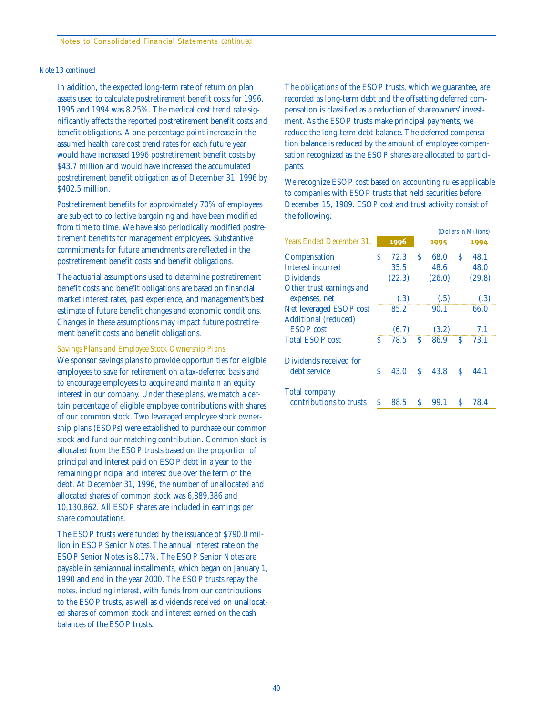#### *Note 13 continued*

In addition, the expected long-term rate of return on plan assets used to calculate postretirement benefit costs for 1996, 1995 and 1994 was 8.25%. The medical cost trend rate significantly affects the reported postretirement benefit costs and benefit obligations. A one-percentage-point increase in the assumed health care cost trend rates for each future year would have increased 1996 postretirement benefit costs by \$43.7 million and would have increased the accumulated postretirement benefit obligation as of December 31, 1996 by \$402.5 million.

Postretirement benefits for approximately 70% of employees are subject to collective bargaining and have been modified from time to time. We have also periodically modified postretirement benefits for management employees. Substantive commitments for future amendments are reflected in the postretirement benefit costs and benefit obligations.

The actuarial assumptions used to determine postretirement benefit costs and benefit obligations are based on financial market interest rates, past experience, and management's best estimate of future benefit changes and economic conditions. Changes in these assumptions may impact future postretirement benefit costs and benefit obligations.

*Savings Plans and Employee Stock Ownership Plans*

We sponsor savings plans to provide opportunities for eligible employees to save for retirement on a tax-deferred basis and to encourage employees to acquire and maintain an equity interest in our company. Under these plans, we match a certain percentage of eligible employee contributions with shares of our common stock. Two leveraged employee stock ownership plans (ESOPs) were established to purchase our common stock and fund our matching contribution. Common stock is allocated from the ESOP trusts based on the proportion of principal and interest paid on ESOP debt in a year to the remaining principal and interest due over the term of the debt. At December 31, 1996, the number of unallocated and allocated shares of common stock was 6,889,386 and 10,130,862. All ESOP shares are included in earnings per share computations.

The ESOP trusts were funded by the issuance of \$790.0 million in ESOP Senior Notes. The annual interest rate on the ESOP Senior Notes is 8.17%. The ESOP Senior Notes are payable in semiannual installments, which began on January 1, 1990 and end in the year 2000. The ESOP trusts repay the notes, including interest, with funds from our contributions to the ESOP trusts, as well as dividends received on unallocated shares of common stock and interest earned on the cash balances of the ESOP trusts.

The obligations of the ESOP trusts, which we guarantee, are recorded as long-term debt and the offsetting deferred compensation is classified as a reduction of shareowners' investment. As the ESOP trusts make principal payments, we reduce the long-term debt balance. The deferred compensation balance is reduced by the amount of employee compensation recognized as the ESOP shares are allocated to participants.

We recognize ESOP cost based on accounting rules applicable to companies with ESOP trusts that held securities before December 15, 1989. ESOP cost and trust activity consist of the following:

|                             |   |        |   |        |   | (Dollars in Millions) |
|-----------------------------|---|--------|---|--------|---|-----------------------|
| Years Ended December 31.    |   | 1996   |   | 1995   |   | 1994                  |
| Compensation                | S | 72.3   | S | 68.0   | S | 48.1                  |
| Interest incurred           |   | 35.5   |   | 48.6   |   | 48.0                  |
| <b>Dividends</b>            |   | (22.3) |   | (26.0) |   | (29.8)                |
| Other trust earnings and    |   |        |   |        |   |                       |
| expenses, net               |   | (.3)   |   | (.5)   |   | (.3)                  |
| Net leveraged ESOP cost     |   | 85.2   |   | 90.1   |   | 66.0                  |
| <b>Additional</b> (reduced) |   |        |   |        |   |                       |
| <b>ESOP</b> cost            |   | (6.7)  |   | (3.2)  |   | 7.1                   |
| <b>Total ESOP cost</b>      | Ś | 78.5   | S | 86.9   | S | 73.1                  |
| Dividends received for      |   |        |   |        |   |                       |
| debt service                | S | 43.0   | S | 43.8   | S | 44.1                  |
| <b>Total company</b>        |   |        |   |        |   |                       |
| contributions to trusts     | Ś | 88.5   | S | 99.1   | S | 78.4                  |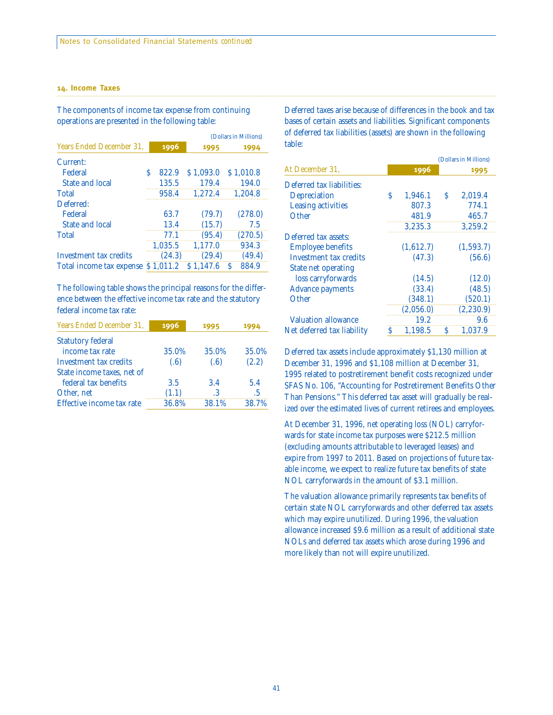#### **14. Income Taxes**

The components of income tax expense from continuing operations are presented in the following table:

|                               |   |           |           | (Dollars in Millions) |
|-------------------------------|---|-----------|-----------|-----------------------|
| Years Ended December 31,      |   | 1996      | 1995      | 1994                  |
| Current:                      |   |           |           |                       |
| Federal                       | S | 822.9     | \$1,093.0 | \$1,010.8             |
| State and local               |   | 135.5     | 179.4     | 194.0                 |
| <b>Total</b>                  |   | 958.4     | 1,272.4   | 1.204.8               |
| Deferred:                     |   |           |           |                       |
| Federal                       |   | 63.7      | (79.7)    | (278.0)               |
| State and local               |   | 13.4      | (15.7)    | 7.5                   |
| <b>Total</b>                  |   | 77.1      | (95.4)    | (270.5)               |
|                               |   | 1,035.5   | 1.177.0   | 934.3                 |
| <b>Investment tax credits</b> |   | (24.3)    | (29.4)    | (49.4)                |
| Total income tax expense      |   | \$1.011.2 | \$1.147.6 | 884.9                 |

The following table shows the principal reasons for the difference between the effective income tax rate and the statutory federal income tax rate:

| Years Ended December 31,   | 1996  | 1995  |       |
|----------------------------|-------|-------|-------|
| <b>Statutory federal</b>   |       |       |       |
| income tax rate            | 35.0% | 35.0% | 35.0% |
| Investment tax credits     | (.6)  | (.6)  | (2.2) |
| State income taxes, net of |       |       |       |
| federal tax benefits       | 3.5   | 3.4   | 5.4   |
| Other, net                 | (1.1) | .3    | .5    |
| Effective income tax rate  | 36.8% | 38.1% | 38.7% |
|                            |       |       |       |

Deferred taxes arise because of differences in the book and tax bases of certain assets and liabilities. Significant components of deferred tax liabilities (assets) are shown in the following table:

|                            |   |           |   | (Dollars in Millions) |
|----------------------------|---|-----------|---|-----------------------|
| At December 31,            |   | 1996      |   | 1995                  |
| Deferred tax liabilities:  |   |           |   |                       |
| Depreciation               | Ś | 1,946.1   | S | 2,019.4               |
| <b>Leasing activities</b>  |   | 807.3     |   | 774.1                 |
| Other                      |   | 481.9     |   | 465.7                 |
|                            |   | 3,235.3   |   | 3,259.2               |
| Deferred tax assets:       |   |           |   |                       |
| <b>Employee benefits</b>   |   | (1,612.7) |   | (1,593.7)             |
| Investment tax credits     |   | (47.3)    |   | (56.6)                |
| <b>State net operating</b> |   |           |   |                       |
| loss carryforwards         |   | (14.5)    |   | (12.0)                |
| <b>Advance payments</b>    |   | (33.4)    |   | (48.5)                |
| Other                      |   | (348.1)   |   | (520.1)               |
|                            |   | (2,056.0) |   | (2, 230.9)            |
| <b>Valuation allowance</b> |   | 19.2      |   | 9.6                   |
| Net deferred tax liability | S | 1.198.5   | S | 1.037.9               |

Deferred tax assets include approximately \$1,130 million at December 31, 1996 and \$1,108 million at December 31, 1995 related to postretirement benefit costs recognized under SFAS No. 106, "Accounting for Postretirement Benefits Other Than Pensions." This deferred tax asset will gradually be realized over the estimated lives of current retirees and employees.

At December 31, 1996, net operating loss (NOL) carryforwards for state income tax purposes were \$212.5 million (excluding amounts attributable to leveraged leases) and expire from 1997 to 2011. Based on projections of future taxable income, we expect to realize future tax benefits of state NOL carryforwards in the amount of \$3.1 million.

The valuation allowance primarily represents tax benefits of certain state NOL carryforwards and other deferred tax assets which may expire unutilized. During 1996, the valuation allowance increased \$9.6 million as a result of additional state NOLs and deferred tax assets which arose during 1996 and more likely than not will expire unutilized.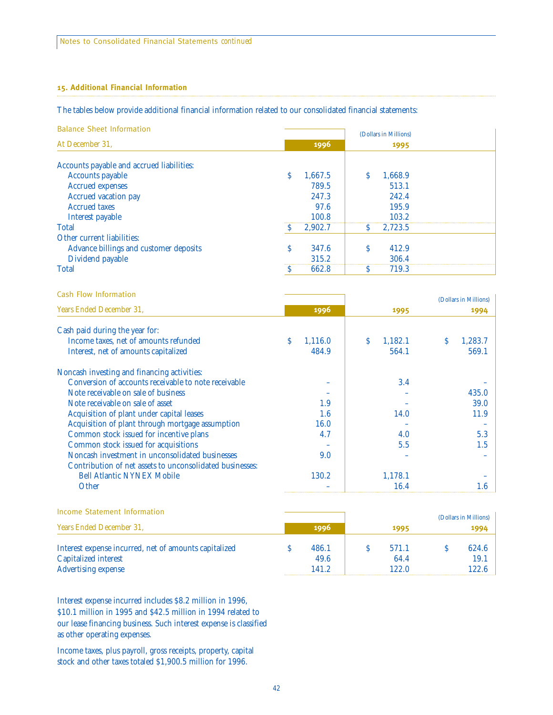#### **15. Additional Financial Information**

#### The tables below provide additional financial information related to our consolidated financial statements:

|  |  | <b>Balance Sheet Information</b> |
|--|--|----------------------------------|
|--|--|----------------------------------|

|                                           |              |         |   | (Dollars in Millions) |  |
|-------------------------------------------|--------------|---------|---|-----------------------|--|
| At December 31,                           |              | 1996    |   | 1995                  |  |
|                                           |              |         |   |                       |  |
| Accounts payable and accrued liabilities: |              |         |   |                       |  |
| <b>Accounts payable</b>                   | S            | 1,667.5 |   | 1,668.9               |  |
| <b>Accrued expenses</b>                   |              | 789.5   |   | 513.1                 |  |
| Accrued vacation pay                      |              | 247.3   |   | 242.4                 |  |
| <b>Accrued taxes</b>                      |              | 97.6    |   | 195.9                 |  |
| Interest payable                          |              | 100.8   |   | 103.2                 |  |
| <b>Total</b>                              |              | 2,902.7 | e | 2.723.5               |  |
| Other current liabilities:                |              |         |   |                       |  |
| Advance billings and customer deposits    | <sup>S</sup> | 347.6   | S | 412.9                 |  |
| Dividend payable                          |              | 315.2   |   | 306.4                 |  |
| <b>Total</b>                              |              | 662.8   |   | 719.3                 |  |
|                                           |              |         |   |                       |  |

| Cash Flow Information                                                                                                                                                                                                                                                                                                                                                                                                                                                                                                                                                                                                                                                 |               |               | (Dollars in Millions) |
|-----------------------------------------------------------------------------------------------------------------------------------------------------------------------------------------------------------------------------------------------------------------------------------------------------------------------------------------------------------------------------------------------------------------------------------------------------------------------------------------------------------------------------------------------------------------------------------------------------------------------------------------------------------------------|---------------|---------------|-----------------------|
| Years Ended December 31.<br>Cash paid during the year for:<br>Income taxes, net of amounts refunded<br>Interest, net of amounts capitalized<br>Noncash investing and financing activities:<br>Conversion of accounts receivable to note receivable<br>Note receivable on sale of business<br>Note receivable on sale of asset<br>Acquisition of plant under capital leases<br>Acquisition of plant through mortgage assumption<br>Common stock issued for incentive plans<br>Common stock issued for acquisitions<br>Noncash investment in unconsolidated businesses<br>Contribution of net assets to unconsolidated businesses:<br><b>Bell Atlantic NYNEX Mobile</b> | 1996          | 1995          | 1994                  |
|                                                                                                                                                                                                                                                                                                                                                                                                                                                                                                                                                                                                                                                                       |               |               |                       |
|                                                                                                                                                                                                                                                                                                                                                                                                                                                                                                                                                                                                                                                                       | S.<br>1,116.0 | Š.<br>1,182.1 | 1,283.7<br>S          |
|                                                                                                                                                                                                                                                                                                                                                                                                                                                                                                                                                                                                                                                                       | 484.9         | 564.1         | 569.1                 |
|                                                                                                                                                                                                                                                                                                                                                                                                                                                                                                                                                                                                                                                                       |               |               |                       |
|                                                                                                                                                                                                                                                                                                                                                                                                                                                                                                                                                                                                                                                                       |               | 3.4           |                       |
|                                                                                                                                                                                                                                                                                                                                                                                                                                                                                                                                                                                                                                                                       |               |               | 435.0                 |
|                                                                                                                                                                                                                                                                                                                                                                                                                                                                                                                                                                                                                                                                       | 1.9           |               | 39.0                  |
|                                                                                                                                                                                                                                                                                                                                                                                                                                                                                                                                                                                                                                                                       | 1.6           | 14.0          | 11.9                  |
|                                                                                                                                                                                                                                                                                                                                                                                                                                                                                                                                                                                                                                                                       | 16.0          |               |                       |
|                                                                                                                                                                                                                                                                                                                                                                                                                                                                                                                                                                                                                                                                       | 4.7           | 4.0           | 5.3                   |
|                                                                                                                                                                                                                                                                                                                                                                                                                                                                                                                                                                                                                                                                       |               | 5.5           | 1.5                   |
|                                                                                                                                                                                                                                                                                                                                                                                                                                                                                                                                                                                                                                                                       | 9.0           |               |                       |
|                                                                                                                                                                                                                                                                                                                                                                                                                                                                                                                                                                                                                                                                       |               |               |                       |
|                                                                                                                                                                                                                                                                                                                                                                                                                                                                                                                                                                                                                                                                       | 130.2         | 1,178.1       |                       |
| Other                                                                                                                                                                                                                                                                                                                                                                                                                                                                                                                                                                                                                                                                 |               | 16.4          | 1.6                   |

|                                                                                                                                                                                |       |  |       |      | (Dollars in Millions) |
|--------------------------------------------------------------------------------------------------------------------------------------------------------------------------------|-------|--|-------|------|-----------------------|
| Income Statement Information<br>Years Ended December 31,<br>Interest expense incurred, net of amounts capitalized<br><b>Capitalized interest</b><br><b>Advertising expense</b> | 1996  |  | 1995  | 1994 |                       |
|                                                                                                                                                                                | 486.1 |  | 571.1 |      | 624.6                 |
|                                                                                                                                                                                | 49.6  |  | 64.4  |      | 19.1                  |
|                                                                                                                                                                                | 141 2 |  | 122.0 |      | 122.6                 |

Interest expense incurred includes \$8.2 million in 1996, \$10.1 million in 1995 and \$42.5 million in 1994 related to our lease financing business. Such interest expense is classified as other operating expenses.

Income taxes, plus payroll, gross receipts, property, capital stock and other taxes totaled \$1,900.5 million for 1996.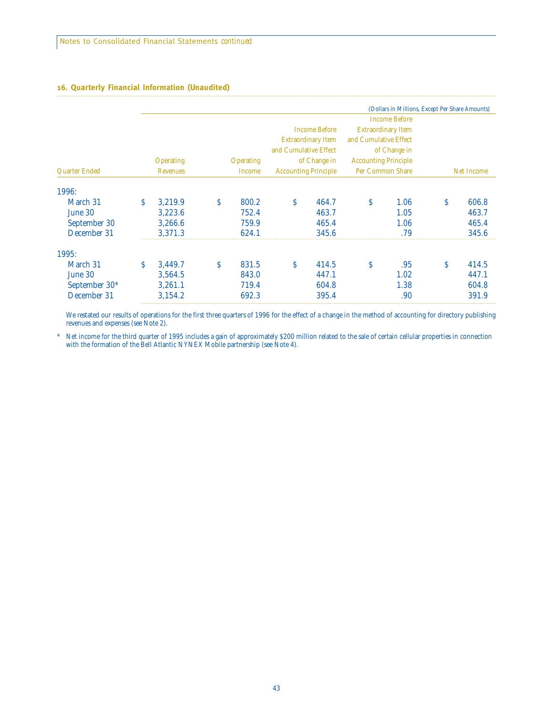#### **16. Quarterly Financial Information (Unaudited)**

|               |    |                  |    |                  |                                             |                           |                       | (Dollars in Millions, Except Per Share Amounts) |            |       |
|---------------|----|------------------|----|------------------|---------------------------------------------|---------------------------|-----------------------|-------------------------------------------------|------------|-------|
|               |    |                  |    |                  |                                             |                           |                       | <b>Income Before</b>                            |            |       |
|               |    |                  |    |                  |                                             | <b>Income Before</b>      |                       | <b>Extraordinary Item</b>                       |            |       |
|               |    |                  |    |                  |                                             | <b>Extraordinary Item</b> | and Cumulative Effect |                                                 |            |       |
|               |    |                  |    |                  | and Cumulative Effect                       |                           |                       | of Change in                                    |            |       |
|               |    | <b>Operating</b> |    | <b>Operating</b> | of Change in<br><b>Accounting Principle</b> |                           |                       |                                                 |            |       |
| Quarter Ended |    | <b>Revenues</b>  |    | Income           | <b>Accounting Principle</b>                 |                           | Per Common Share      |                                                 | Net Income |       |
| 1996:         |    |                  |    |                  |                                             |                           |                       |                                                 |            |       |
| March 31      | Ŝ. | 3,219.9          | Ŝ. | 800.2            | \$                                          | 464.7                     | Ŝ                     | 1.06                                            | \$         | 606.8 |
| June 30       |    | 3,223.6          |    | 752.4            |                                             | 463.7                     |                       | 1.05                                            |            | 463.7 |
| September 30  |    | 3,266.6          |    | 759.9            |                                             | 465.4                     |                       | 1.06                                            |            | 465.4 |
| December 31   |    | 3,371.3          |    | 624.1            |                                             | 345.6                     |                       | .79                                             |            | 345.6 |
| 1995:         |    |                  |    |                  |                                             |                           |                       |                                                 |            |       |
| March 31      | S  | 3,449.7          | S  | 831.5            | Ŝ.                                          | 414.5                     | Ŝ                     | .95                                             | Ś          | 414.5 |
| June 30       |    | 3,564.5          |    | 843.0            |                                             | 447.1                     |                       | 1.02                                            |            | 447.1 |
| September 30* |    | 3,261.1          |    | 719.4            |                                             | 604.8                     |                       | 1.38                                            |            | 604.8 |
| December 31   |    | 3,154.2          |    | 692.3            |                                             | 395.4                     |                       | .90                                             |            | 391.9 |

We restated our results of operations for the first three quarters of 1996 for the effect of a change in the method of accounting for directory publishing revenues and expenses (see Note 2).

\* Net income for the third quarter of 1995 includes a gain of approximately \$200 million related to the sale of certain cellular properties in connection with the formation of the Bell Atlantic NYNEX Mobile partnership (see Note 4).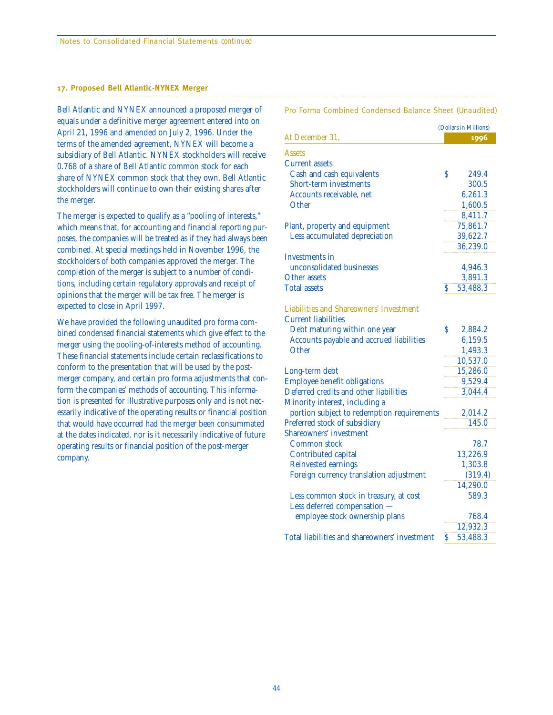#### **17. Proposed Bell Atlantic-NYNEX Merger**

Bell Atlantic and NYNEX announced a proposed merger of Pro Forma Combined Condensed Balance Sheet (Unaudited) equals under a definitive merger agreement entered into on April 21, 1996 and amended on July 2, 1996. Under the terms of the amended agreement, NYNEX will become a subsidiary of Bell Atlantic. NYNEX stockholders will receive 0.768 of a share of Bell Atlantic common stock for each share of NYNEX common stock that they own. Bell Atlantic stockholders will continue to own their existing shares after the merger.

The merger is expected to qualify as a "pooling of interests," which means that, for accounting and financial reporting purposes, the companies will be treated as if they had always been combined. At special meetings held in November 1996, the stockholders of both companies approved the merger. The completion of the merger is subject to a number of conditions, including certain regulatory approvals and receipt of opinions that the merger will be tax free. The merger is expected to close in April 1997.

We have provided the following unaudited pro forma combined condensed financial statements which give effect to the merger using the pooling-of-interests method of accounting. These financial statements include certain reclassifications to conform to the presentation that will be used by the postmerger company, and certain pro forma adjustments that conform the companies' methods of accounting. This information is presented for illustrative purposes only and is not necessarily indicative of the operating results or financial position that would have occurred had the merger been consummated at the dates indicated, nor is it necessarily indicative of future operating results or financial position of the post-merger company.

|                                                |    | (Dollars in Millions) |  |  |
|------------------------------------------------|----|-----------------------|--|--|
| At December 31,                                |    | 1996                  |  |  |
| <b>Assets</b>                                  |    |                       |  |  |
| <b>Current assets</b>                          |    |                       |  |  |
| Cash and cash equivalents                      | \$ | 249.4                 |  |  |
| Short-term investments                         |    | 300.5                 |  |  |
| Accounts receivable. net                       |    | 6,261.3               |  |  |
| Other                                          |    | 1,600.5               |  |  |
|                                                |    | 8,411.7               |  |  |
| Plant, property and equipment                  |    | 75,861.7              |  |  |
| Less accumulated depreciation                  |    | 39,622.7              |  |  |
|                                                |    | 36,239.0              |  |  |
| <b>Investments in</b>                          |    |                       |  |  |
| unconsolidated businesses                      |    | 4,946.3               |  |  |
| Other assets                                   |    | 3,891.3               |  |  |
| <b>Total assets</b>                            | \$ | 53,488.3              |  |  |
|                                                |    |                       |  |  |
| <b>Liabilities and Shareowners' Investment</b> |    |                       |  |  |
| <b>Current liabilities</b>                     |    |                       |  |  |
| Debt maturing within one year                  | Š  | 2,884.2               |  |  |
| Accounts payable and accrued liabilities       |    | 6,159.5               |  |  |
| Other                                          |    | 1,493.3               |  |  |
|                                                |    | 10,537.0              |  |  |
| Long-term debt                                 |    | 15,286.0              |  |  |
| <b>Employee benefit obligations</b>            |    | 9,529.4               |  |  |
| Deferred credits and other liabilities         |    | 3,044.4               |  |  |
| Minority interest, including a                 |    |                       |  |  |
| portion subject to redemption requirements     |    | 2,014.2               |  |  |
| Preferred stock of subsidiary                  |    | 145.0                 |  |  |
| Shareowners' investment                        |    |                       |  |  |
| Common stock                                   |    | 78.7                  |  |  |
| Contributed capital                            |    | 13,226.9              |  |  |
| <b>Reinvested earnings</b>                     |    | 1,303.8               |  |  |
| Foreign currency translation adjustment        |    | (319.4)               |  |  |
|                                                |    | 14,290.0              |  |  |
| Less common stock in treasury, at cost         |    | 589.3                 |  |  |
| Less deferred compensation                     |    |                       |  |  |
| employee stock ownership plans                 |    | 768.4                 |  |  |
|                                                |    | 12,932.3              |  |  |
| Total liabilities and shareowners' investment  | \$ | 53,488.3              |  |  |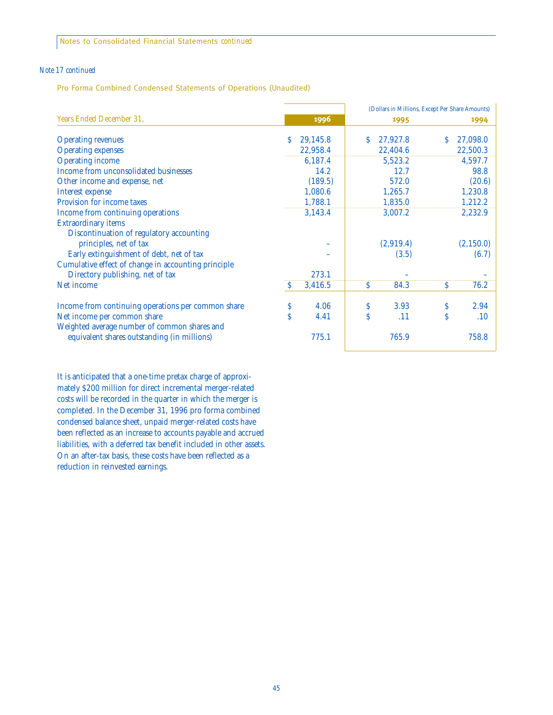Notes to Consolidated Financial Statements *continued*

#### *Note 17 continued*

Pro Forma Combined Condensed Statements of Operations (Unaudited)

|                                                     |    |          | (Dollars in Millions, Except Per Share Amounts) |           |                    |            |
|-----------------------------------------------------|----|----------|-------------------------------------------------|-----------|--------------------|------------|
| Years Ended December 31,                            |    | 1996     |                                                 | 1995      |                    | 1994       |
| <b>Operating revenues</b>                           | S. | 29,145.8 | S.                                              | 27,927.8  | S                  | 27,098.0   |
| <b>Operating expenses</b>                           |    | 22,958.4 |                                                 | 22,404.6  |                    | 22,500.3   |
| <b>Operating income</b>                             |    | 6,187.4  |                                                 | 5,523.2   |                    | 4,597.7    |
| Income from unconsolidated businesses               |    | 14.2     |                                                 | 12.7      |                    | 98.8       |
| Other income and expense, net                       |    | (189.5)  |                                                 | 572.0     |                    | (20.6)     |
| <b>Interest expense</b>                             |    | 1,080.6  |                                                 | 1,265.7   |                    | 1,230.8    |
| Provision for income taxes                          |    | 1,788.1  |                                                 | 1,835.0   |                    | 1,212.2    |
| Income from continuing operations                   |    | 3,143.4  |                                                 | 3,007.2   |                    | 2,232.9    |
| <b>Extraordinary items</b>                          |    |          |                                                 |           |                    |            |
| Discontinuation of regulatory accounting            |    |          |                                                 |           |                    |            |
| principles, net of tax                              |    |          |                                                 | (2,919.4) |                    | (2, 150.0) |
| Early extinguishment of debt, net of tax            |    |          |                                                 | (3.5)     |                    | (6.7)      |
| Cumulative effect of change in accounting principle |    |          |                                                 |           |                    |            |
| Directory publishing, net of tax                    |    | 273.1    |                                                 |           |                    |            |
| Net income                                          | S  | 3,416.5  | <sup>S</sup>                                    | 84.3      | S                  | 76.2       |
|                                                     |    |          |                                                 |           |                    |            |
| Income from continuing operations per common share  | S  | 4.06     | \$                                              | 3.93      | \$                 | 2.94       |
| Net income per common share                         | Ś  | 4.41     | Ś                                               | .11       | $\mathsf{\hat{S}}$ | .10        |
| Weighted average number of common shares and        |    |          |                                                 |           |                    |            |
| equivalent shares outstanding (in millions)         |    | 775.1    |                                                 | 765.9     |                    | 758.8      |

It is anticipated that a one-time pretax charge of approximately \$200 million for direct incremental merger-related costs will be recorded in the quarter in which the merger is completed. In the December 31, 1996 pro forma combined condensed balance sheet, unpaid merger-related costs have been reflected as an increase to accounts payable and accrued liabilities, with a deferred tax benefit included in other assets. On an after-tax basis, these costs have been reflected as a reduction in reinvested earnings.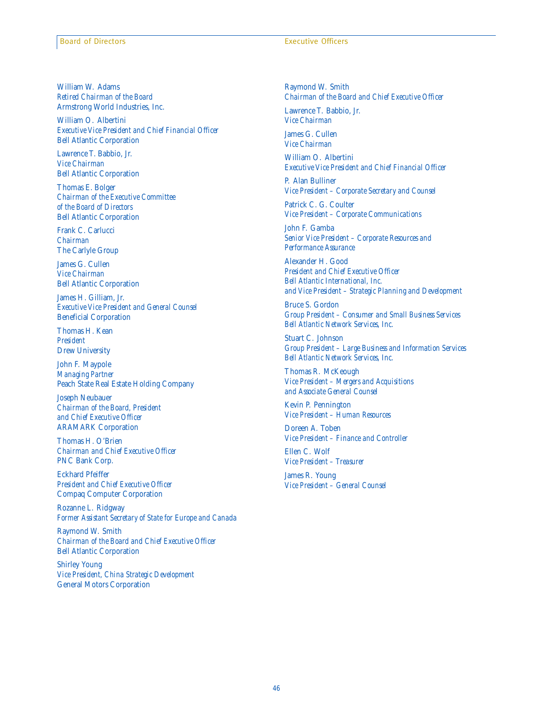William W. Adams *Retired Chairman of the Board* Armstrong World Industries, Inc.

William O. Albertini *Executive Vice President and Chief Financial Officer* Bell Atlantic Corporation

Lawrence T. Babbio, Jr. *Vice Chairman* Bell Atlantic Corporation

Thomas E. Bolger *Chairman of the Executive Committee of the Board of Directors* Bell Atlantic Corporation

Frank C. Carlucci *Chairman* The Carlyle Group

James G. Cullen *Vice Chairman* Bell Atlantic Corporation

James H. Gilliam, Jr. *Executive Vice President and General Counsel* Beneficial Corporation

Thomas H. Kean *President* Drew University

John F. Maypole *Managing Partner* Peach State Real Estate Holding Company

Joseph Neubauer *Chairman of the Board, President and Chief Executive Officer* ARAMARK Corporation

Thomas H. O'Brien *Chairman and Chief Executive Officer* PNC Bank Corp.

Eckhard Pfeiffer *President and Chief Executive Officer* Compaq Computer Corporation

Rozanne L. Ridgway *Former Assistant Secretary of State for Europe and Canada*

Raymond W. Smith *Chairman of the Board and Chief Executive Officer* Bell Atlantic Corporation

Shirley Young *Vice President, China Strategic Development* General Motors Corporation

Raymond W. Smith *Chairman of the Board and Chief Executive Officer*

Lawrence T. Babbio, Jr. *Vice Chairman*

James G. Cullen *Vice Chairman*

William O. Albertini *Executive Vice President and Chief Financial Officer*

P. Alan Bulliner *Vice President – Corporate Secretary and Counsel*

Patrick C. G. Coulter *Vice President – Corporate Communications*

John F. Gamba *Senior Vice President – Corporate Resources and Performance Assurance*

Alexander H. Good *President and Chief Executive Officer Bell Atlantic International, Inc. and Vice President – Strategic Planning and Development*

Bruce S. Gordon *Group President – Consumer and Small Business Services Bell Atlantic Network Services, Inc.*

Stuart C. Johnson *Group President – Large Business and Information Services Bell Atlantic Network Services, Inc.*

Thomas R. McKeough *Vice President – Mergers and Acquisitions and Associate General Counsel*

Kevin P. Pennington *Vice President – Human Resources*

Doreen A. Toben *Vice President – Finance and Controller*

Ellen C. Wolf *Vice President – Treasurer*

James R. Young *Vice President – General Counsel*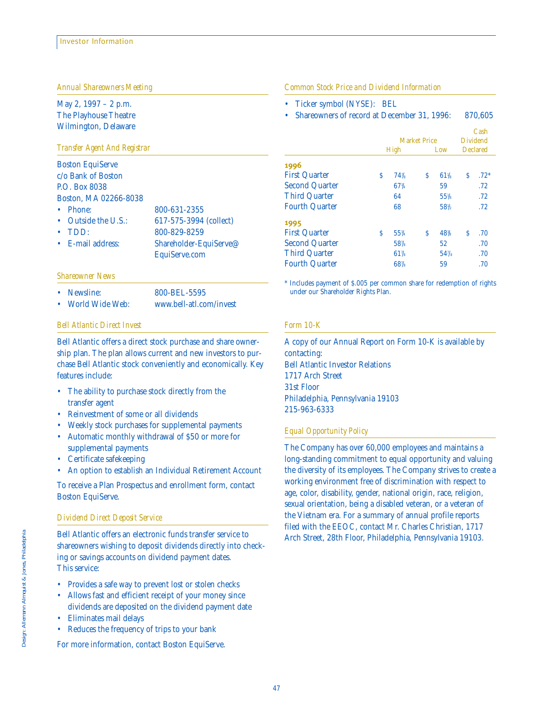*Annual Shareowners Meeting*

May 2, 1997 – 2 p.m. The Playhouse Theatre Wilmington, Delaware

#### *Transfer Agent And Registrar*

| <b>Boston EquiServe</b><br>c/o Bank of Boston<br><b>P.O. Box 8038</b> |                        |
|-----------------------------------------------------------------------|------------------------|
| Boston, MA 02266-8038                                                 |                        |
| Phone:<br>$\bullet$                                                   | 800-631-2355           |
| Outside the U.S.:<br>$\bullet$                                        | 617-575-3994 (collect) |
| TDD:                                                                  | 800-829-8259           |
| $\bullet$ E-mail address:                                             | Shareholder-EquiServe@ |
|                                                                       | EquiServe.com          |
|                                                                       |                        |

#### *Shareowner News*

- Newsline: 800-BEL-5595
- World Wide Web: www.bell-atl.com/invest

#### *Bell Atlantic Direct Invest*

Bell Atlantic offers a direct stock purchase and share ownership plan. The plan allows current and new investors to purchase Bell Atlantic stock conveniently and economically. Key features include:

- The ability to purchase stock directly from the transfer agent
- Reinvestment of some or all dividends
- Weekly stock purchases for supplemental payments • Automatic monthly withdrawal of \$50 or more for
- supplemental payments
- Certificate safekeeping
- An option to establish an Individual Retirement Account

To receive a Plan Prospectus and enrollment form, contact Boston EquiServe.

#### *Dividend Direct Deposit Service*

Bell Atlantic offers an electronic funds transfer service to shareowners wishing to deposit dividends directly into checking or savings accounts on dividend payment dates. This service:

- Provides a safe way to prevent lost or stolen checks
- Allows fast and efficient receipt of your money since dividends are deposited on the dividend payment date
- Eliminates mail delays
- Reduces the frequency of trips to your bank

For more information, contact Boston EquiServe.

*Common Stock Price and Dividend Information*

- Ticker symbol (NYSE): BEL
- Shareowners of record at December 31, 1996: 870,605

|                       |                     |     |     |        |                 | Cash   |
|-----------------------|---------------------|-----|-----|--------|-----------------|--------|
|                       | <b>Market Price</b> |     |     |        | <b>Dividend</b> |        |
|                       | High                |     | Low |        | <b>Declared</b> |        |
| 1996                  |                     |     |     |        |                 |        |
| <b>First Quarter</b>  | Ŝ                   | 74% | S   | $61\%$ | Ŝ               | $.72*$ |
| <b>Second Quarter</b> |                     | 67% |     | 59     |                 | .72    |
| <b>Third Quarter</b>  |                     | 64  |     | $55\%$ |                 | .72    |
| <b>Fourth Quarter</b> |                     | 68  |     | 58%    |                 | .72    |
| 1995                  |                     |     |     |        |                 |        |
| <b>First Quarter</b>  | Ś                   | 55% | Ś   | 48%    | Ŝ               | .70    |
| <b>Second Quarter</b> |                     | 58% |     | 52     |                 | .70    |
| <b>Third Quarter</b>  |                     | 61% |     | 54%    |                 | .70    |
| <b>Fourth Quarter</b> |                     | 68% |     | 59     |                 | .70    |

\* Includes payment of \$.005 per common share for redemption of rights under our Shareholder Rights Plan.

#### *Form 10-K*

A copy of our Annual Report on Form 10-K is available by contacting: Bell Atlantic Investor Relations 1717 Arch Street 31st Floor Philadelphia, Pennsylvania 19103 215-963-6333

#### *Equal Opportunity Policy*

The Company has over 60,000 employees and maintains a long-standing commitment to equal opportunity and valuing the diversity of its employees. The Company strives to create a working environment free of discrimination with respect to age, color, disability, gender, national origin, race, religion, sexual orientation, being a disabled veteran, or a veteran of the Vietnam era. For a summary of annual profile reports filed with the EEOC, contact Mr. Charles Christian, 1717 Arch Street, 28th Floor, Philadelphia, Pennsylvania 19103.